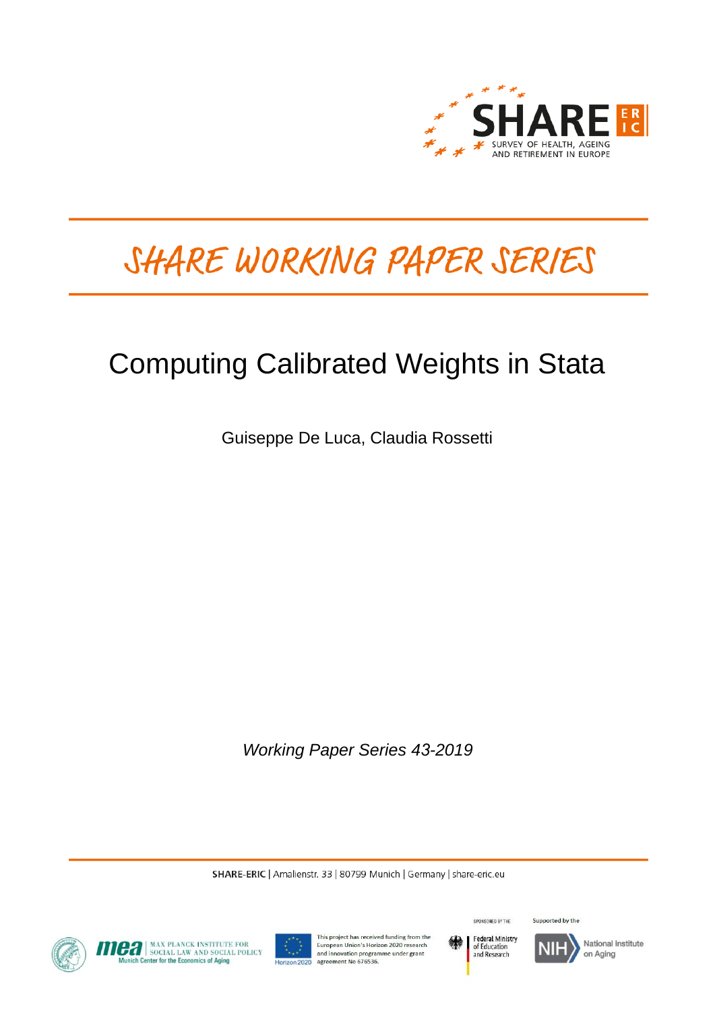

# SHARE WORKING PAPER SERIES

## Computing Calibrated Weights in Stata

Guiseppe De Luca, Claudia Rossetti

*Working Paper Series 43-2019* 

SHARE-ERIC | Amalienstr. 33 | 80799 Munich | Germany | share-eric.eu







This project has received funding from the European Union's Horizon 2020 research and innovation programme under grant<br>agreement No 676536.



Supported by the SPONSORED BY THE

National Institute on Aging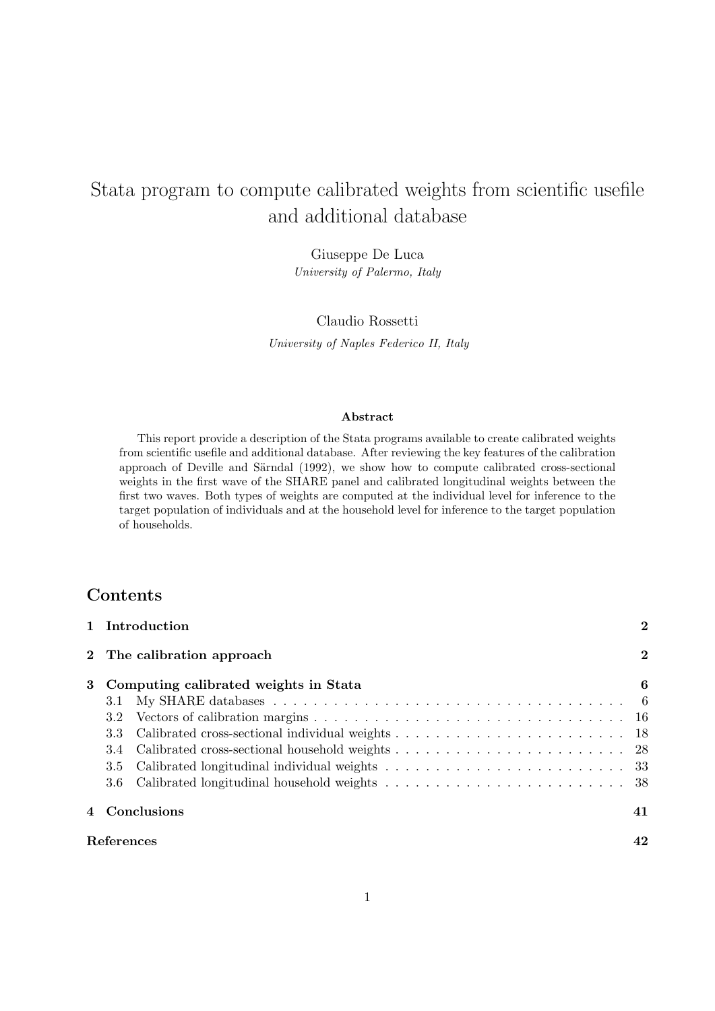## Stata program to compute calibrated weights from scientific usefile and additional database

Giuseppe De Luca University of Palermo, Italy

Claudio Rossetti University of Naples Federico II, Italy

#### Abstract

This report provide a description of the Stata programs available to create calibrated weights from scientific usefile and additional database. After reviewing the key features of the calibration approach of Deville and Särndal (1992), we show how to compute calibrated cross-sectional weights in the first wave of the SHARE panel and calibrated longitudinal weights between the first two waves. Both types of weights are computed at the individual level for inference to the target population of individuals and at the household level for inference to the target population of households.

## Contents

| 1 Introduction                          |                         |  |  |  |  |  |
|-----------------------------------------|-------------------------|--|--|--|--|--|
| 2 The calibration approach              | $\overline{\mathbf{2}}$ |  |  |  |  |  |
| 3 Computing calibrated weights in Stata | 6                       |  |  |  |  |  |
| 3.1                                     |                         |  |  |  |  |  |
| 3.2                                     |                         |  |  |  |  |  |
| 3.3                                     |                         |  |  |  |  |  |
| 3.4                                     |                         |  |  |  |  |  |
| 3.5                                     |                         |  |  |  |  |  |
|                                         |                         |  |  |  |  |  |
| 4 Conclusions                           | 41                      |  |  |  |  |  |
| References                              | 42                      |  |  |  |  |  |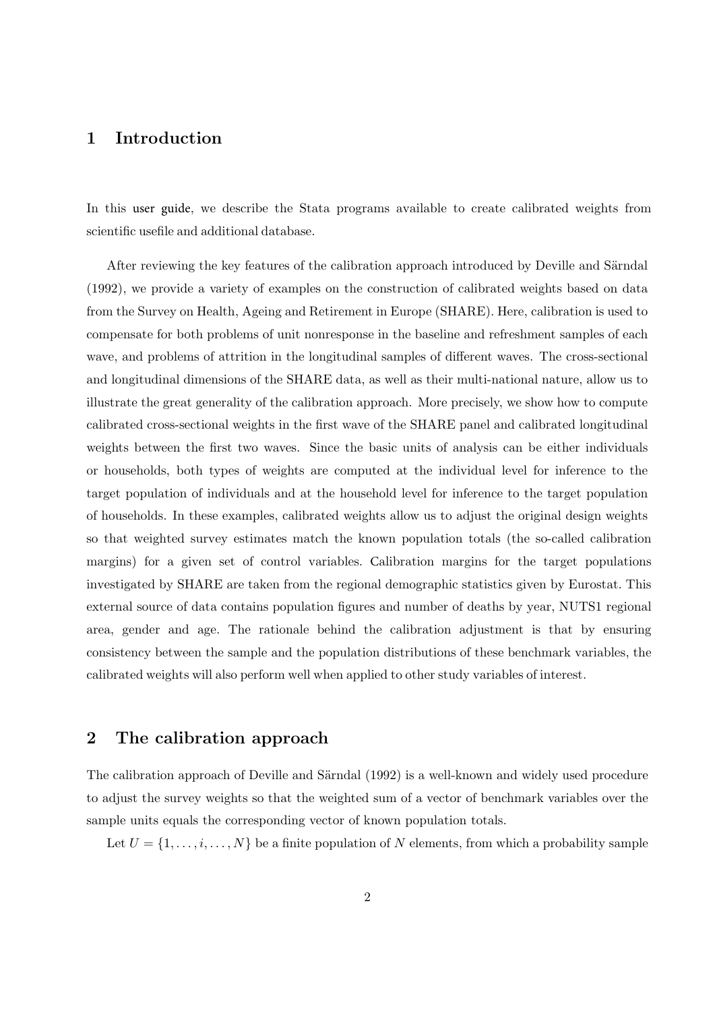## 1 Introduction

In this user guide, we describe the Stata programs available to create calibrated weights from scientific usefile and additional database.

After reviewing the key features of the calibration approach introduced by Deville and Särndal (1992), we provide a variety of examples on the construction of calibrated weights based on data from the Survey on Health, Ageing and Retirement in Europe (SHARE). Here, calibration is used to compensate for both problems of unit nonresponse in the baseline and refreshment samples of each wave, and problems of attrition in the longitudinal samples of different waves. The cross-sectional and longitudinal dimensions of the SHARE data, as well as their multi-national nature, allow us to illustrate the great generality of the calibration approach. More precisely, we show how to compute calibrated cross-sectional weights in the first wave of the SHARE panel and calibrated longitudinal weights between the first two waves. Since the basic units of analysis can be either individuals or households, both types of weights are computed at the individual level for inference to the target population of individuals and at the household level for inference to the target population of households. In these examples, calibrated weights allow us to adjust the original design weights so that weighted survey estimates match the known population totals (the so-called calibration margins) for a given set of control variables. Calibration margins for the target populations investigated by SHARE are taken from the regional demographic statistics given by Eurostat. This external source of data contains population figures and number of deaths by year, NUTS1 regional area, gender and age. The rationale behind the calibration adjustment is that by ensuring consistency between the sample and the population distributions of these benchmark variables, the calibrated weights will also perform well when applied to other study variables of interest.

## 2 The calibration approach

The calibration approach of Deville and Särndal (1992) is a well-known and widely used procedure to adjust the survey weights so that the weighted sum of a vector of benchmark variables over the sample units equals the corresponding vector of known population totals.

Let  $U = \{1, \ldots, i, \ldots, N\}$  be a finite population of N elements, from which a probability sample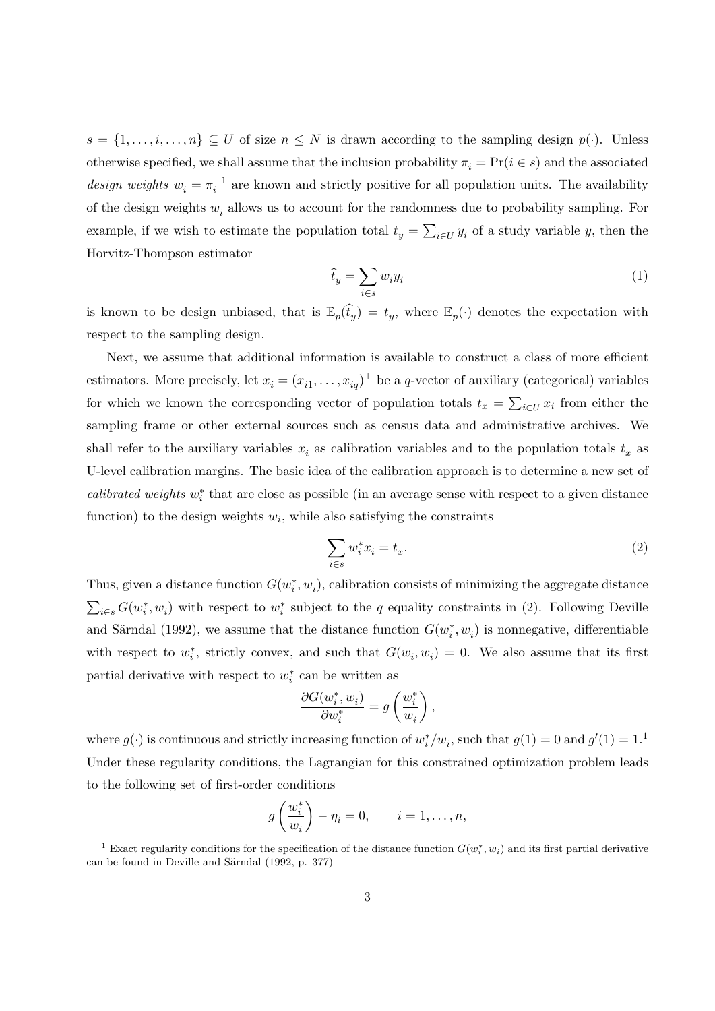$s = \{1, \ldots, i, \ldots, n\} \subseteq U$  of size  $n \leq N$  is drawn according to the sampling design  $p(\cdot)$ . Unless otherwise specified, we shall assume that the inclusion probability  $\pi_i = \Pr(i \in s)$  and the associated design weights  $w_i = \pi_i^{-1}$  are known and strictly positive for all population units. The availability of the design weights  $w_i$  allows us to account for the randomness due to probability sampling. For example, if we wish to estimate the population total  $t_y = \sum_{i \in U} y_i$  of a study variable y, then the Horvitz-Thompson estimator

$$
\widehat{t}_y = \sum_{i \in s} w_i y_i \tag{1}
$$

is known to be design unbiased, that is  $\mathbb{E}_p(\hat{t}_y) = t_y$ , where  $\mathbb{E}_p(\cdot)$  denotes the expectation with respect to the sampling design.

Next, we assume that additional information is available to construct a class of more efficient estimators. More precisely, let  $x_i = (x_{i1}, \ldots, x_{iq})^\top$  be a q-vector of auxiliary (categorical) variables for which we known the corresponding vector of population totals  $t_x = \sum_{i \in U} x_i$  from either the sampling frame or other external sources such as census data and administrative archives. We shall refer to the auxiliary variables  $x_i$  as calibration variables and to the population totals  $t_x$  as U-level calibration margins. The basic idea of the calibration approach is to determine a new set of calibrated weights  $w_i^*$  that are close as possible (in an average sense with respect to a given distance function) to the design weights  $w_i$ , while also satisfying the constraints

$$
\sum_{i \in s} w_i^* x_i = t_x. \tag{2}
$$

Thus, given a distance function  $G(w_i^*, w_i)$ , calibration consists of minimizing the aggregate distance  $\sum_{i\in s} G(w_i^*, w_i)$  with respect to  $w_i^*$  subject to the q equality constraints in (2). Following Deville and Särndal (1992), we assume that the distance function  $G(w_i^*, w_i)$  is nonnegative, differentiable with respect to  $w_i^*$ , strictly convex, and such that  $G(w_i, w_i) = 0$ . We also assume that its first partial derivative with respect to  $w_i^*$  can be written as

$$
\frac{\partial G(w^*_i,w_i)}{\partial w^*_i} = g\left(\frac{w^*_i}{w_i}\right),
$$

where  $g(\cdot)$  is continuous and strictly increasing function of  $w_i^*/w_i$ , such that  $g(1) = 0$  and  $g'(1) = 1$ .<sup>1</sup> Under these regularity conditions, the Lagrangian for this constrained optimization problem leads to the following set of first-order conditions

$$
g\left(\frac{w_i^*}{w_i}\right) - \eta_i = 0, \qquad i = 1, \dots, n,
$$

<sup>&</sup>lt;sup>1</sup> Exact regularity conditions for the specification of the distance function  $G(w_i^*, w_i)$  and its first partial derivative can be found in Deville and Särndal (1992, p. 377)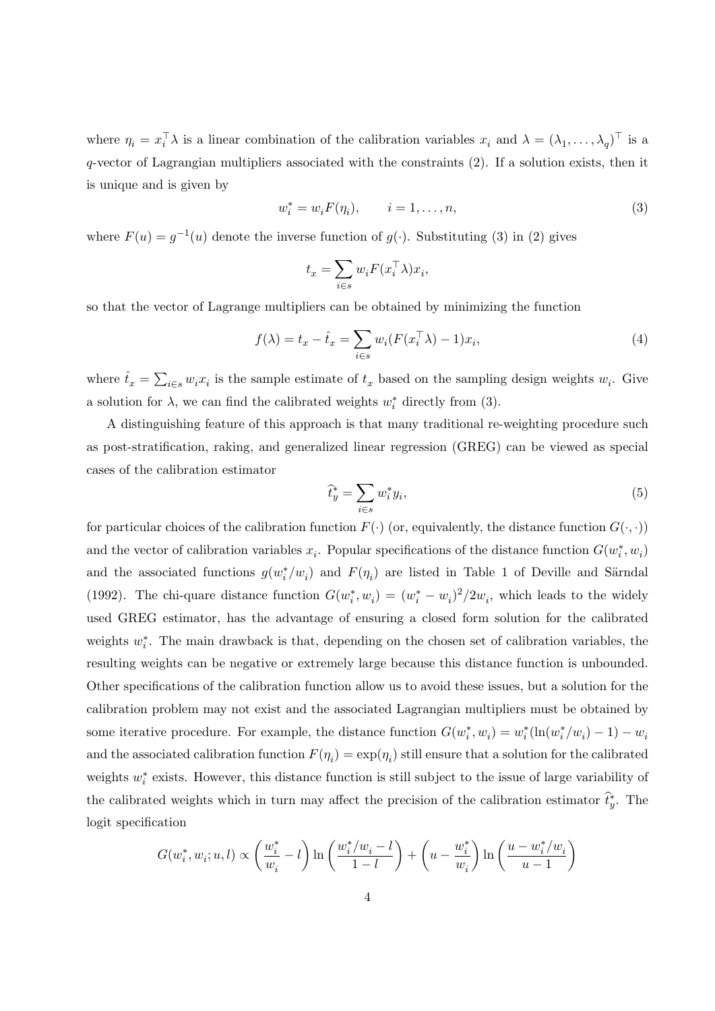where  $\eta_i = x_i^{\top} \lambda$  is a linear combination of the calibration variables  $x_i$  and  $\lambda = (\lambda_1, \ldots, \lambda_q)^{\top}$  is a q-vector of Lagrangian multipliers associated with the constraints (2). If a solution exists, then it is unique and is given by

$$
w_i^* = w_i F(\eta_i), \qquad i = 1, \dots, n,
$$
\n(3)

where  $F(u) = g^{-1}(u)$  denote the inverse function of  $g(\cdot)$ . Substituting (3) in (2) gives

$$
t_x = \sum_{i \in s} w_i F(x_i^\top \lambda) x_i,
$$

so that the vector of Lagrange multipliers can be obtained by minimizing the function

$$
f(\lambda) = t_x - \hat{t}_x = \sum_{i \in s} w_i (F(x_i^\top \lambda) - 1) x_i,
$$
\n<sup>(4)</sup>

where  $\hat{t}_x = \sum_{i \in s} w_i x_i$  is the sample estimate of  $t_x$  based on the sampling design weights  $w_i$ . Give a solution for  $\lambda$ , we can find the calibrated weights  $w_i^*$  directly from (3).

A distinguishing feature of this approach is that many traditional re-weighting procedure such as post-stratification, raking, and generalized linear regression (GREG) can be viewed as special cases of the calibration estimator

$$
\widehat{t}_y^* = \sum_{i \in s} w_i^* y_i,\tag{5}
$$

for particular choices of the calibration function  $F(\cdot)$  (or, equivalently, the distance function  $G(\cdot, \cdot)$ ) and the vector of calibration variables  $x_i$ . Popular specifications of the distance function  $G(w_i^*, w_i)$ and the associated functions  $g(w_i^*/w_i)$  and  $F(\eta_i)$  are listed in Table 1 of Deville and Särndal (1992). The chi-quare distance function  $G(w_i^*, w_i) = (w_i^* - w_i)^2/2w_i$ , which leads to the widely used GREG estimator, has the advantage of ensuring a closed form solution for the calibrated weights  $w_i^*$ . The main drawback is that, depending on the chosen set of calibration variables, the resulting weights can be negative or extremely large because this distance function is unbounded. Other specifications of the calibration function allow us to avoid these issues, but a solution for the calibration problem may not exist and the associated Lagrangian multipliers must be obtained by some iterative procedure. For example, the distance function  $G(w_i^*, w_i) = w_i^* (\ln(w_i^* / w_i) - 1) - w_i$ and the associated calibration function  $F(\eta_i) = \exp(\eta_i)$  still ensure that a solution for the calibrated weights  $w_i^*$  exists. However, this distance function is still subject to the issue of large variability of the calibrated weights which in turn may affect the precision of the calibration estimator  $\hat{t}_y^*$ . The logit specification

$$
G(w_i^*, w_i; u, l) \propto \left(\frac{w_i^*}{w_i} - l\right) \ln\left(\frac{w_i^*/w_i - l}{1 - l}\right) + \left(u - \frac{w_i^*}{w_i}\right) \ln\left(\frac{u - w_i^*/w_i}{u - 1}\right)
$$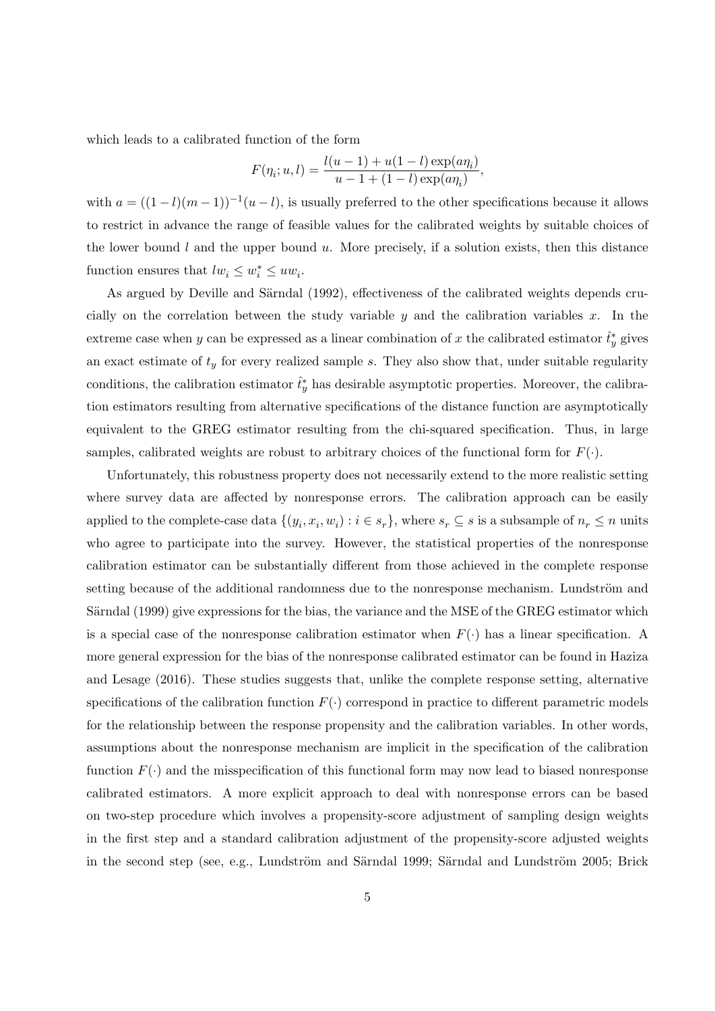which leads to a calibrated function of the form

$$
F(\eta_i; u, l) = \frac{l(u - 1) + u(1 - l) \exp(a \eta_i)}{u - 1 + (1 - l) \exp(a \eta_i)},
$$

with  $a = ((1 - l)(m - 1))^{-1}(u - l)$ , is usually preferred to the other specifications because it allows to restrict in advance the range of feasible values for the calibrated weights by suitable choices of the lower bound  $l$  and the upper bound  $u$ . More precisely, if a solution exists, then this distance function ensures that  $lw_i \leq w_i^* \leq uw_i$ .

As argued by Deville and Särndal (1992), effectiveness of the calibrated weights depends crucially on the correlation between the study variable  $y$  and the calibration variables  $x$ . In the extreme case when y can be expressed as a linear combination of x the calibrated estimator  $\hat{t}^*_y$  gives an exact estimate of  $t_y$  for every realized sample s. They also show that, under suitable regularity conditions, the calibration estimator  $\hat{t}^*_{y}$  has desirable asymptotic properties. Moreover, the calibration estimators resulting from alternative specifications of the distance function are asymptotically equivalent to the GREG estimator resulting from the chi-squared specification. Thus, in large samples, calibrated weights are robust to arbitrary choices of the functional form for  $F(\cdot)$ .

Unfortunately, this robustness property does not necessarily extend to the more realistic setting where survey data are affected by nonresponse errors. The calibration approach can be easily applied to the complete-case data  $\{(y_i, x_i, w_i) : i \in s_r\}$ , where  $s_r \subseteq s$  is a subsample of  $n_r \leq n$  units who agree to participate into the survey. However, the statistical properties of the nonresponse calibration estimator can be substantially different from those achieved in the complete response setting because of the additional randomness due to the nonresponse mechanism. Lundström and Särndal (1999) give expressions for the bias, the variance and the MSE of the GREG estimator which is a special case of the nonresponse calibration estimator when  $F(\cdot)$  has a linear specification. A more general expression for the bias of the nonresponse calibrated estimator can be found in Haziza and Lesage (2016). These studies suggests that, unlike the complete response setting, alternative specifications of the calibration function  $F(\cdot)$  correspond in practice to different parametric models for the relationship between the response propensity and the calibration variables. In other words, assumptions about the nonresponse mechanism are implicit in the specification of the calibration function  $F(\cdot)$  and the misspecification of this functional form may now lead to biased nonresponse calibrated estimators. A more explicit approach to deal with nonresponse errors can be based on two-step procedure which involves a propensity-score adjustment of sampling design weights in the first step and a standard calibration adjustment of the propensity-score adjusted weights in the second step (see, e.g., Lundström and Särndal 1999; Särndal and Lundström 2005; Brick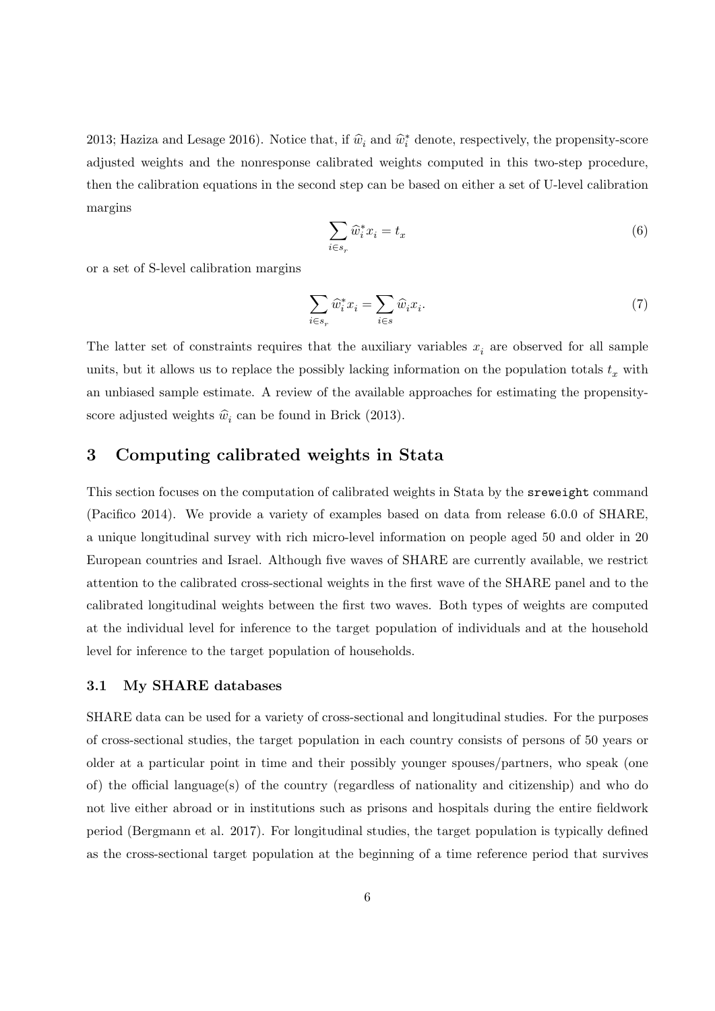2013; Haziza and Lesage 2016). Notice that, if  $\hat{w}_i$  and  $\hat{w}_i^*$  denote, respectively, the propensity-score adjusted weights and the nonresponse calibrated weights computed in this two-step procedure, then the calibration equations in the second step can be based on either a set of U-level calibration margins

$$
\sum_{i \in s_r} \widehat{w}_i^* x_i = t_x \tag{6}
$$

or a set of S-level calibration margins

$$
\sum_{i \in s_r} \widehat{w}_i^* x_i = \sum_{i \in s} \widehat{w}_i x_i.
$$
\n<sup>(7)</sup>

The latter set of constraints requires that the auxiliary variables  $x_i$  are observed for all sample units, but it allows us to replace the possibly lacking information on the population totals  $t<sub>x</sub>$  with an unbiased sample estimate. A review of the available approaches for estimating the propensityscore adjusted weights  $\hat{w}_i$  can be found in Brick (2013).

### 3 Computing calibrated weights in Stata

This section focuses on the computation of calibrated weights in Stata by the sreweight command (Pacifico 2014). We provide a variety of examples based on data from release 6.0.0 of SHARE, a unique longitudinal survey with rich micro-level information on people aged 50 and older in 20 European countries and Israel. Although five waves of SHARE are currently available, we restrict attention to the calibrated cross-sectional weights in the first wave of the SHARE panel and to the calibrated longitudinal weights between the first two waves. Both types of weights are computed at the individual level for inference to the target population of individuals and at the household level for inference to the target population of households.

#### 3.1 My SHARE databases

SHARE data can be used for a variety of cross-sectional and longitudinal studies. For the purposes of cross-sectional studies, the target population in each country consists of persons of 50 years or older at a particular point in time and their possibly younger spouses/partners, who speak (one of) the official language(s) of the country (regardless of nationality and citizenship) and who do not live either abroad or in institutions such as prisons and hospitals during the entire fieldwork period (Bergmann et al. 2017). For longitudinal studies, the target population is typically defined as the cross-sectional target population at the beginning of a time reference period that survives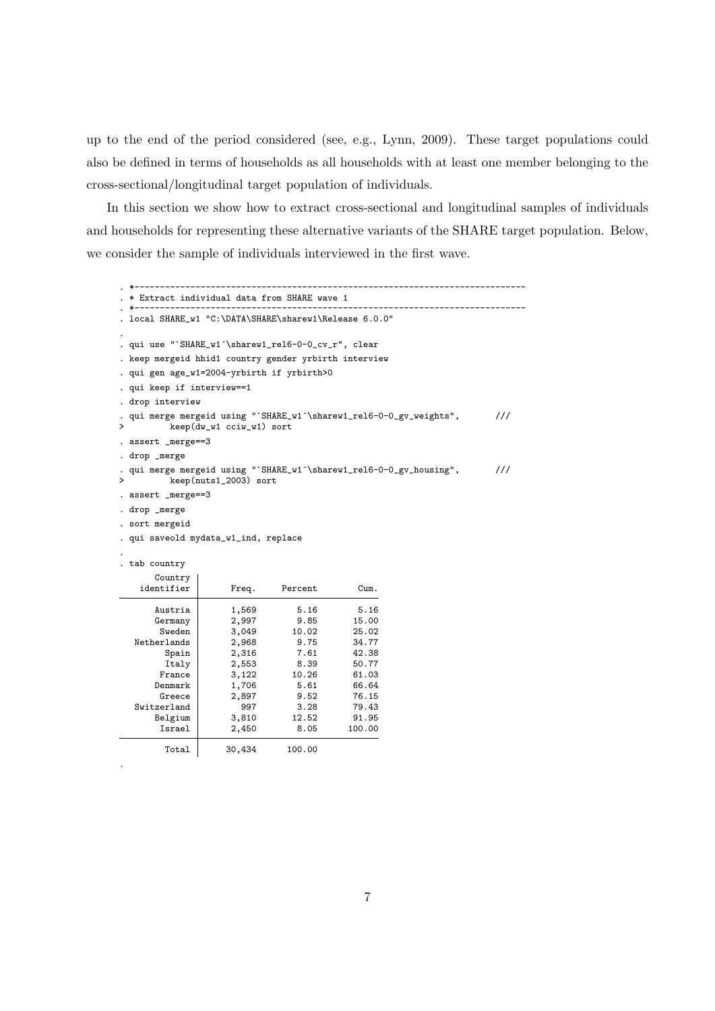up to the end of the period considered (see, e.g., Lynn, 2009). These target populations could also be defined in terms of households as all households with at least one member belonging to the cross-sectional/longitudinal target population of individuals.

In this section we show how to extract cross-sectional and longitudinal samples of individuals and households for representing these alternative variants of the SHARE target population. Below, we consider the sample of individuals interviewed in the first wave.

```
. *-----------------------------------------------------------------------------
. * Extract individual data from SHARE wave 1
. *-----------------------------------------------------------------------------
. local SHARE_w1 "C:\DATA\SHARE\sharew1\Release 6.0.0"
.
. qui use "`SHARE_w1´\sharew1_rel6-0-0_cv_r", clear
. keep mergeid hhid1 country gender yrbirth interview
. qui gen age_w1=2004-yrbirth if yrbirth>0
. qui keep if interview==1
. drop interview
. qui merge mergeid using "`SHARE_w1´\sharew1_rel6-0-0_gv_weights", ///<br>> keen(dy w1 cciw w1) sort
          > keep(dw_w1 cciw_w1) sort
. assert _merge==3
. drop merge
. qui merge mergeid using "`SHARE_w1´\sharew1_rel6-0-0_gv_housing", ///<br>> keep(nuts1 2003) sort
          > keep(nuts1_2003) sort
. assert _merge==3
. drop _merge
. sort mergeid
. qui saveold mydata_w1_ind, replace
.
. tab country
      Country
   identifier Freq. Percent Cum.
       Austria 1,569 5.16 5.16<br>Germany 2,997 9.85 15.00
       Germany
        Sweden 3,049 10.02 25.02
  Netherlands 2,968 9.75 34.77<br>Spain 2,316 7.61 42.38
         Spain 2,316 7.61 42.38<br>
Italy 2,553 8.39 50.77
        Italy 2,553 8.39 50.77
                      France 3,122 10.26 61.03<br>1.706 5.61 66.64
       Denmark 1,706 5.61 66.64
        Greece 2,897 9.52 76.15<br>
erland 997 3.28 79.43
  Switzerland 997 3.28 79.43<br>Belgium 3,810 12.52 91.95
       Belgium 3,810 12.52<br>Israel 2,450 8.05
                                              100.00Total 30,434 100.00
```
.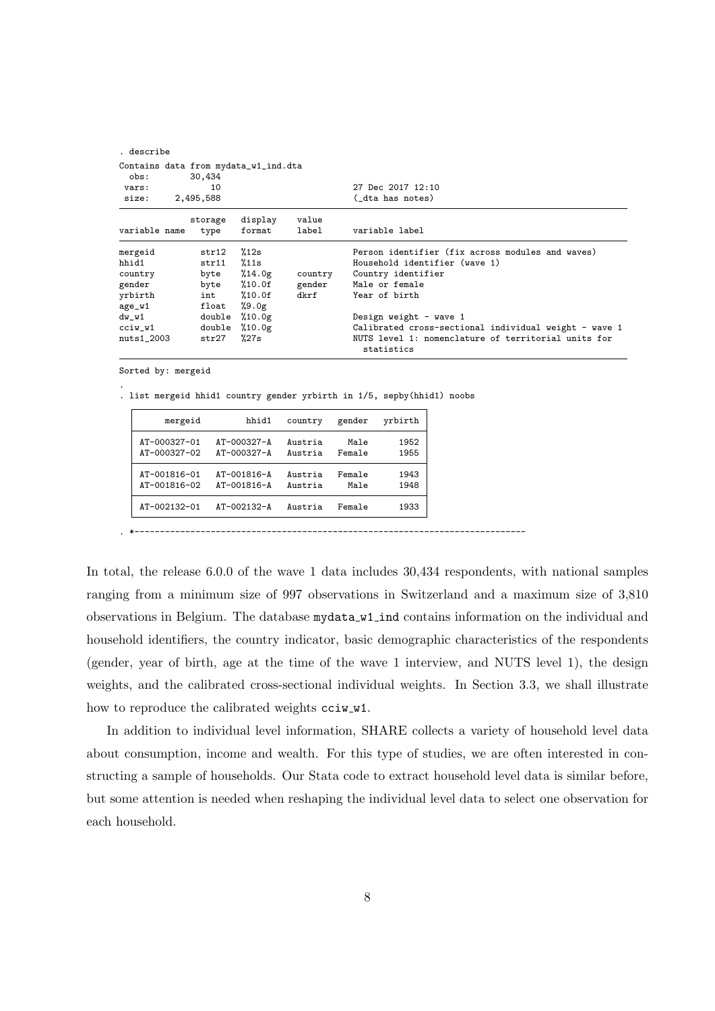| . describe    |  |           |                                      |         |                                                                   |
|---------------|--|-----------|--------------------------------------|---------|-------------------------------------------------------------------|
| obs:          |  | 30,434    | Contains data from mydata_w1_ind.dta |         |                                                                   |
| vars:         |  | 10        |                                      |         | 27 Dec 2017 12:10                                                 |
| size:         |  | 2,495,588 |                                      |         | ( dta has notes)                                                  |
|               |  | storage   | display                              | value   |                                                                   |
| variable name |  | type      | format                               | label   | variable label                                                    |
| mergeid       |  | str12     | %12s                                 |         | Person identifier (fix across modules and waves)                  |
| hhid1         |  | str11     | %11s                                 |         | Household identifier (wave 1)                                     |
| country       |  | byte      | %14.0g                               | country | Country identifier                                                |
| gender        |  | byte      | %10.0f                               | gender  | Male or female                                                    |
| yrbirth       |  | int       | $\frac{\%}{\%}10.0f$                 | dkrf    | Year of birth                                                     |
| age_w1        |  | float     | %9.0g                                |         |                                                                   |
| dw_w1         |  | double    | %10.0g                               |         | Design weight - wave 1                                            |
| cciw_w1       |  | double    | %10.0g                               |         | Calibrated cross-sectional individual weight - wave 1             |
| $nuts1_2003$  |  | str27     | %27s                                 |         | NUTS level 1: nomenclature of territorial units for<br>statistics |

Sorted by: mergeid

.

. list mergeid hhid1 country gender yrbirth in 1/5, sepby(hhid1) noobs

| mergeid      | hhid1             | country | gender | yrbirth |
|--------------|-------------------|---------|--------|---------|
| AT-000327-01 | $AT - 000327 - A$ | Austria | Male   | 1952    |
| AT-000327-02 | AT-000327-A       | Austria | Female | 1955    |
| AT-001816-01 | $AT - 001816 - A$ | Austria | Female | 1943    |
| AT-001816-02 | AT-001816-A       | Austria | Male   | 1948    |
| AT-002132-01 | $AT - 002132 - A$ | Austria | Female | 1933    |

In total, the release 6.0.0 of the wave 1 data includes 30,434 respondents, with national samples ranging from a minimum size of 997 observations in Switzerland and a maximum size of 3,810 observations in Belgium. The database mydata w1 ind contains information on the individual and household identifiers, the country indicator, basic demographic characteristics of the respondents (gender, year of birth, age at the time of the wave 1 interview, and NUTS level 1), the design weights, and the calibrated cross-sectional individual weights. In Section 3.3, we shall illustrate how to reproduce the calibrated weights cciw\_w1.

In addition to individual level information, SHARE collects a variety of household level data about consumption, income and wealth. For this type of studies, we are often interested in constructing a sample of households. Our Stata code to extract household level data is similar before, but some attention is needed when reshaping the individual level data to select one observation for each household.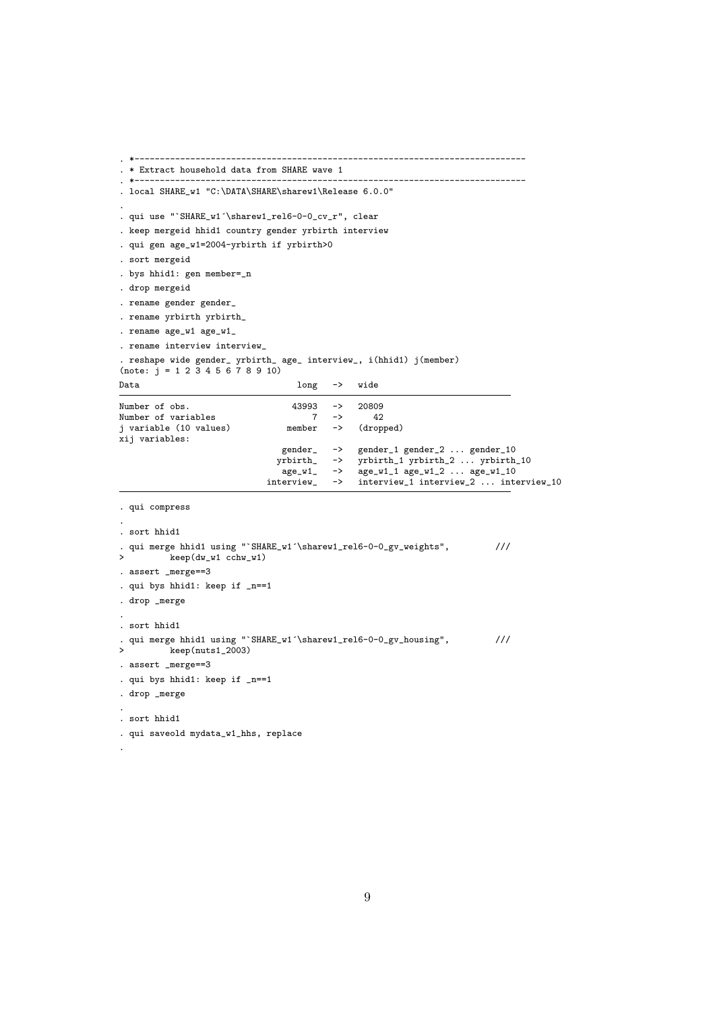```
. *-----------------------------------------------------------------------------
. * Extract household data from SHARE wave 1
. *-----------------------------------------------------------------------------
. local SHARE_w1 "C:\DATA\SHARE\sharew1\Release 6.0.0"
.
. qui use "`SHARE_w1´\sharew1_rel6-0-0_cv_r", clear
. keep mergeid hhid1 country gender yrbirth interview
. qui gen age_w1=2004-yrbirth if yrbirth>0
. sort mergeid
. bys hhid1: gen member=_n
. drop mergeid
. rename gender gender_
. rename yrbirth yrbirth_
. rename age_w1 age_w1_
. rename interview interview_
. reshape wide gender_ yrbirth_ age_ interview_, i(hhid1) j(member)
(note: j = 1 2 3 4 5 6 7 8 9 10)
Data long \rightarrow wide
Number of obs. <br>
Number of variables<br>
7 \rightarrow 42Number of variables<br>
j variable (10 values) 17 -> 42<br>
member -> (dropped)
j variable (10 values)
xij variables:
                                   gender_ -> gender_1 gender_2 ... gender_10
                                  yrbirth_  -> yrbirth_1 yrbirth_2 ... yrbirth_10<br>age_w1_  -> age_w1_1 age_w1_2 ... age_w1_10age_w1_ - \rightarrow age_w1_1 \text{ age}_w1_2 \dots \text{ age}_w1_10<br>interview_ -> interview_1 interview_2 ... interview_2 ...
                                                    interview_1 interview_2 ... interview_10
. qui compress
.
. sort hhid1
. qui merge hhid1 using "`SHARE_w1´\sharew1_rel6-0-0_gv_weights", \frac{1}{16}> keep(dw_w1 cchw_w1)
. assert _merge==3
. qui bys hhid1: keep if _n==1
. drop _merge
.
. sort hhid1
. qui merge hhid1 using "`SHARE_w1´\sharew1_rel6-0-0_gv_housing", \frac{1}{2003}\mathbb{R}eep(nuts1_2003)
. assert _merge==3
. qui bys hhid1: keep if _n==1
. drop _merge
.
. sort hhid1
. qui saveold mydata_w1_hhs, replace
.
```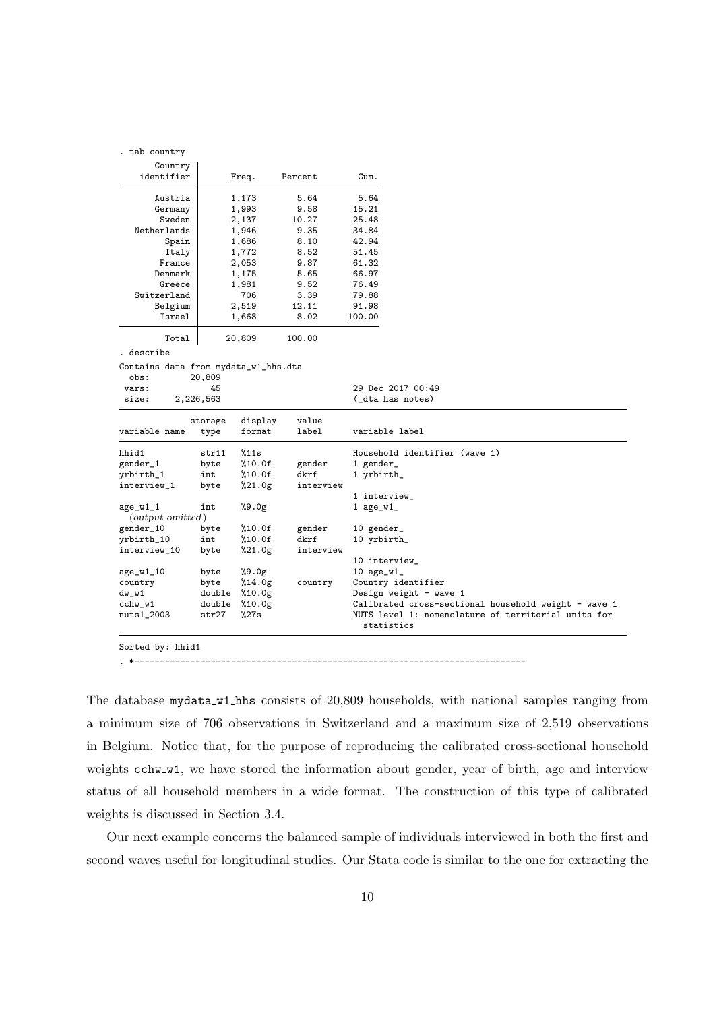|  |  | tab country |
|--|--|-------------|
|--|--|-------------|

| Country<br>identifier | Freq.  | Percent | Cum.   |
|-----------------------|--------|---------|--------|
| Austria               | 1,173  | 5.64    | 5.64   |
| Germany               | 1,993  | 9.58    | 15.21  |
| Sweden                | 2,137  | 10.27   | 25.48  |
| Netherlands           | 1,946  | 9.35    | 34.84  |
| Spain                 | 1,686  | 8.10    | 42.94  |
| Italy                 | 1,772  | 8.52    | 51.45  |
| France                | 2,053  | 9.87    | 61.32  |
| Denmark               | 1,175  | 5.65    | 66.97  |
| Greece                | 1,981  | 9.52    | 76.49  |
| Switzerland           | 706    | 3.39    | 79.88  |
| Belgium               | 2,519  | 12.11   | 91.98  |
| Israel                | 1,668  | 8.02    | 100.00 |
| Total                 | 20,809 | 100.00  |        |

. describe

Contains data from mydata\_w1\_hhs.dta<br>obs: 20,809 obs: 20,809<br>vars: 45

| size:            | 2,226,563       |                   |                | (_dta has notes)                                                  |
|------------------|-----------------|-------------------|----------------|-------------------------------------------------------------------|
| variable name    | storage<br>type | display<br>format | value<br>label | variable label                                                    |
| hhid1            | str11           | %11s              |                | Household identifier (wave 1)                                     |
| gender_1         | byte            | %10.0f            | gender         | 1 gender_                                                         |
| yrbirth_1        | int             | %10.0f            | dkrf           | 1 yrbirth_                                                        |
| interview_1      | byte            | %21.0g            | interview      |                                                                   |
|                  |                 |                   |                | 1 interview_                                                      |
| $age_w1_1$       | int             | %9.0g             |                | 1 $age_w1$                                                        |
| (output omitted) |                 |                   |                |                                                                   |
| gender_10        | byte            | %10.0f            | gender         | 10 gender_                                                        |
| yrbirth_10       | int             | %10.0f            | dkrf           | 10 yrbirth_                                                       |
| interview_10     | byte            | %21.0g            | interview      |                                                                   |
|                  |                 |                   |                | 10 interview_                                                     |
| $age_w1_10$      | byte            | $\frac{9.0g}{2}$  |                | 10 $age_w1$                                                       |
| country          | byte            | %14.0g            | country        | Country identifier                                                |
| $dw_w1$          | double          | %10.0g            |                | Design weight - wave 1                                            |
| $c$ chw_w $1$    | double          | %10.0g            |                | Calibrated cross-sectional household weight - wave 1              |
| $nuts1_2003$     | str27           | %27s              |                | NUTS level 1: nomenclature of territorial units for<br>statistics |
|                  |                 |                   |                |                                                                   |

29 Dec 2017 00:49

Sorted by: hhid1

. \*-----------------------------------------------------------------------------

The database mydata w1 hhs consists of 20,809 households, with national samples ranging from a minimum size of 706 observations in Switzerland and a maximum size of 2,519 observations in Belgium. Notice that, for the purpose of reproducing the calibrated cross-sectional household weights cchw w1, we have stored the information about gender, year of birth, age and interview status of all household members in a wide format. The construction of this type of calibrated weights is discussed in Section 3.4.

Our next example concerns the balanced sample of individuals interviewed in both the first and second waves useful for longitudinal studies. Our Stata code is similar to the one for extracting the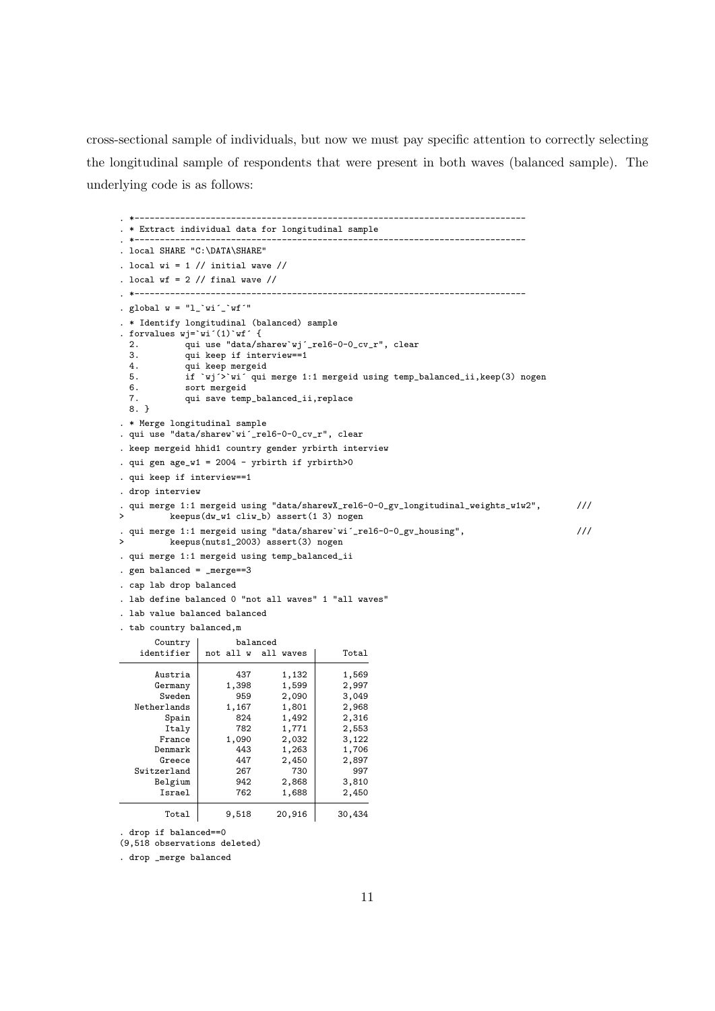cross-sectional sample of individuals, but now we must pay specific attention to correctly selecting the longitudinal sample of respondents that were present in both waves (balanced sample). The underlying code is as follows:

```
. *-----------------------------------------------------------------------------
. * Extract individual data for longitudinal sample
. *-----------------------------------------------------------------------------
. local SHARE "C:\DATA\SHARE"
. local wi = 1 // initial wave //
. local wf = 2 // final wave //
. *-----------------------------------------------------------------------------
. global w = "l_`wi'_`ur'''. * Identify longitudinal (balanced) sample
. forvalues wj=`wi´(1)`wf´ {
 2. qui use "data/sharew`wj´_rel6-0-0_cv_r", clear
 3. qui keep if interview==1
 4. qui keep mergeid<br>5. if `wj´>`wi´qui
  5. if `wj´>`wi´ qui merge 1:1 mergeid using temp_balanced_ii, keep(3) nogen 6.
              6. sort mergeid
  7. qui save temp_balanced_ii,replace
 8. }
. * Merge longitudinal sample
. qui use "data/sharew`wi´_rel6-0-0_cv_r", clear
. keep mergeid hhid1 country gender yrbirth interview
. qui gen age_w1 = 2004 - yrbirth if yrbirth>0
. qui keep if interview==1
. drop interview
. qui merge 1:1 mergeid using "data/sharewX_rel6-0-0_gv_longitudinal_weights_w1w2", ///<br>> keeppus(dw w1 cliw b) assert(1 3) nogen
          > keepus(dw_w1 cliw_b) assert(1 3) nogen
 qui merge 1:1 mergeid using "data/sharew`wi´_rel6-0-0_gv_housing", \frac{1}{1} ///
> keepus(nuts1_2003) assert(3) nogen
. qui merge 1:1 mergeid using temp_balanced_ii
. gen balanced = _merge==3
. cap lab drop balanced
. lab define balanced 0 "not all waves" 1 "all waves"
. lab value balanced balanced
. tab country balanced,m
    Country balanced<br>identifier not all w all
                  not all w all waves | Total
       Austria 1, 437 1, 132 1, 569<br>Germany 1, 398 1, 599 2, 997
       Germany 1,398 1,599 2,997<br>Sweden 959 2,090 3.049
        Sweden 959 2,090 3,049<br>
erlands 1,167 1,801 2,968
   Netherlands 1,167 1,801 2,968<br>Spain 824 1,492 2,316
         Spain 824 1,492 2,316<br>Ttaly 782 1,771 2,553
        \begin{array}{|c|c|c|c|c|}\n\hline\n\text{Italy} & 782 & 1,771 & 2,553 \\
\text{France} & 1.090 & 2.032 & 3.122\n\end{array}Propose 2,032 3,122<br>443 1,263 1,706
       Denmark 443 1,263 1,706<br>Greece 447 2,450 2,897
                         447 2,450 2,897<br>267 730 997
   Switzerland 267 730 997<br>Belgium 942 2,868 3,810
       Belgium 942 2,868 3,810<br>Israel 762 1,688 2,450
        Israel 762 1,688
         Total 9,518 20,916 30,434
. drop if balanced==0
(9,518 observations deleted)
```
. drop \_merge balanced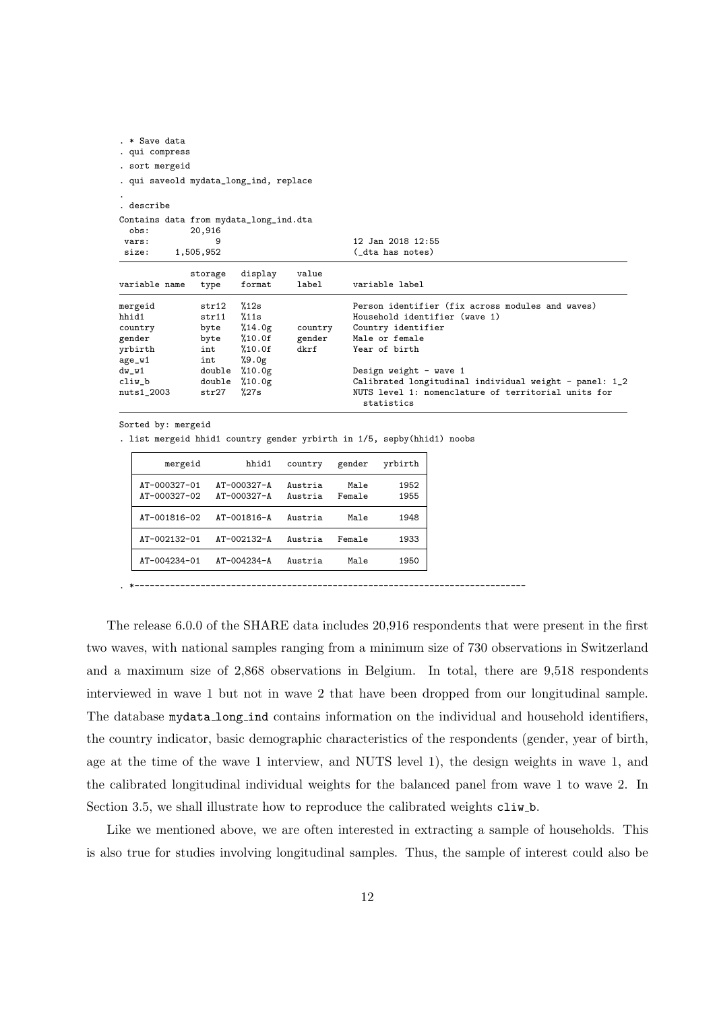| . * Save data                                  |                                        |                   |                |                                                                                                                             |  |  |  |  |  |
|------------------------------------------------|----------------------------------------|-------------------|----------------|-----------------------------------------------------------------------------------------------------------------------------|--|--|--|--|--|
| . qui compress                                 |                                        |                   |                |                                                                                                                             |  |  |  |  |  |
| . sort mergeid                                 |                                        |                   |                |                                                                                                                             |  |  |  |  |  |
|                                                | . qui saveold mydata_long_ind, replace |                   |                |                                                                                                                             |  |  |  |  |  |
| describe.                                      |                                        |                   |                |                                                                                                                             |  |  |  |  |  |
| Contains data from mydata_long_ind.dta<br>obs: | 20,916                                 |                   |                |                                                                                                                             |  |  |  |  |  |
| vars:                                          | 9                                      |                   |                | 12 Jan 2018 12:55                                                                                                           |  |  |  |  |  |
| size:                                          | 1,505,952                              |                   |                | (_dta has notes)                                                                                                            |  |  |  |  |  |
| variable name                                  | storage<br>type                        | display<br>format | value<br>label | variable label                                                                                                              |  |  |  |  |  |
| mergeid                                        | str12                                  | %12s              |                | Person identifier (fix across modules and waves)                                                                            |  |  |  |  |  |
| hhid1                                          | str11                                  | %11s              |                | Household identifier (wave 1)                                                                                               |  |  |  |  |  |
| country                                        | byte                                   | %14.0g            | country        | Country identifier                                                                                                          |  |  |  |  |  |
| gender                                         | byte                                   | %10.0f            | gender         | Male or female                                                                                                              |  |  |  |  |  |
| yrbirth                                        | int                                    | %10.0f            | dkrf           | Year of birth                                                                                                               |  |  |  |  |  |
| age_w1                                         | int                                    | $\frac{9.0g}{2}$  |                |                                                                                                                             |  |  |  |  |  |
| $dw_w1$                                        | double                                 | %10.0g            |                | Design weight - wave 1                                                                                                      |  |  |  |  |  |
| $cliw_b$<br>$nuts1_2003$                       | double<br>str27                        | %10.0g<br>%27s    |                | Calibrated longitudinal individual weight - panel: 1_2<br>NUTS level 1: nomenclature of territorial units for<br>statistics |  |  |  |  |  |
|                                                |                                        |                   |                |                                                                                                                             |  |  |  |  |  |

```
Sorted by: mergeid
```
. list mergeid hhid1 country gender yrbirth in 1/5, sepby(hhid1) noobs

| mergeid                      | hhid1                                  | country            | gender         | yrbirth      |
|------------------------------|----------------------------------------|--------------------|----------------|--------------|
| AT-000327-01<br>AT-000327-02 | $AT - 000327 - A$<br>$AT - 000327 - A$ | Austria<br>Austria | Male<br>Female | 1952<br>1955 |
| AT-001816-02                 | AT-001816-A                            | Austria            | Male           | 1948         |
| AT-002132-01                 | $AT - 002132 - A$                      | Austria            | Female         | 1933         |
| AT-004234-01                 | $AT - 004234 - A$                      | Austria            | Male           | 1950         |

. \*-----------------------------------------------------------------------------

The release 6.0.0 of the SHARE data includes 20,916 respondents that were present in the first two waves, with national samples ranging from a minimum size of 730 observations in Switzerland and a maximum size of 2,868 observations in Belgium. In total, there are 9,518 respondents interviewed in wave 1 but not in wave 2 that have been dropped from our longitudinal sample. The database mydata long ind contains information on the individual and household identifiers, the country indicator, basic demographic characteristics of the respondents (gender, year of birth, age at the time of the wave 1 interview, and NUTS level 1), the design weights in wave 1, and the calibrated longitudinal individual weights for the balanced panel from wave 1 to wave 2. In Section 3.5, we shall illustrate how to reproduce the calibrated weights cliw\_b.

Like we mentioned above, we are often interested in extracting a sample of households. This is also true for studies involving longitudinal samples. Thus, the sample of interest could also be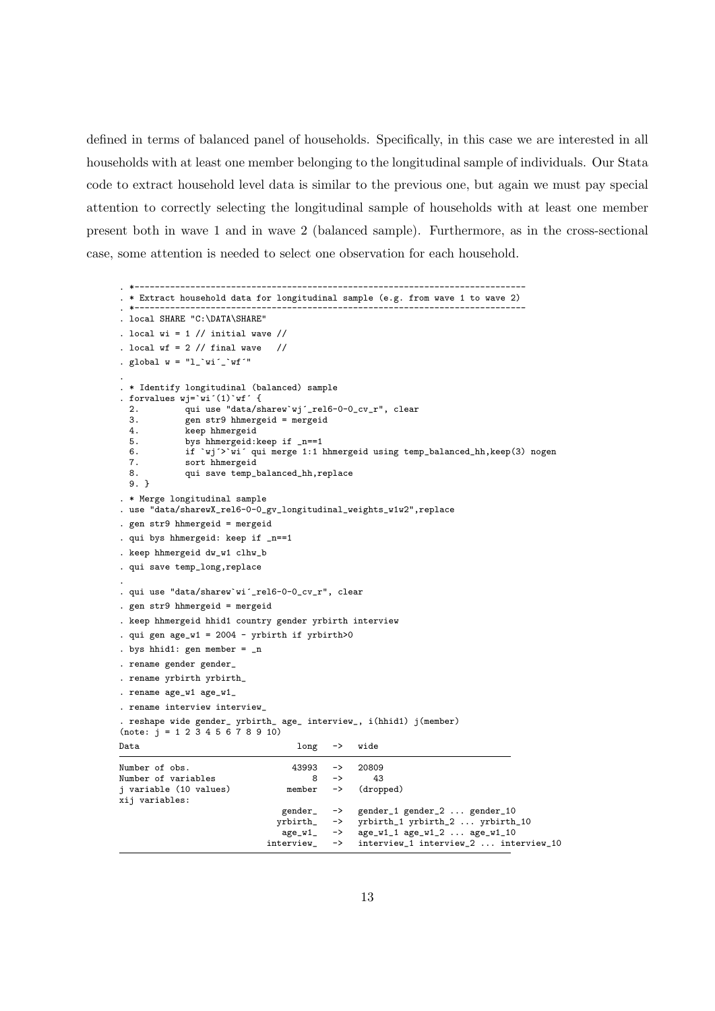defined in terms of balanced panel of households. Specifically, in this case we are interested in all households with at least one member belonging to the longitudinal sample of individuals. Our Stata code to extract household level data is similar to the previous one, but again we must pay special attention to correctly selecting the longitudinal sample of households with at least one member present both in wave 1 and in wave 2 (balanced sample). Furthermore, as in the cross-sectional case, some attention is needed to select one observation for each household.

```
. *-----------------------------------------------------------------------------
. * Extract household data for longitudinal sample (e.g. from wave 1 to wave 2)
. *-----------------------------------------------------------------------------
. local SHARE "C:\DATA\SHARE"
. local wi = 1 // initial wave //
. local wf = 2 // final wave //
. global w = "l_`wi'_`ur'''.
. * Identify longitudinal (balanced) sample
. forvalues wj=`wi´(1)`wf´ {
 2. qui use "data/sharew`wj´_rel6-0-0_cv_r", clear
 3. gen str9 hhmergeid = mergeid<br>4. keep hhmergeid
 4. keep hhmergeid<br>5. bys hhmergeid:
  5. bys hhmergeid: keep if _n == 1<br>6. if \vert \text{vi} \rangle and merge 1:1
  6. if `wj´>`wi´ qui merge 1:1 hhmergeid using temp_balanced_hh,keep(3) nogen
             sort hhmergeid
  8. qui save temp_balanced_hh,replace
 9. }
. * Merge longitudinal sample
. use "data/sharewX_rel6-0-0_gv_longitudinal_weights_w1w2",replace
. gen str9 hhmergeid = mergeid
qui bys hhmergeid: keep if _n==1
. keep hhmergeid dw_w1 clhw_b
. qui save temp_long,replace
.
. qui use "data/sharew`wi´_rel6-0-0_cv_r", clear
. gen str9 hhmergeid = mergeid
. keep hhmergeid hhid1 country gender yrbirth interview
. qui gen age_w1 = 2004 - yrbirth if yrbirth>0
. bys hhid1: gen member = _n
. rename gender gender_
. rename yrbirth yrbirth_
. rename age_w1 age_w1_
. rename interview interview_
 . reshape wide gender_ yrbirth_ age_ interview_, i(hhid1) j(member)
(note: i = 1 2 \overline{3} 4 5 \overline{6} 7 8 9 10)Data long -> wide
Number of obs. 43993 -> 20809<br>Number of variables 8 -> 43
Number of variables 8 -> 43<br>j variable (10 values) member -> (dropped)
j variable (10 values)
xij variables:
                                  gender_ -> gender_1 gender_2 ... gender_10<br>yrbirth_ -> yrbirth_1 yrbirth_2 ... yrbirth
                                  yrbirth_  -> yrbirth_1 yrbirth_2 ... yrbirth_10<br>age_w1_ -> age_w1_1 age_w1_2 ... age_w1_10age_w1_1 \text{ age}_w1_2 \dots \text{ age}_w1_10interview_ -> interview_1 interview_2 ... interview_10
```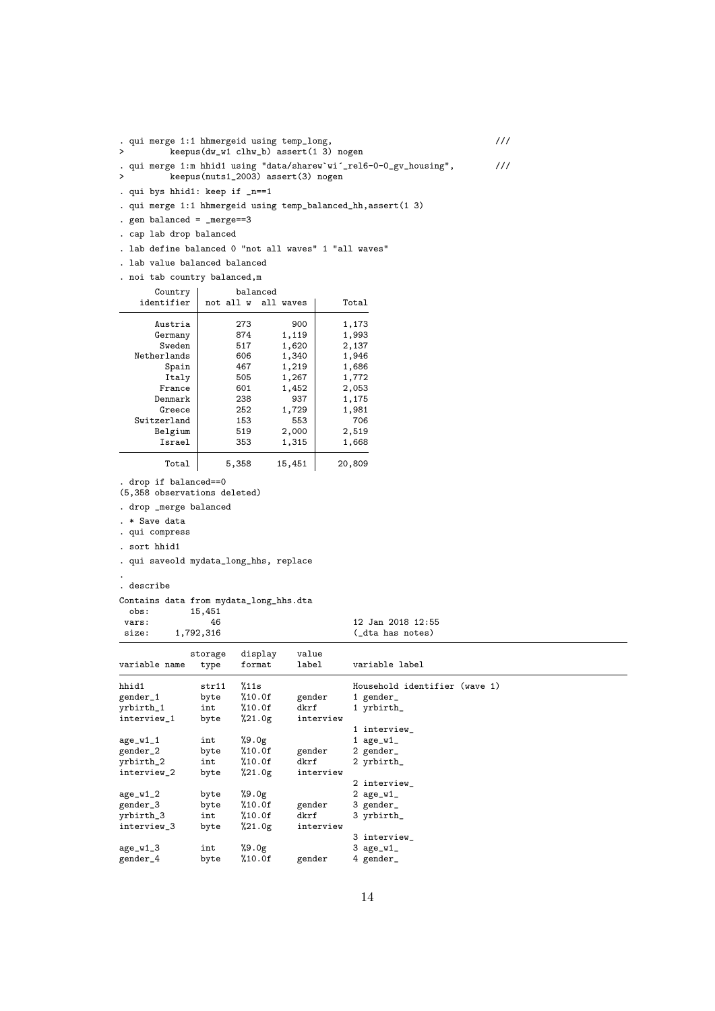| $\geq$ | . qui merge 1:1 hhmergeid using temp_long,<br>$keepus(dw_w1$ clhw_b) assert(1 3) nogen                   | ///           |
|--------|----------------------------------------------------------------------------------------------------------|---------------|
| $\geq$ | . qui merge 1:m hhid1 using "data/sharew`wi´_rel6-0-0_gv_housing",<br>keepus(nuts1_2003) assert(3) nogen | $\frac{1}{1}$ |
|        | . qui bys hhid1: keep if _n==1                                                                           |               |
|        | . qui merge 1:1 hhmergeid using temp_balanced_hh, assert (1 3)                                           |               |
|        | . gen balanced = $_m$ erge==3                                                                            |               |

. cap lab drop balanced

Denmark

. drop if balanced==0 (5,358 observations deleted) . drop \_merge balanced

. qui saveold mydata\_long\_hhs, replace

Contains data from mydata\_long\_hhs.dta 15,451

interview\_1 byte %21.0g interview

. \* Save data . qui compress . sort hhid1

. describe

interview\_3

.

. lab value balanced balanced . noi tab country balanced,m

Country balanced<br>identifier not all w all

. lab define balanced 0 "not all waves" 1 "all waves"

Austria 273 900 1,173<br>Germany 874 1,119 1,993 (ermany 874 1,119 1,993<br>Sweden 517 1,620 2,137

Greece 252 1,729 1,981<br>
Experiment 153 553 706 Switzerland 153 553 706<br>Belgium 519 2,000 2,519 Belgium 519 2,000 2,519<br>Israel 353 1,315 1,668

Total 5,358 15,451 20,809

vars: 46 12 Jan 2018 12:55<br>size: 1,792,316 (dta has notes) size: 1,792,316 (dta has notes)

hhid1 str11 %11s Household identifier (wave 1)<br>gender\_1 byte %10.0f gender 1 gender\_

1 interview\_

2 interview\_

3 interview\_

4 gender\_

14

int %10.0f dkrf 1 yrbirth\_<br>byte %21.0g interview

byte %10.0f gender 2 gender\_<br>int %10.0f dkrf 2 yrbirth\_

int %10.0f dkrf 3 yrbirth\_<br>byte %21.0g interview

storage display value variable name type format label variable label

gender\_1 byte %10.0f gender 1 gender\_<br>yrbirth\_1 int %10.0f dkrf 1 yrbirth

age\_w1\_1 int %9.0g 1 age\_w1\_<br>gender\_2 byte %10.0f gender 2 gender\_

yrbirth\_2 int %10.0f dkrf 2 yrbirth\_

 $age_w1_2$  byte  $%9.0g$  2  $age_w1_2$ <br>gender\_3 byte  $%10.0f$  gender 3 gender\_ gender\_3 byte %10.0f gender 3 gender\_<br>
yrbirth\_3 int %10.0f dkrf 3 yrbirth

 $age_w1\_3$  int  $\%9.0g$  3  $age_w1\_gender\_4$  byte  $\%10.0f$  gender 4 gender

interview\_2 byte %21.0g interview

Netherlands 606 1,340 1,946<br>Spain 467 1,219 1,686 Spain  $\begin{array}{|c|c|c|c|c|}\n \hline \text{Staily} & \text{467} & \text{1,219} & \text{1,686} \\
 \hline \text{Itally} & \text{505} & \text{1,267} & \text{1,772}\n \hline \end{array}$  $\begin{array}{c|cc} 1 & 505 & 1,267 & 1,772 \\ 1 & 601 & 1,452 & 2,053 \end{array}$ 

not all w all waves | Total

517 1,620 2,137<br>606 1,340 1,946

 $\begin{array}{c|c} 601 & 1,452 \\ 238 & 937 \end{array}$   $\begin{array}{c} 2,053 \\ 1,175 \end{array}$ 

1,315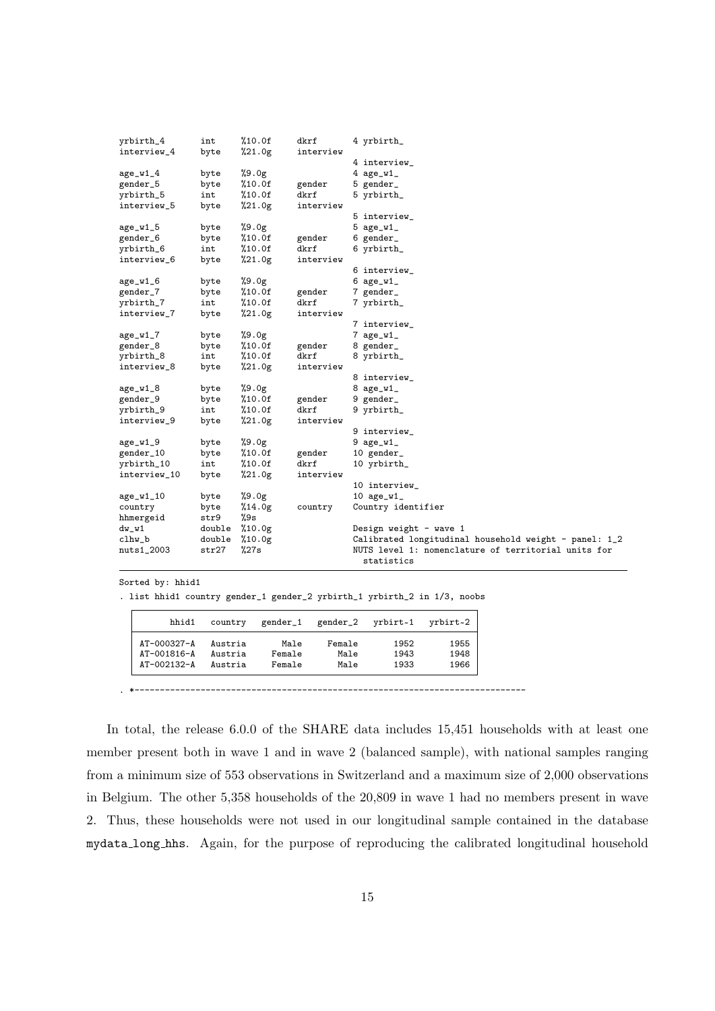| yrbirth_4    | int    | %10.0f | dkrf      | 4 yrbirth_                                            |
|--------------|--------|--------|-----------|-------------------------------------------------------|
| interview_4  | byte   | %21.0g | interview |                                                       |
|              |        |        |           | 4 interview_                                          |
| $age_w1_4$   | byte   | %9.0g  |           | $4$ age_w1_                                           |
| gender_5     | byte   | %10.0f | gender    | 5 gender_                                             |
| yrbirth_5    | int    | %10.0f | dkrf      | 5 yrbirth_                                            |
| interview_5  | byte   | %21.0g | interview |                                                       |
|              |        |        |           | 5 interview_                                          |
| $age_w1_5$   | byte   | %9.0g  |           | $5 \text{ age\_w1}$                                   |
| gender_6     | byte   | %10.0f | gender    | 6 gender_                                             |
| yrbirth_6    | int    | %10.0f | dkrf      | 6 yrbirth_                                            |
| interview_6  | byte   | %21.0g | interview |                                                       |
|              |        |        |           | 6 interview_                                          |
| $age_w1_6$   | byte   | %9.0g  |           | 6 $age_w1$                                            |
| gender_7     | byte   | %10.0f | gender    | 7 gender_                                             |
| yrbirth_7    | int    | %10.0f | dkrf      | 7 yrbirth_                                            |
| interview_7  | byte   | %21.0g | interview |                                                       |
|              |        |        |           | 7 interview_                                          |
| $age_w1_7$   | byte   | %9.0g  |           | $7 \text{ age\_w1}$                                   |
| gender_8     | byte   | %10.0f | gender    | 8 gender_                                             |
| yrbirth_8    | int    | %10.0f | dkrf      | 8 yrbirth_                                            |
| interview_8  | byte   | %21.0g | interview |                                                       |
|              |        |        |           | 8 interview_                                          |
| $age_w1_8$   | byte   | %9.0g  |           | 8 $age_w1$                                            |
| gender_9     | byte   | %10.0f | gender    | 9 gender_                                             |
| yrbirth_9    | int    | %10.0f | dkrf      | 9 yrbirth_                                            |
| interview_9  | byte   | %21.0g | interview |                                                       |
|              |        |        |           | 9 interview_                                          |
| $age_w1_9$   | byte   | %9.0g  |           | $9$ age_w1_                                           |
| gender_10    | byte   | %10.0f | gender    | 10 gender_                                            |
| yrbirth_10   | int    | %10.0f | dkrf      | 10 yrbirth_                                           |
| interview_10 | byte   | %21.0g | interview |                                                       |
|              |        |        |           | 10 interview_                                         |
| age_w1_10    | byte   | %9.0g  |           | 10 $age_w1$                                           |
| country      | byte   | %14.0g | country   | Country identifier                                    |
| hhmergeid    | str9   | %9s    |           |                                                       |
| $dw_w1$      | double | %10.0g |           | Design weight - wave 1                                |
| clhw_b       | double | %10.0g |           | Calibrated longitudinal household weight - panel: 1_2 |
| nuts1_2003   | str27  | %27s   |           | NUTS level 1: nomenclature of territorial units for   |
|              |        |        |           | statistics                                            |

Sorted by: hhid1

. list hhid1 country gender\_1 gender\_2 yrbirth\_1 yrbirth\_2 in 1/3, noobs

| hhid1             | country | gender_1 | gender_2 | yrbirt~1 | yrbirt~2 |
|-------------------|---------|----------|----------|----------|----------|
| AT-000327-A       | Austria | Male     | Female   | 1952     | 1955     |
| $AT - 001816 - A$ | Austria | Female   | Male     | 1943     | 1948     |
| $AT - 002132 - A$ | Austria | Female   | Male     | 1933     | 1966     |

. \*-----------------------------------------------------------------------------

In total, the release 6.0.0 of the SHARE data includes 15,451 households with at least one member present both in wave 1 and in wave 2 (balanced sample), with national samples ranging from a minimum size of 553 observations in Switzerland and a maximum size of 2,000 observations in Belgium. The other 5,358 households of the 20,809 in wave 1 had no members present in wave 2. Thus, these households were not used in our longitudinal sample contained in the database mydata long hhs. Again, for the purpose of reproducing the calibrated longitudinal household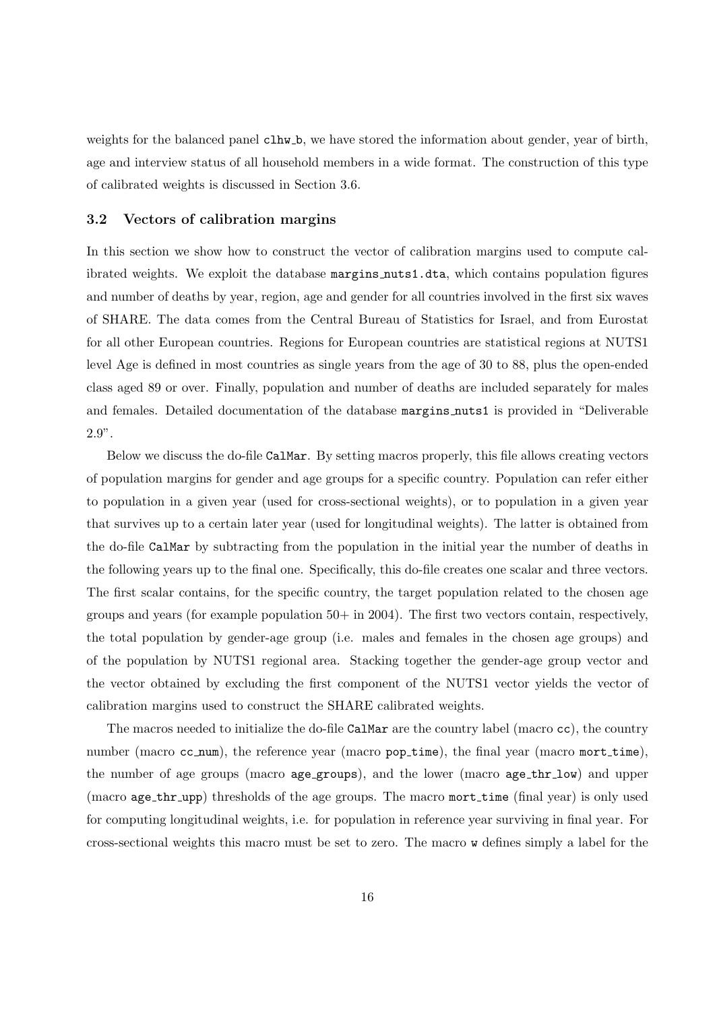weights for the balanced panel clhw\_b, we have stored the information about gender, year of birth, age and interview status of all household members in a wide format. The construction of this type of calibrated weights is discussed in Section 3.6.

#### 3.2 Vectors of calibration margins

In this section we show how to construct the vector of calibration margins used to compute calibrated weights. We exploit the database margins nuts1.dta, which contains population figures and number of deaths by year, region, age and gender for all countries involved in the first six waves of SHARE. The data comes from the Central Bureau of Statistics for Israel, and from Eurostat for all other European countries. Regions for European countries are statistical regions at NUTS1 level Age is defined in most countries as single years from the age of 30 to 88, plus the open-ended class aged 89 or over. Finally, population and number of deaths are included separately for males and females. Detailed documentation of the database margins nuts1 is provided in "Deliverable 2.9".

Below we discuss the do-file CalMar. By setting macros properly, this file allows creating vectors of population margins for gender and age groups for a specific country. Population can refer either to population in a given year (used for cross-sectional weights), or to population in a given year that survives up to a certain later year (used for longitudinal weights). The latter is obtained from the do-file CalMar by subtracting from the population in the initial year the number of deaths in the following years up to the final one. Specifically, this do-file creates one scalar and three vectors. The first scalar contains, for the specific country, the target population related to the chosen age groups and years (for example population  $50+$  in  $2004$ ). The first two vectors contain, respectively, the total population by gender-age group (i.e. males and females in the chosen age groups) and of the population by NUTS1 regional area. Stacking together the gender-age group vector and the vector obtained by excluding the first component of the NUTS1 vector yields the vector of calibration margins used to construct the SHARE calibrated weights.

The macros needed to initialize the do-file CalMar are the country label (macro cc), the country number (macro cc num), the reference year (macro pop time), the final year (macro mort time), the number of age groups (macro age groups), and the lower (macro age thr low) and upper (macro age thr upp) thresholds of the age groups. The macro mort time (final year) is only used for computing longitudinal weights, i.e. for population in reference year surviving in final year. For cross-sectional weights this macro must be set to zero. The macro w defines simply a label for the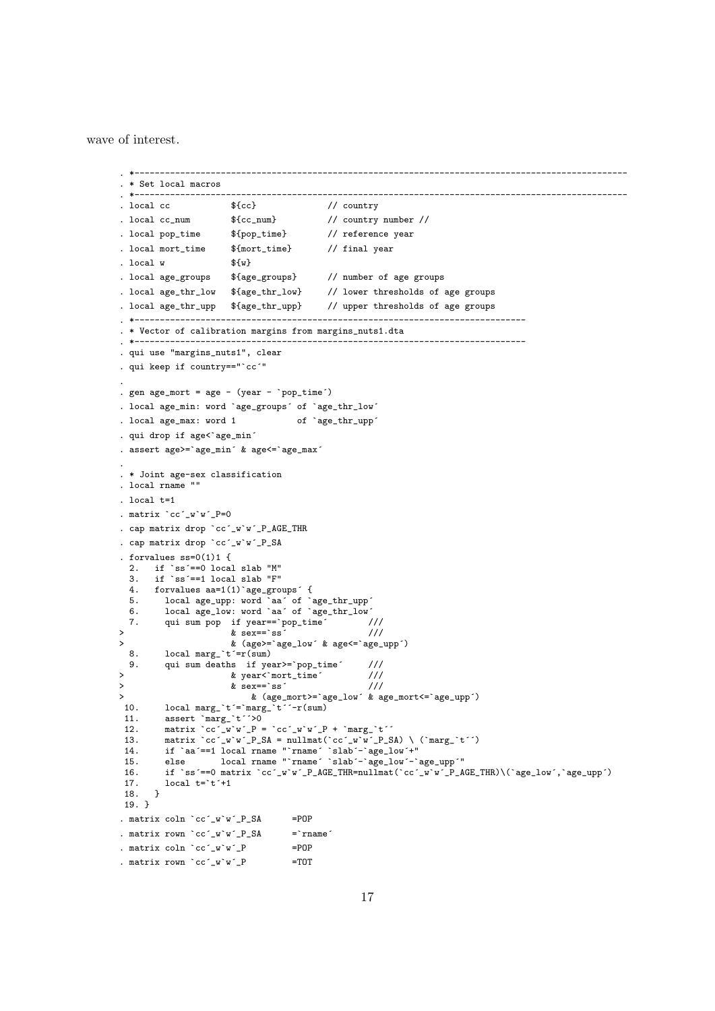wave of interest.

```
. *-------------------------------------------------------------------------------------------------
. * Set local macros
. *-------------------------------------------------------------------------------------------------
. local cc f{cc} // country
. local cc_num {Cc\_num} // country number //
. local pop_time $ {pop_time} // reference year
. local mort_time ${mort_time} // final year
. local w = \frac{\${w}}{\${w}}. local age_groups ${age_groups} // number of age groups
. local age_thr_low ${age_thr_low} // lower thresholds of age groups
. local age_thr_upp ${age_thr_upp} // upper thresholds of age groups
. *-----------------------------------------------------------------------------
. * Vector of calibration margins from margins_nuts1.dta
. *-----------------------------------------------------------------------------
. qui use "margins_nuts1", clear
. qui keep if country=="`cc´"
.
. gen age_mort = age - (year - `pop_time´)
. local age_min: word `age_groups´ of `age_thr_low´
. local age_max: word 1 of `age_thr_upp´
. qui drop if age<`age_min´
. assert age>=`age_min´ & age<=`age_max´
.
. * Joint age-sex classification
. local rname ""
. local t=1
. matrix `cc´_w`w´_P=0
. cap matrix drop `cc´_w`w´_P_AGE_THR
. cap matrix drop `cc´_w`w´_P_SA
. forvalues ss=0(1)1 {
  2. if `ss´==0 local slab "M"
  3. if `ss´==1 local slab "F"
  4. forvalues aa=1(1)`age_groups´ {
  5. local age_upp: word `aa´ of `age_thr_upp´
  6. local age_low: word `aa´ of `age_thr_low´
  7. qui sum pop if year==`pop_time´ ///
> & sex==`ss´ ///
> & (age>=`age_low´ & age<=`age_upp´)
       local \, \, \text{marg} \, \, \text{t} = r(\text{sum})9. qui sum deaths if year>=`pop_time´ ///
> & year<`mort_time´ ///
> & sex==`ss´ ///
> & (age_mort>=`age_low´ & age_mort<=`age_upp´)
        local <math>margin='t'='marg='t'='-r(sum)</math>11. assert \text{marg}_{\text{m}} t^2 > 012. matrix \text{`cc'_w`w'_P} = \text{`cc'_w`w'_P} + \text{`marg_*`t''}13. matrix \ccor \_w w'_P_S A = null \text{mat}(\ccor \_w w'_P_S A) \ \ ( \text{marg} \_t')14. if `aa´==1 local rname "`rname´ `slab´-`age_low´+"
 15. else local rname "`rname´ `slab´-`age_low´-`age_upp´"
 16. if `ss´==0 matrix `cc´_w`w´_P_AGE_THR=nullmat(`cc´_w`w´_P_AGE_THR)\(`age_low´,`age_upp´)<br>17. local t=`t´+1
        local t='t'+1
 18. }
 19. }
. matrix coln `cc´_w`w´_P_SA =POP
. matrix rown \text{`cc'_w`w'_P\_SA} =`rname
. matrix \text{coln} \text{cc}'\text{-}w\text{'}w\text{'}\text{-}P =POP
. matrix rown \text{`cc'}_w\text{'w'}_P =TOT
```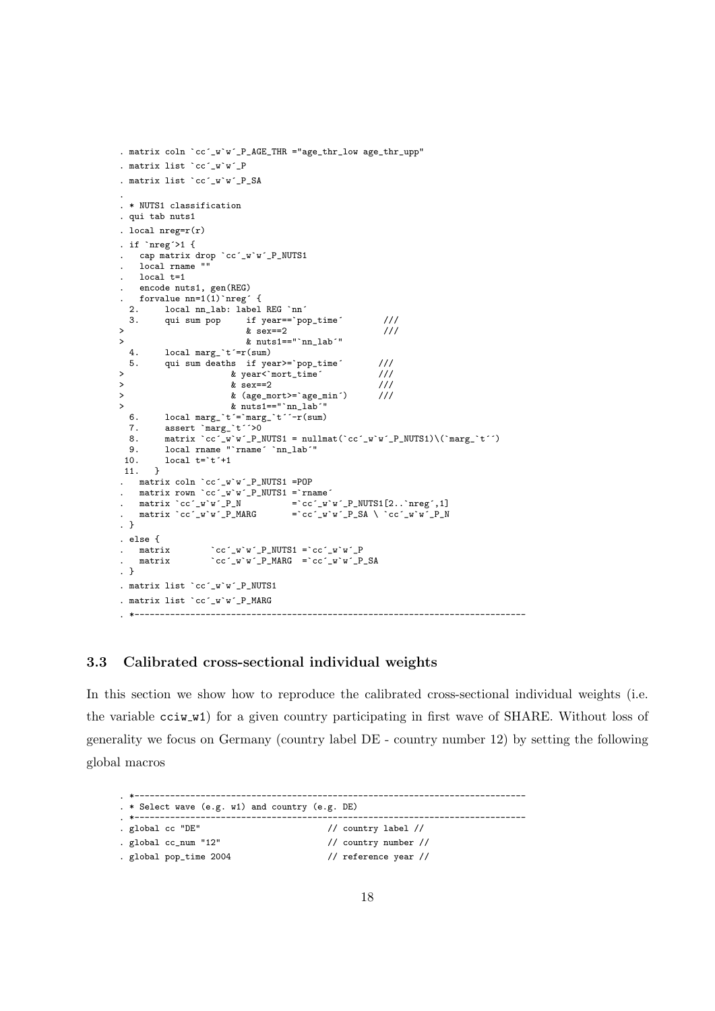```
. matrix coln `cc´_w`w´_P_AGE_THR ="age_thr_low age_thr_upp"
. matrix list `cc´_w`w´_P
. matrix list `cc´_w`w´_P_SA
.
. * NUTS1 classification
. qui tab nuts1
. local nreg=r(r)
. if ^{\circ}nreg^{\circ}>1 {
      . cap matrix drop `cc´_w`w´_P_NUTS1
     . local rname ""
     local t=1
     . encode nuts1, gen(REG)
  forvalue nn=1(1)<sup>nreg</sup> {<br>2. local nnlab: label
  2. local nn_lab: label REG `nn´<br>3. qui sum pop if year==`po
                                     \begin{array}{cc} \text{if } \text{year} == \text{'pop_time'} & // \ \text{\& } \text{sex} == 2 & // \end{array}> & sex==2 ///
  \& nuts1=="`nn_lab'"<br>4.      local marg `t'=r(sum)
   4. local\, margin.*'=r(sum)<br>5. qui sum deaths if ye.
             qui sum deaths if year>=`pop_time´ ///<br>& year<`mort_time´ ///
> \frac{1}{2} & year<`mort_time´ ///<br>
> & sex==2 ///
                                  \& sex==2
> & (age_mort>=`age_min´) ///
y muts1=="`nn_lab<sup>'"</sup><br>6. local marg_`t'=`marg_`t''-r(sum)
   6. local marg_'t'='marg_'t''-r(sum)<br>7. assert 'marg_'t''>0
   7. assert \text{marg}_t t<sup>o</sup> >0<br>8. matrix cc w w P N
    8. matrix \text{`cc'}_w w'_P_NNUTS1 = nullmat(\text{`cc'}_w w'_P_N_N_NIP_NUTS1)\(\text{`marg}_t t'´)
    9. local rname "`rname´ `nn_lab´"
             local t='t' + 1\begin{matrix} 10. \\ 11. \end{matrix} }
. matrix coln `cc´_w`w´_P_NUTS1 =POP
. matrix rown `cc´_w`w´_P_NUTS1 =`rname´
. matrix \text{`cc'}_w\text{`w'}_P_N = \text{`cc'}_w\text{`w'}_P_NUVTS1[2..\text{`nreg'},1]matrix \text{`cc'}_w \text{`w'}_P_MMARG = \text{`cc'}_w \text{`w'}_P_SA \ \text{`cc'}_w \text{`w'}_P_N. }
. else {
     matrix \operatorname{cc}^{\prime} \operatorname{cc}^{\prime} \operatorname{w}^{\prime} \mathsf{P} NUTS1 = \operatorname{cc}^{\prime} \operatorname{w}^{\prime} \mathsf{v}^{\prime} \mathsf{P} \operatorname{MARG} = \operatorname{cc}^{\prime} \operatorname{w}^{\prime} \mathsf{v}^{\prime} \mathsf{P} \operatorname{MARG} = \operatorname{cc}^{\prime} \operatorname{w}^{\prime} \mathsf{v}^{\prime}\text{c}\text{c} w w \text{P} MARG = \text{c}\text{c} w \text{w} P_SA
. }
. matrix list `cc´_w`w´_P_NUTS1
. matrix list `cc´_w`w´_P_MARG
. *-----------------------------------------------------------------------------
```
#### 3.3 Calibrated cross-sectional individual weights

In this section we show how to reproduce the calibrated cross-sectional individual weights (i.e. the variable cciw w1) for a given country participating in first wave of SHARE. Without loss of generality we focus on Germany (country label DE - country number 12) by setting the following global macros

| . *---------                                        |                                    |
|-----------------------------------------------------|------------------------------------|
| . * Select wave $(e.g. w1)$ and country $(e.g. DE)$ |                                    |
| . *-------------                                    |                                    |
| . global cc "DE"                                    | // country label //                |
| . global cc_num "12"                                | // country number $\frac{1}{\ell}$ |
| . global pop_time 2004                              | // reference year $\frac{1}{2}$    |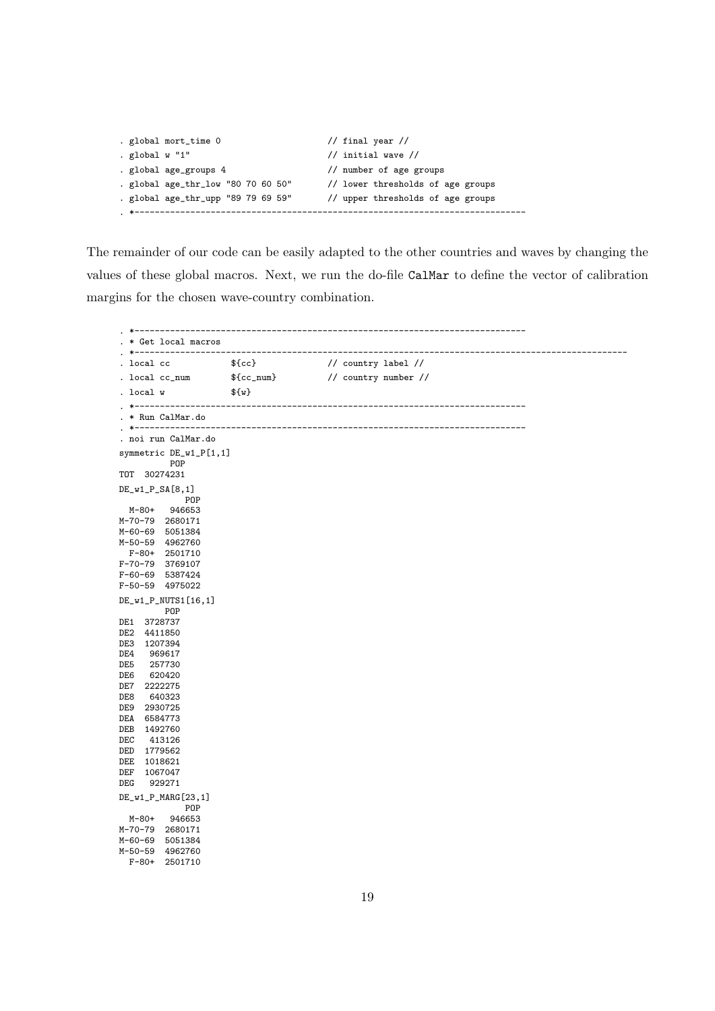```
. global mort_time 0 // final year //
. global w "1" \frac{1}{2} // initial wave //
. global age_groups 4 // number of age groups
. global age_thr_low "80 70 60 50" // lower thresholds of age groups
. global age_thr_upp "89 79 69 59" // upper thresholds of age groups
. *-----------------------------------------------------------------------------
```
The remainder of our code can be easily adapted to the other countries and waves by changing the values of these global macros. Next, we run the do-file CalMar to define the vector of calibration margins for the chosen wave-country combination.

. \*----------------------------------------------------------------------------- . \* Get local macros . \*------------------------------------------------------------------------------------------------- . local cc  $\{c\}$  // country label // . local cc\_num  $f{cc_$ text{num}} // country number // . local  $w = \frac{1}{w}$ . \*----------------------------------------------------------------------------- . \* Run CalMar.do<br>. \*---------------. \*----------------------------------------------------------------------------- . noi run CalMar.do symmetric DE\_w1\_P[1,1] POP TOT 30274231 DE\_w1\_P\_SA[8,1] POP M-80+ 946653 M-70-79 2680171 M-60-69 5051384 M-50-59 4962760 F-80+ 2501710 F-70-79 3769107 F-60-69 5387424 F-50-59 4975022 DE\_w1\_P\_NUTS1[16,1] POP DE1 3728737 DE2 4411850 DE3 1207394<br>DE4 969617 DE4 969617<br>DE5 257730 DE5 257730 620420 DE7 2222275<br>DE8 640323 640323 DE9 2930725 DEA 6584773 DEB 1492760<br>DEC 413126 DEC 413126 DED 1779562 DEE 1018621 DEF 1067047 DEG 929271 DE\_w1\_P\_MARG[23,1] POP<br>946653  $M - 80 +$ M-70-79 2680171 M-60-69 5051384 M-50-59 4962760 F-80+ 2501710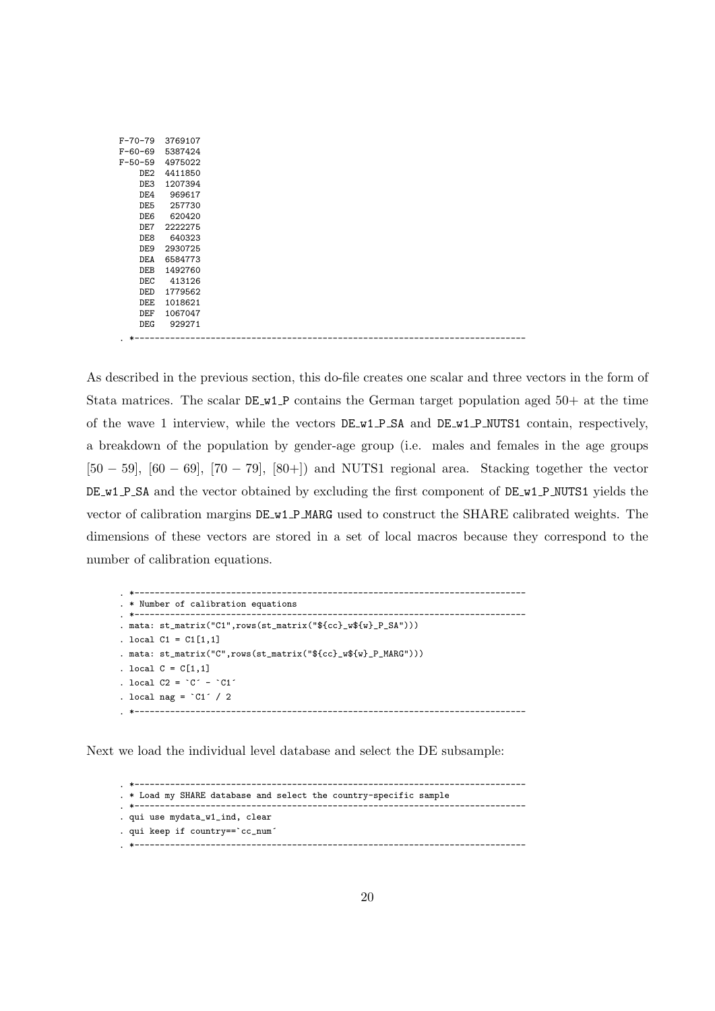| F-70-79 | 3769107 |
|---------|---------|
| F-60-69 | 5387424 |
| F-50-59 | 4975022 |
| DE2.    | 4411850 |
| DE3     | 1207394 |
| DE4     | 969617  |
| DE5     | 257730  |
| DE6     | 620420  |
| DE7     | 2222275 |
| DE8     | 640323  |
| DE9     | 2930725 |
| DEA     | 6584773 |
| DEB.    | 1492760 |
| DEC     | 413126  |
| DED     | 1779562 |
| DEE     | 1018621 |
| DEF     | 1067047 |
| DEG.    | 929271  |
|         |         |

. \*-----------------------------------------------------------------------------

As described in the previous section, this do-file creates one scalar and three vectors in the form of Stata matrices. The scalar  $DE_w1_P$  contains the German target population aged  $50+$  at the time of the wave 1 interview, while the vectors  $DE_w1_P_SA$  and  $DE_w1_P_MUTS1$  contain, respectively, a breakdown of the population by gender-age group (i.e. males and females in the age groups  $[50 - 59]$ ,  $[60 - 69]$ ,  $[70 - 79]$ ,  $[80 + 1]$  and NUTS1 regional area. Stacking together the vector DE w1 P SA and the vector obtained by excluding the first component of DE w1 P NUTS1 yields the vector of calibration margins DE w1 P MARG used to construct the SHARE calibrated weights. The dimensions of these vectors are stored in a set of local macros because they correspond to the number of calibration equations.

```
. *-----------------------------------------------------------------------------
. * Number of calibration equations
. *-----------------------------------------------------------------------------
. mata: st_matrix("C1",rows(st_matrix("${cc}_w${w}_P_SA")))
. local C1 = C1[1,1]. mata: st_matrix("C",rows(st_matrix("${cc}_w${w}_P_MARG")))
. local C = C[1,1]. local C2 = C^{\prime} - C1^{\prime}. local nag = °C1' / 2
. *-----------------------------------------------------------------------------
```
Next we load the individual level database and select the DE subsample:

. \*----------------------------------------------------------------------------- . \* Load my SHARE database and select the country-specific sample . \*----------------------------------------------------------------------------- . qui use mydata\_w1\_ind, clear . qui keep if country==`cc\_num´ . \*-----------------------------------------------------------------------------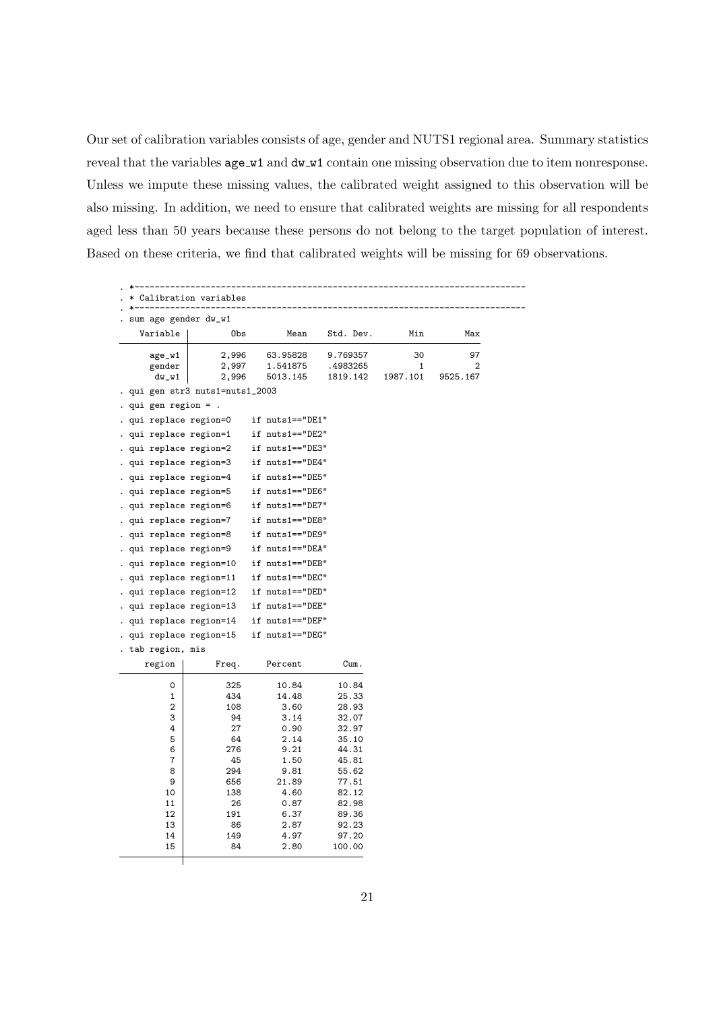Our set of calibration variables consists of age, gender and NUTS1 regional area. Summary statistics reveal that the variables  $age_w1$  and  $dw_w1$  contain one missing observation due to item nonresponse. Unless we impute these missing values, the calibrated weight assigned to this observation will be also missing. In addition, we need to ensure that calibrated weights are missing for all respondents aged less than 50 years because these persons do not belong to the target population of interest. Based on these criteria, we find that calibrated weights will be missing for 69 observations.

|                        | sum age gender dw_w1            |                   |                 |          |          |
|------------------------|---------------------------------|-------------------|-----------------|----------|----------|
| Variable               | Obs                             | Mean              | Std. Dev.       | Min      | Max      |
| age_w1                 | 2,996                           | 63.95828          | 9.769357        | 30       | 97       |
| gender                 | 2,997                           | 1.541875          | .4983265        | 1        | 2        |
| $dw_w1$                | 2,996                           | 5013.145          | 1819.142        | 1987.101 | 9525.167 |
|                        | . qui gen str3 nuts1=nuts1_2003 |                   |                 |          |          |
| . qui gen region $=$ . |                                 |                   |                 |          |          |
| . qui replace region=0 |                                 | if nuts1=="DE1"   |                 |          |          |
| qui replace region=1   |                                 | if nuts1=="DE2"   |                 |          |          |
| . qui replace region=2 |                                 | if nuts1=="DE3"   |                 |          |          |
| . qui replace region=3 |                                 | if nuts1=="DE4"   |                 |          |          |
| . qui replace region=4 |                                 | if nuts1=="DE5"   |                 |          |          |
| . qui replace region=5 |                                 | if nuts1=="DE6"   |                 |          |          |
| . qui replace region=6 |                                 | if nuts1=="DE7"   |                 |          |          |
| . qui replace region=7 |                                 | if nuts1=="DE8"   |                 |          |          |
| . qui replace region=8 |                                 | if nuts1 == "DE9" |                 |          |          |
| . qui replace region=9 |                                 | if nuts1=="DEA"   |                 |          |          |
|                        | qui replace region=10           | if nuts1=="DEB"   |                 |          |          |
|                        | . qui replace region=11         | if nuts1=="DEC"   |                 |          |          |
|                        | . qui replace region=12         | if nuts1=="DED"   |                 |          |          |
|                        | . qui replace region=13         | if nuts1=="DEE"   |                 |          |          |
|                        | . qui replace region=14         | if nuts1 == "DEF" |                 |          |          |
|                        | . qui replace region=15         | if nuts1=="DEG"   |                 |          |          |
| tab region, mis        |                                 |                   |                 |          |          |
| region                 | Freq.                           | Percent           | Cum.            |          |          |
| 0                      | 325                             | 10.84             | 10.84           |          |          |
| 1                      | 434                             | 14.48             | 25.33           |          |          |
| $\boldsymbol{2}$       | 108                             | 3.60              | 28.93           |          |          |
| 3                      | 94                              | 3.14              | 32.07           |          |          |
| 4<br>5                 | 27<br>64                        | 0.90<br>2.14      | 32.97<br>35.10  |          |          |
| 6                      | 276                             | 9.21              | 44.31           |          |          |
| $\overline{7}$         | 45                              | 1.50              | 45.81           |          |          |
| 8                      | 294                             | 9.81              | 55.62           |          |          |
| 9                      | 656                             | 21.89             | 77.51           |          |          |
| 10                     | 138                             | 4.60              | 82.12           |          |          |
| 11                     | 26                              | 0.87              | 82.98           |          |          |
| 12                     | 191                             | 6.37              | 89.36           |          |          |
| 13                     | 86                              | 2.87              | 92.23           |          |          |
| 14                     | 149<br>84                       | 4.97<br>2.80      | 97.20<br>100.00 |          |          |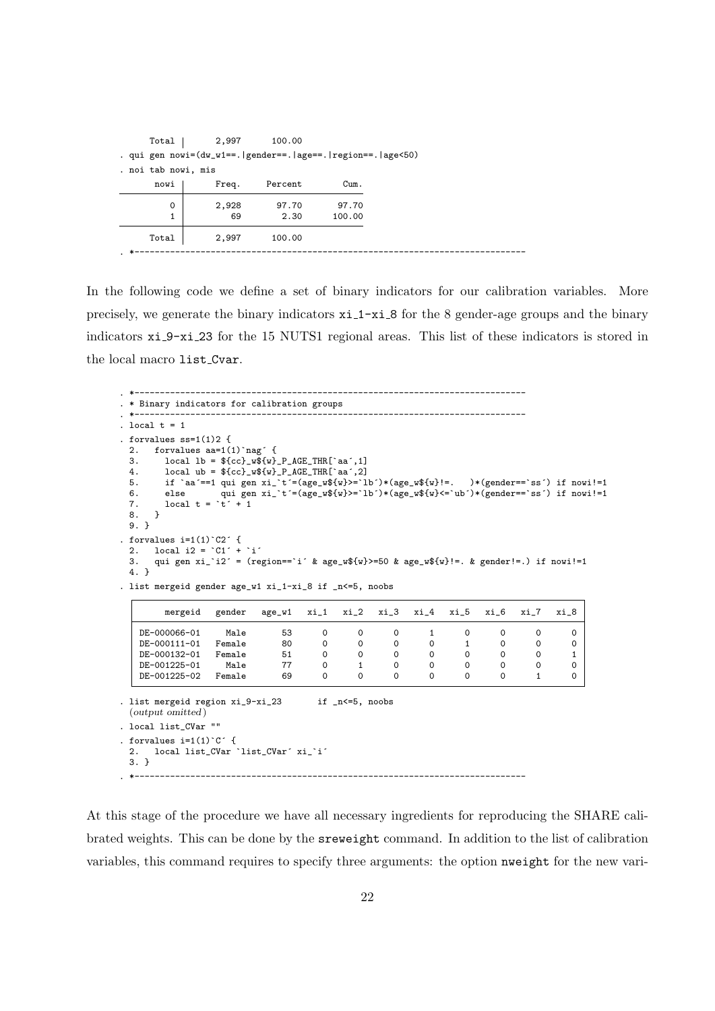| Total               | 2,997                                                       | 100.00  |        |
|---------------------|-------------------------------------------------------------|---------|--------|
|                     | . qui gen nowi=(dw_w1==. gender==. age==. region==. age<50) |         |        |
| . noi tab nowi, mis |                                                             |         |        |
| nowi                | Freq.                                                       | Percent | Cum.   |
| 0                   | 2,928                                                       | 97.70   | 97.70  |
| 1                   | 69                                                          | 2.30    | 100.00 |
| Total               | 2,997                                                       | 100.00  |        |
|                     |                                                             |         |        |

In the following code we define a set of binary indicators for our calibration variables. More precisely, we generate the binary indicators xi 1-xi 8 for the 8 gender-age groups and the binary indicators xi 9-xi 23 for the 15 NUTS1 regional areas. This list of these indicators is stored in the local macro list Cvar.

```
. *-----------------------------------------------------------------------------
. * Binary indicators for calibration groups
. *-----------------------------------------------------------------------------
. local t = 1. forvalues ss=1(1)2 {<br>2 forvalues ss=1(2. forvalues aa=1(1)`nag´ {<br>3. local lb = ${cc} w${w}
  3. local 1b = $(cc) \cdot w$(w) - P \cdot AGE \cdot THR['aa', 1]<br>4. local ub = ${cc} w${w} P AGE THR[`aa´, 2]
  4. local ub = fcc) wf(w) P_AGE THR['aa', 2]<br>5. if 'aa'==1 qui gen xi 't'=(age wf(w)) = 1
  5. if `aa´==1 qui gen xi_`t´=(age_w${w}>=`lb´)*(age_w${w}!=. )*(gender==`ss´) if nowi!=1
  6. else qui gen xi^{-1}t´=(age_w${w}>=`lb´)*(age_w${w}<=`ub´)*(gender==`ss´) if nowi!=1<br>7 local t = `t´ + 1
       local t = \dot{t} + 1{\bf 8} .
  9. }
. forvalues i=1(1)<sup>o</sup>C2<sup>\prime</sup> {
  2. local i2 = CI' + I'3. qui gen xi_`i2´ = (region==`i´ & age_w${w}>=50 & age_w${w}!=. & gender!=.) if nowi!=1
  4. }
. list mergeid gender age_w1 xi_1-xi_8 if _n<=5, noobs
         mergeid gender age_w1 xi_1 xi_2 xi_3 xi_4 xi_5 xi_6 xi_7 xi_8
    DE-000066-01 Male 53 0 0 0 1 0 0 0 0
    DE-000111-01 Female 80 0 0 0 0 1 0 0 0
    DE-000132-01 Female 51 0 0 0 0 0 0 0 1
    DE-001225-01 Male 77 0 1 0 0 0 0 0 0<br>DE-001225-02 Female 69 0 0 0 0 0 0 0 1 0
    DE-001225-02
. list mergeid region xi_9-xi_23 if _n<=5, noobs
  (output omitted )
. local list_CVar ""
 forvalues i=1(1)^C C^T {<br>2. local list CVar
      2. local list_CVar `list_CVar´ xi_`i´
  3. }
. *-----------------------------------------------------------------------------
```
At this stage of the procedure we have all necessary ingredients for reproducing the SHARE calibrated weights. This can be done by the sreweight command. In addition to the list of calibration variables, this command requires to specify three arguments: the option nweight for the new vari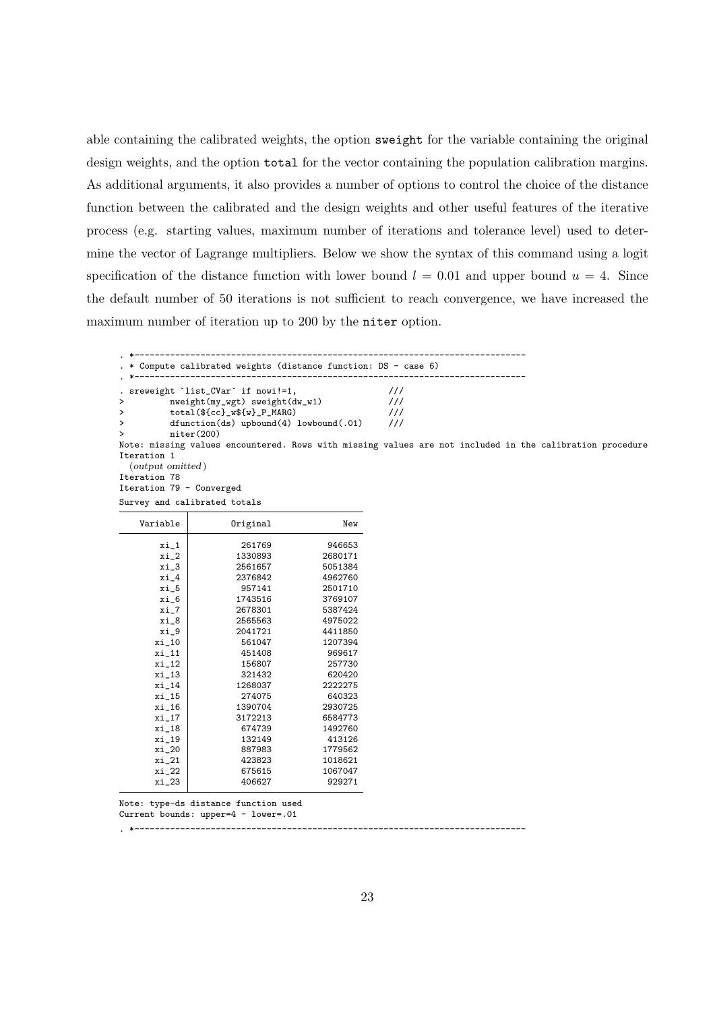able containing the calibrated weights, the option sweight for the variable containing the original design weights, and the option total for the vector containing the population calibration margins. As additional arguments, it also provides a number of options to control the choice of the distance function between the calibrated and the design weights and other useful features of the iterative process (e.g. starting values, maximum number of iterations and tolerance level) used to determine the vector of Lagrange multipliers. Below we show the syntax of this command using a logit specification of the distance function with lower bound  $l = 0.01$  and upper bound  $u = 4$ . Since the default number of 50 iterations is not sufficient to reach convergence, we have increased the maximum number of iteration up to 200 by the niter option.

. \*----------------------------------------------------------------------------- . \* Compute calibrated weights (distance function: DS - case 6) . \*----------------------------------------------------------------------------- . sreweight `list\_CVar´ if nowi!=1, /// > nweight(my\_wgt) sweight(dw\_w1) /// > total(\${cc}\_w\${w}\_P\_MARG) /// > dfunction(ds) upbound(4) lowbound(.01) > niter(200) Note: missing values encountered. Rows with missing values are not included in the calibration procedure Iteration 1 (output omitted ) Iteration 78 Iteration 79 - Converged

| Survey and calibrated totals |         |
|------------------------------|---------|
| Original                     | New     |
| 261769                       | 946653  |
| 1330893                      | 2680171 |
| 2561657                      | 5051384 |
| 2376842                      | 4962760 |
| 957141                       | 2501710 |
| 1743516                      | 3769107 |
| 2678301                      | 5387424 |
| 2565563                      | 4975022 |
| 2041721                      | 4411850 |
| 561047                       | 1207394 |
| 451408                       | 969617  |
| 156807                       | 257730  |
| 321432                       | 620420  |
| 1268037                      | 2222275 |
| 274075                       | 640323  |
| 1390704                      | 2930725 |
| 3172213                      | 6584773 |
| 674739                       | 1492760 |
| 132149                       | 413126  |
| 887983                       | 1779562 |
| 423823                       | 1018621 |
| 675615                       | 1067047 |
| 406627                       | 929271  |
|                              |         |

Note: type-ds distance function used Current bounds: upper=4 - lower=.01

. \*-----------------------------------------------------------------------------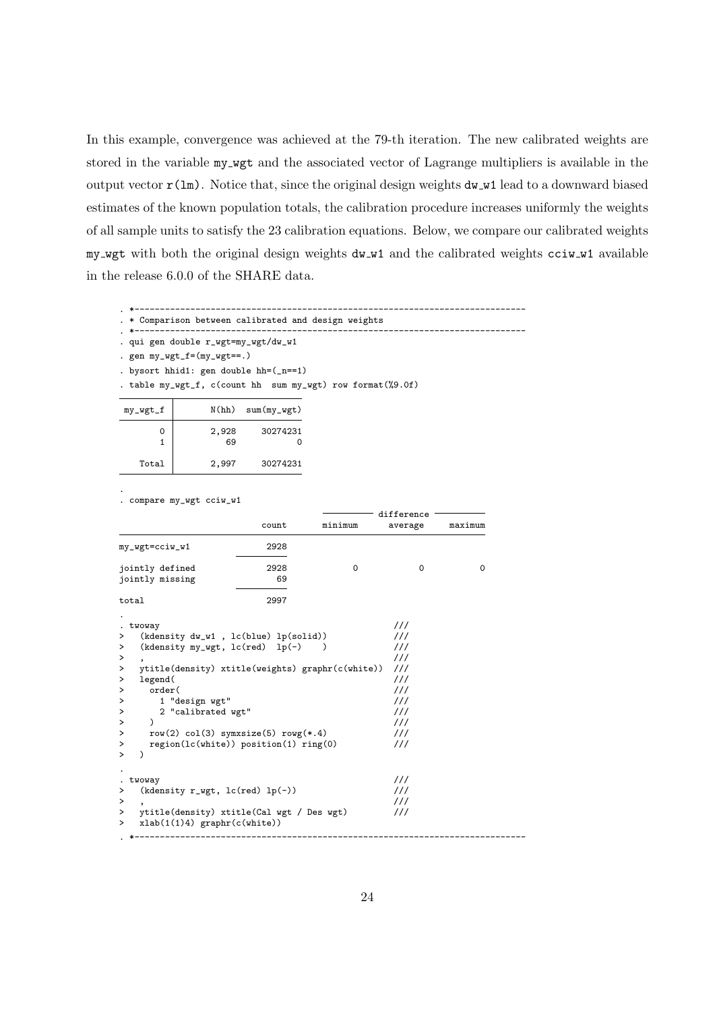In this example, convergence was achieved at the 79-th iteration. The new calibrated weights are stored in the variable my wgt and the associated vector of Lagrange multipliers is available in the output vector  $r(\text{lm})$ . Notice that, since the original design weights  $d\text{w-w1}$  lead to a downward biased estimates of the known population totals, the calibration procedure increases uniformly the weights of all sample units to satisfy the 23 calibration equations. Below, we compare our calibrated weights my wgt with both the original design weights dw w1 and the calibrated weights cciw w1 available in the release 6.0.0 of the SHARE data.

. \*-----------------------------------------------------------------------------

- . \* Comparison between calibrated and design weights . \*-----------------------------------------------------------------------------
- . qui gen double r\_wgt=my\_wgt/dw\_w1

. gen my\_wgt\_f=(my\_wgt==.)

- . bysort hhid1: gen double hh=(\_n==1)
- . table my\_wgt\_f, c(count hh sum my\_wgt) row format(%9.0f)

|          | $sum(my_wgt)$ | N(hh)       | my_wgt_f |
|----------|---------------|-------------|----------|
| 30274231 |               | 2,928<br>69 |          |
| 30274231 |               | 2,997       | Total    |

. compare my\_wgt cciw\_w1

.

| minimum<br>count<br>average<br>my_wgt=cciw_w1<br>2928<br>2928<br>$\Omega$<br>jointly defined<br>$\Omega$<br>69<br>jointly missing<br>2997<br>total<br>111<br>. twoway<br>111<br>$(kdensity dw_w1, lc(blue) lp(solid))$<br>><br>111<br>(kdensity my_wgt, $lc(\text{red})$ lp(-)<br>⋗<br>111<br>><br>111<br>ytitle(density) xtitle(weights) graphr(c(white))<br>><br>111<br>legend(<br>><br>order(<br>111<br>111<br>1 "design wgt"<br>2 "calibrated wgt"<br>111<br>111<br>$\lambda$<br>111<br>row(2) $col(3)$ symxsize(5) rowg(*.4)<br>$region(lc(white))$ position(1) ring(0)<br>111<br>111<br>. twoway<br>111<br>$(kdensity r_wgt, lc(red) lp(-))$<br>111<br>ytitle(density) xtitle(Cal wgt / Des wgt)<br>111<br>xlab(1(1)4) graphr(c(white))<br>> |   |  | difference |  |  |         |
|----------------------------------------------------------------------------------------------------------------------------------------------------------------------------------------------------------------------------------------------------------------------------------------------------------------------------------------------------------------------------------------------------------------------------------------------------------------------------------------------------------------------------------------------------------------------------------------------------------------------------------------------------------------------------------------------------------------------------------------------------|---|--|------------|--|--|---------|
|                                                                                                                                                                                                                                                                                                                                                                                                                                                                                                                                                                                                                                                                                                                                                    |   |  |            |  |  | maximum |
|                                                                                                                                                                                                                                                                                                                                                                                                                                                                                                                                                                                                                                                                                                                                                    |   |  |            |  |  |         |
|                                                                                                                                                                                                                                                                                                                                                                                                                                                                                                                                                                                                                                                                                                                                                    |   |  |            |  |  | 0       |
|                                                                                                                                                                                                                                                                                                                                                                                                                                                                                                                                                                                                                                                                                                                                                    |   |  |            |  |  |         |
|                                                                                                                                                                                                                                                                                                                                                                                                                                                                                                                                                                                                                                                                                                                                                    |   |  |            |  |  |         |
|                                                                                                                                                                                                                                                                                                                                                                                                                                                                                                                                                                                                                                                                                                                                                    |   |  |            |  |  |         |
|                                                                                                                                                                                                                                                                                                                                                                                                                                                                                                                                                                                                                                                                                                                                                    |   |  |            |  |  |         |
|                                                                                                                                                                                                                                                                                                                                                                                                                                                                                                                                                                                                                                                                                                                                                    |   |  |            |  |  |         |
|                                                                                                                                                                                                                                                                                                                                                                                                                                                                                                                                                                                                                                                                                                                                                    |   |  |            |  |  |         |
|                                                                                                                                                                                                                                                                                                                                                                                                                                                                                                                                                                                                                                                                                                                                                    |   |  |            |  |  |         |
|                                                                                                                                                                                                                                                                                                                                                                                                                                                                                                                                                                                                                                                                                                                                                    |   |  |            |  |  |         |
|                                                                                                                                                                                                                                                                                                                                                                                                                                                                                                                                                                                                                                                                                                                                                    | ≻ |  |            |  |  |         |
|                                                                                                                                                                                                                                                                                                                                                                                                                                                                                                                                                                                                                                                                                                                                                    | ≻ |  |            |  |  |         |
|                                                                                                                                                                                                                                                                                                                                                                                                                                                                                                                                                                                                                                                                                                                                                    | > |  |            |  |  |         |
|                                                                                                                                                                                                                                                                                                                                                                                                                                                                                                                                                                                                                                                                                                                                                    | ⋋ |  |            |  |  |         |
|                                                                                                                                                                                                                                                                                                                                                                                                                                                                                                                                                                                                                                                                                                                                                    | > |  |            |  |  |         |
|                                                                                                                                                                                                                                                                                                                                                                                                                                                                                                                                                                                                                                                                                                                                                    | > |  |            |  |  |         |
|                                                                                                                                                                                                                                                                                                                                                                                                                                                                                                                                                                                                                                                                                                                                                    | ⋋ |  |            |  |  |         |
|                                                                                                                                                                                                                                                                                                                                                                                                                                                                                                                                                                                                                                                                                                                                                    |   |  |            |  |  |         |
|                                                                                                                                                                                                                                                                                                                                                                                                                                                                                                                                                                                                                                                                                                                                                    |   |  |            |  |  |         |
|                                                                                                                                                                                                                                                                                                                                                                                                                                                                                                                                                                                                                                                                                                                                                    | > |  |            |  |  |         |
|                                                                                                                                                                                                                                                                                                                                                                                                                                                                                                                                                                                                                                                                                                                                                    | > |  |            |  |  |         |
|                                                                                                                                                                                                                                                                                                                                                                                                                                                                                                                                                                                                                                                                                                                                                    | > |  |            |  |  |         |
|                                                                                                                                                                                                                                                                                                                                                                                                                                                                                                                                                                                                                                                                                                                                                    |   |  |            |  |  |         |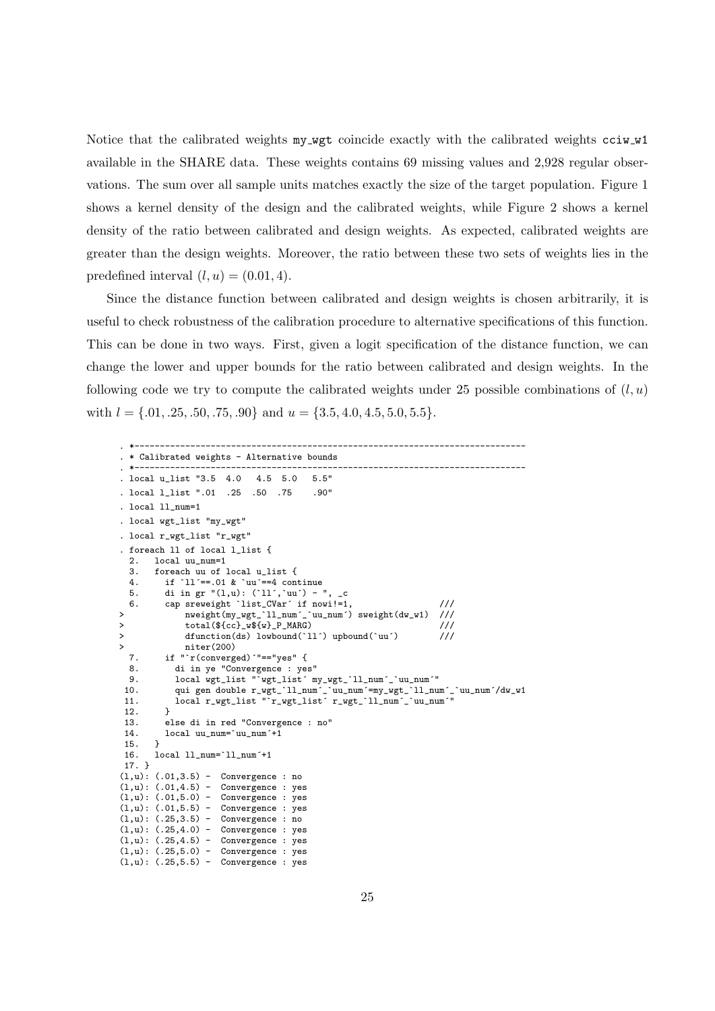Notice that the calibrated weights my wgt coincide exactly with the calibrated weights cciw w1 available in the SHARE data. These weights contains 69 missing values and 2,928 regular observations. The sum over all sample units matches exactly the size of the target population. Figure 1 shows a kernel density of the design and the calibrated weights, while Figure 2 shows a kernel density of the ratio between calibrated and design weights. As expected, calibrated weights are greater than the design weights. Moreover, the ratio between these two sets of weights lies in the predefined interval  $(l, u) = (0.01, 4)$ .

Since the distance function between calibrated and design weights is chosen arbitrarily, it is useful to check robustness of the calibration procedure to alternative specifications of this function. This can be done in two ways. First, given a logit specification of the distance function, we can change the lower and upper bounds for the ratio between calibrated and design weights. In the following code we try to compute the calibrated weights under 25 possible combinations of  $(l, u)$ with  $l = \{.01, .25, .50, .75, .90\}$  and  $u = \{3.5, 4.0, 4.5, 5.0, 5.5\}.$ 

```
. *-----------------------------------------------------------------------------
. * Calibrated weights - Alternative bounds
. *-----------------------------------------------------------------------------
. local u_list "3.5 4.0 4.5 5.0 5.5"
. local l_list ".01 .25 .50 .75 .90"
. local 11 num=1. local wgt_list "my_wgt"
. local r_wgt_list "r_wgt"
. foreach 11 of local 1 list {
  2. local uu_num=1<br>3 foreach uu of
  3. foreach uu of local u_list {<br>4. if 'll'==.01 & 'uu'==4 con
  4. if 11' == .01 & ^{\circ}uu<sup>-</sup>=4 continue<br>5. di in gr ^{\circ}(1.u): (^{\circ}11...^{\circ}uu<sup>-</sup>) -
  5. di in gr ''(1,u): ('11',`uu') - ", _c<br>6. cap sreweight `list CVar´ if nowi!=1
          cap sreweight 'list_CVar' if nowi!=1, \frac{1}{2} ///<br>nueight(my wet 'll num' 'uu num') sweight(dw w1) ///
> nweight(my_wgt_'ll_num'_'uu_num') sweight(dw_w1)
> total(${cc}_w${w}_P_MARG) ///
> dfunction(ds) lowbound('ll') upbound('uu')
> niter(200)<br>7 if "r(convers
          7. if "`r(converged)´"=="yes" {
  8. di in ye "Convergence : yes"
  9. local wgt_list "`wgt_list´ my_wgt_`ll_num´_`uu_num´"
 10. qui gen double r_wgt_`ll_num´_`uu_num´=my_wgt_`ll_num´_`uu_num´/dw_w1
 11. local r_wgt_list "`r_wgt_list´ r_wgt_`ll_num´_`uu_num´"
 12. }
 13. else di in red "Convergence : no"
 14. local uu_num='uu_num'+1<br>15. }
 15.16.16. local ll_num=`ll_num´+1
 17. }
(1, u): (.01, 3.5) - Convergence : no
(1,u): (.01,4.5) - Convergence : yes<br>(1,u): (.01,5.0) - Convergence : yes
(1,u): (.01,5.0) - Convergence : yes<br>(1,u): (.01,5.5) - Convergence : yes
(1,u): (.01,5.5) - Convergence : yes<br>(1,u): (.25,3.5) - Convergence : no
(1, u): (.25, 3.5) -(1, u): (.25, 4.0) - Convergence : yes
(1,u): (.25,4.5) - Convergence : yes<br>(1,u): (.25,5.0) - Convergence : yes
(1,u): (.25,5.0) -(1, u): (.25, 5.5) - Convergence : yes
```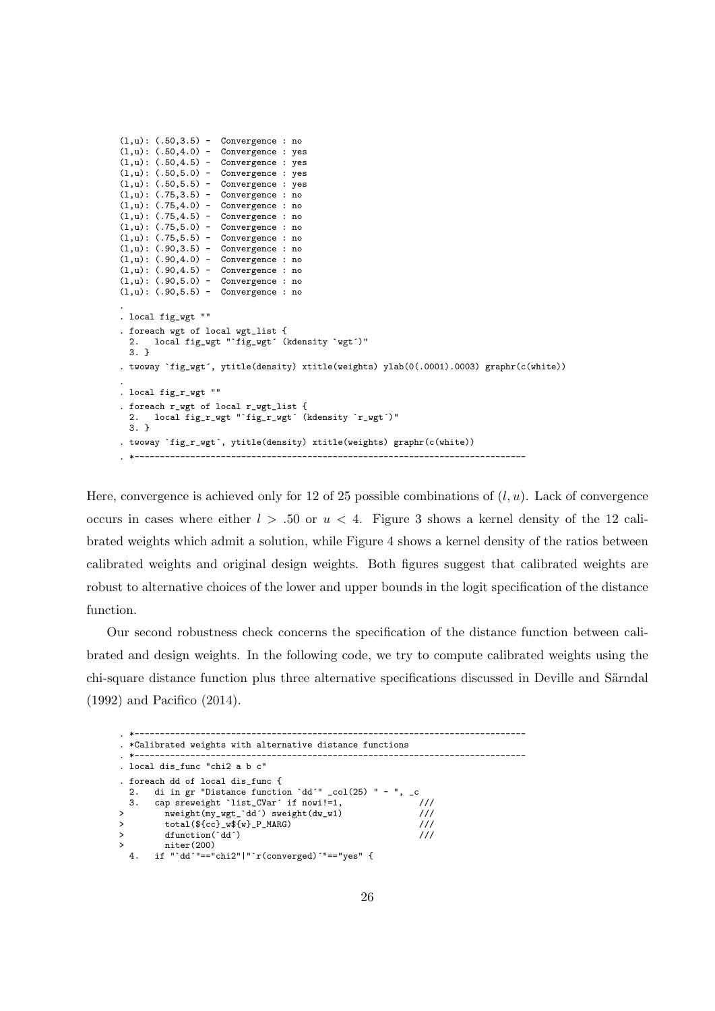```
(1,u): (.50,3.5) - Convergence : no
(1, u): (.50, 4.0) - Convergence : yes
(1, u): (.50, 4.5) - Convergence : yes
(1, u): (.50, 5.0) - Convergence : yes
(1,u): (.50,5.5) - Convergence : yes
(l,u): (.75,3.5) - Convergence : no
(1, u): (.75, 4.0) - Convergence : no
(1, u): (.75, 4.5) - Convergence : no
(l,u): (.75,5.0) - Convergence : no
(1, u): (.75, 5.5) - Convergence : no
(1, u): (.90, 3.5) - Convergence : no
(1, u): (.90, 4.0) - Convergence : no
(1, u): (.90, 4.5) - Convergence : no
(1, u): (.90, 5.0) - Convergence : no
(1, u): (.90, 5.5) - Convergence : no
.
. local fig_wgt ""
. foreach wgt of local wgt_list {
  2. local fig_wgt "`fig_wgt´ (kdensity `wgt´)"
  3. }
. twoway `fig_wgt´, ytitle(density) xtitle(weights) ylab(0(.0001).0003) graphr(c(white))
.
. local fig_r_wgt ""
. foreach r_wgt of local r_wgt_list {
  2. local fig_r_wgt "`fig_r_wgt´ (kdensity `r_wgt´)"
 3. }
. twoway `fig_r_wgt´, ytitle(density) xtitle(weights) graphr(c(white))
 . *-----------------------------------------------------------------------------
```
Here, convergence is achieved only for 12 of 25 possible combinations of  $(l, u)$ . Lack of convergence occurs in cases where either  $l > .50$  or  $u < 4$ . Figure 3 shows a kernel density of the 12 calibrated weights which admit a solution, while Figure 4 shows a kernel density of the ratios between calibrated weights and original design weights. Both figures suggest that calibrated weights are robust to alternative choices of the lower and upper bounds in the logit specification of the distance function.

Our second robustness check concerns the specification of the distance function between calibrated and design weights. In the following code, we try to compute calibrated weights using the chi-square distance function plus three alternative specifications discussed in Deville and Särndal (1992) and Pacifico (2014).

```
. *-----------------------------------------------------------------------------
. *Calibrated weights with alternative distance functions
. *-----------------------------------------------------------------------------
. local dis_func "chi2 a b c"
. foreach dd of local dis_func {
 2. di in gr "Distance function `dd´" _col(25) " - ", _c
 3. cap sreweight 'list_CVar' if nowi!=1,
> nweight(my_wgt_`dd´) sweight(dw_w1) ///
>
total(${cc}_w${w}_P_MARG)
<br>
>
dfunction(`dd´)
///
/
        dfunction(`dd´)
       niter(200)
  4. if "`dd´"=="chi2"|"`r(converged)´"=="yes" {
```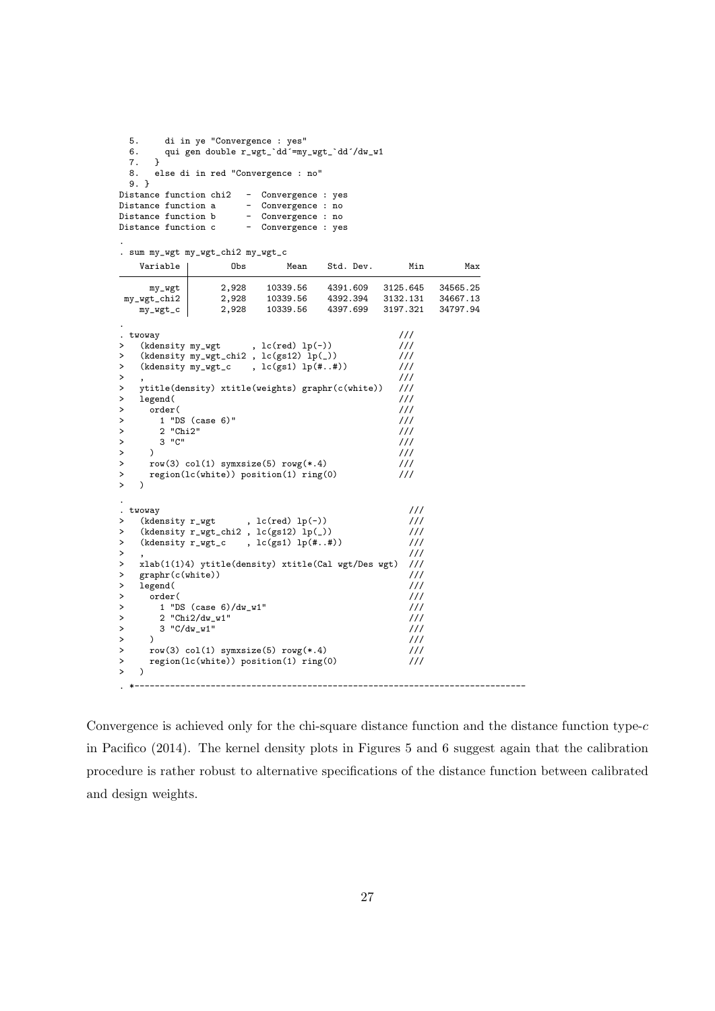```
5. di in ye "Convergence : yes"<br>6. qui gen double r_wgt_`dd´=my
         qui gen double r_wgt_`dd´=my_wgt_`dd´/dw_w1<br>}
  7. }
  8. else di in red "Convergence : no"
   9. }
Distance function chi2 - Convergence : yes<br>Distance function a - Convergence : no
Distance function a - Convergence : no<br>Distance function b - Convergence : no
Distance function b - Convergence : no<br>Distance function c - Convergence : yes
                                     - Convergence : yes
```
. sum my\_wgt my\_wgt\_chi2 my\_wgt\_c

.

| Variable                          | Obs                                                   | Mean                        | Std. Dev. | Min           | Max      |
|-----------------------------------|-------------------------------------------------------|-----------------------------|-----------|---------------|----------|
| my_wgt                            | 2,928                                                 | 10339.56                    | 4391.609  | 3125.645      | 34565.25 |
| my_wgt_chi2                       | 2,928                                                 | 10339.56                    | 4392.394  | 3132.131      | 34667.13 |
| my_wgt_c                          | 2,928                                                 | 10339.56                    | 4397.699  | 3197.321      | 34797.94 |
|                                   |                                                       |                             |           |               |          |
| twoway                            |                                                       |                             |           | 111           |          |
| (kdensity my_wgt<br>>             |                                                       | , $lc(\text{red})$ $lp(-))$ |           | 111           |          |
| >                                 | $(kdensity my_wgt_chi2, lc(s12) lp(2))$               |                             |           | 111           |          |
| >                                 | $(kdensity my_wgt_c , lc(s1) lp(#, . 4))$             |                             |           | 111           |          |
| >                                 |                                                       |                             |           | 111           |          |
| >                                 | ytitle(density) xtitle(weights) graphr(c(white))      |                             |           | 111           |          |
| legend(<br>>                      |                                                       |                             |           | 111           |          |
| order(<br>>                       |                                                       |                             |           | 111           |          |
| >                                 | $1$ "DS (case 6)"                                     |                             |           | 111           |          |
| 2 "Chi2"<br>><br>$3$ " $C$ "      |                                                       |                             |           | 111<br>111    |          |
| ><br>$\lambda$<br>>               |                                                       |                             |           | $\frac{1}{2}$ |          |
| >                                 | row(3) $col(1)$ symxsize(5) rowg(*.4)                 |                             |           | $\frac{1}{1}$ |          |
| >                                 | $region(lc(white))$ position(1) ring(0)               |                             |           | $\frac{1}{1}$ |          |
| $\mathbf{L}$                      |                                                       |                             |           |               |          |
|                                   |                                                       |                             |           |               |          |
| twoway                            |                                                       |                             |           | 111           |          |
| $\bullet$<br>(kdensity r_wgt<br>> |                                                       | , $lc(\text{red})$ $lp(-))$ |           | $\frac{1}{1}$ |          |
| >                                 | (kdensity $r_wgt_{chi2}$ , $lc(gs12) lp( )$ )         |                             |           | 111           |          |
| >                                 | (kdensity r_wgt_c                                     | , $lc(gs1) lp(\##))$        |           | $\frac{1}{1}$ |          |
| >                                 |                                                       |                             |           | 111           |          |
| >                                 | $xlab(1(1)4)$ ytitle(density) xtitle(Cal wgt/Des wgt) |                             |           | $\frac{1}{1}$ |          |
| graphr(c(white))<br>$\,>\,$       |                                                       |                             |           | 111           |          |
| legend(<br>$\,>\,$                |                                                       |                             |           | 111           |          |
| order(<br>>                       |                                                       |                             |           | 111           |          |
| >                                 | 1 "DS (case $6$ )/dw_w1"                              |                             |           | $\frac{1}{1}$ |          |
| >                                 | 2 "Chi2/dw_w1"                                        |                             |           | 111           |          |
| >                                 | 3 "C/dw_w1"                                           |                             |           | 111           |          |
| $\lambda$<br>>                    |                                                       |                             |           | $\frac{1}{1}$ |          |
| >                                 | row(3) $col(1)$ symxsize(5) rowg(*.4)                 |                             |           | $\frac{1}{1}$ |          |
| >                                 | $region(lc(white))$ position(1) $ring(0)$             |                             |           | $\frac{1}{1}$ |          |
| >                                 |                                                       |                             |           |               |          |

Convergence is achieved only for the chi-square distance function and the distance function type- $c$ in Pacifico (2014). The kernel density plots in Figures 5 and 6 suggest again that the calibration procedure is rather robust to alternative specifications of the distance function between calibrated and design weights.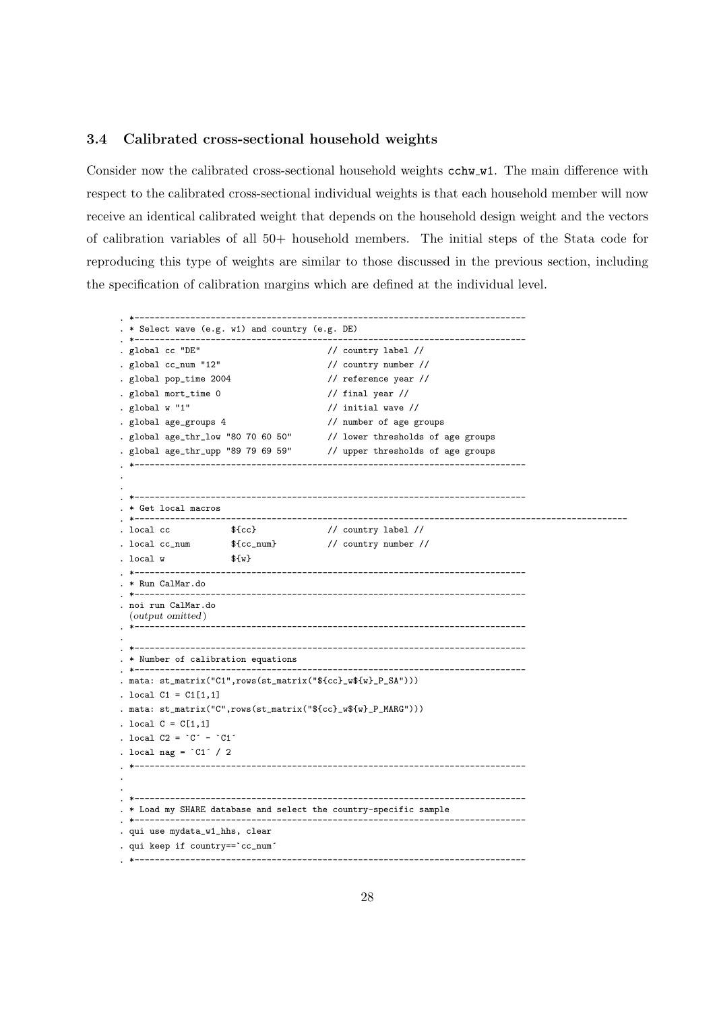#### 3.4 Calibrated cross-sectional household weights

Consider now the calibrated cross-sectional household weights  $\texttt{cchw_w1}$ . The main difference with respect to the calibrated cross-sectional individual weights is that each household member will now receive an identical calibrated weight that depends on the household design weight and the vectors of calibration variables of all 50+ household members. The initial steps of the Stata code for reproducing this type of weights are similar to those discussed in the previous section, including the specification of calibration margins which are defined at the individual level.

```
. *-----------------------------------------------------------------------------
. * Select wave (e.g. w1) and country (e.g. DE)
. *-----------------------------------------------------------------------------
. global cc "DE" // country label //
. global cc_num "12" // country number //
. global pop_time 2004 // reference year //
. global mort_time 0 // final year //
. global w "1" \frac{1}{2} // initial wave //
. global age_groups 4 // number of age groups
. global age_thr_low "80 70 60 50" // lower thresholds of age groups
. global age_thr_upp "89 79 69 59" // upper thresholds of age groups
. *-----------------------------------------------------------------------------
.
.
. *-----------------------------------------------------------------------------
 . * Get local macros
                                       . *-------------------------------------------------------------------------------------------------
. local cc \qquad \qquad $\{cc\}. local cc_num {fcc\_num} // country number //
. local w = \frac{1}{w}. *-----------------------------------------------------------------------------
. * Run CalMar.do
. *-----------------------------------------------------------------------------
. noi run CalMar.do
 (output omitted )
                           . *-----------------------------------------------------------------------------
.
. *-----------------------------------------------------------------------------
. * Number of calibration equations
. *-----------------------------------------------------------------------------
. mata: st_matrix("C1",rows(st_matrix("${cc}_w${w}_P_SA")))
. local C1 = C1[1,1]. mata: st_matrix("C",rows(st_matrix("${cc}_w${w}_P_MARG")))
. local C = C[1,1]. local C2 = C^2 - C1^2. local nag = °C1' / 2. *-----------------------------------------------------------------------------
.
.
. *-----------------------------------------------------------------------------
. * Load my SHARE database and select the country-specific sample
. *-----------------------------------------------------------------------------
. qui use mydata_w1_hhs, clear
. qui keep if country==`cc_num´
. *-----------------------------------------------------------------------------
```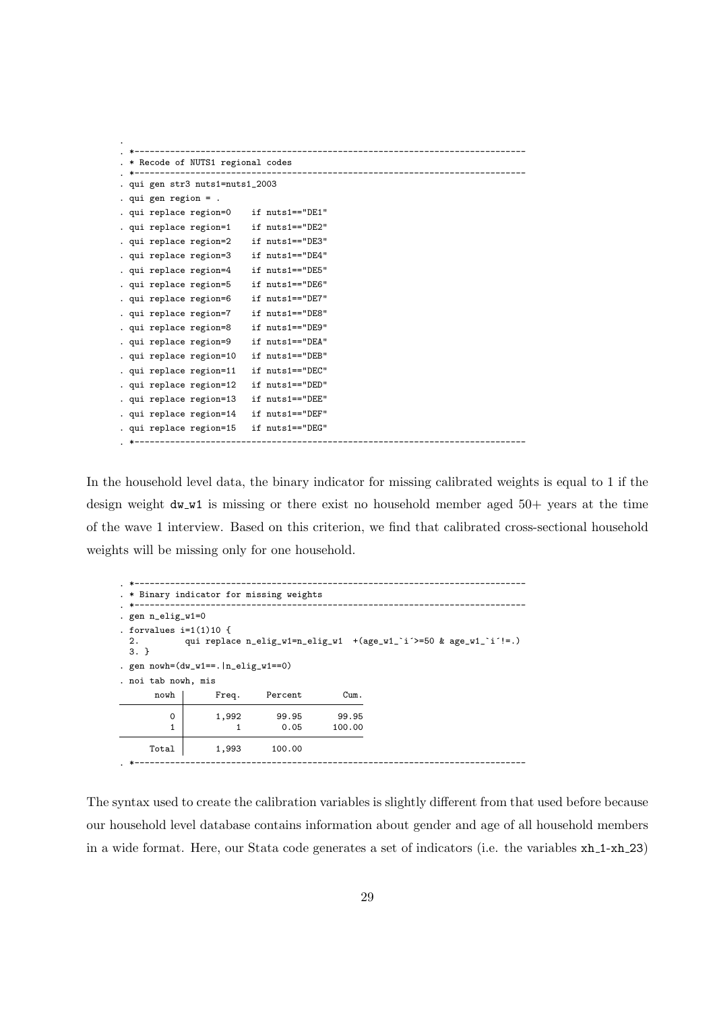|                                                            | ---------------------            |
|------------------------------------------------------------|----------------------------------|
| * Recode of NUTS1 regional codes                           |                                  |
| -----------------------<br>. qui gen str3 nuts1=nuts1_2003 | -------------------------------- |
| . qui gen region $=$ .                                     |                                  |
| . qui replace region=0 if nuts1=="DE1"                     |                                  |
| . qui replace region=1                                     | if nuts1=="DE2"                  |
| . qui replace region=2                                     | if nuts1=="DE3"                  |
| . qui replace region=3                                     | if nuts1=="DE4"                  |
| . qui replace region=4                                     | if nuts1=="DE5"                  |
| . qui replace region=5                                     | if nuts1 == "DE6"                |
| . qui replace region=6                                     | if nuts1=="DE7"                  |
| . qui replace region=7                                     | if nuts1=="DE8"                  |
| . qui replace region=8                                     | if nuts1=="DE9"                  |
| . qui replace region=9                                     | if nuts1 == "DEA"                |
| . qui replace region=10                                    | if nuts1=="DEB"                  |
| . qui replace region=11                                    | if nuts1=="DEC"                  |
| . qui replace region=12                                    | if nuts1=="DED"                  |
| . qui replace region=13                                    | if nuts1=="DEE"                  |
| . qui replace region=14                                    | if nuts1=="DEF"                  |
| . qui replace region=15                                    | if nuts1=="DEG"                  |
|                                                            |                                  |

In the household level data, the binary indicator for missing calibrated weights is equal to 1 if the design weight  $dw_w1$  is missing or there exist no household member aged 50+ years at the time of the wave 1 interview. Based on this criterion, we find that calibrated cross-sectional household weights will be missing only for one household.

|                                           | . * Binary indicator for missing weights |         |        |                                                                      |  |  |  |  |  |  |  |
|-------------------------------------------|------------------------------------------|---------|--------|----------------------------------------------------------------------|--|--|--|--|--|--|--|
|                                           |                                          |         |        |                                                                      |  |  |  |  |  |  |  |
| . gen n_elig_w1=0                         |                                          |         |        |                                                                      |  |  |  |  |  |  |  |
| . forvalues $i=1(1)10$ {<br>2.<br>$3. \}$ |                                          |         |        | qui replace $n$ -elig_w1=n_elig_w1 +(age_w1_'i'>=50 & age_w1_'i'!=.) |  |  |  |  |  |  |  |
|                                           | . gen $nowh=(dw_w1==. n_elig_w1==0)$     |         |        |                                                                      |  |  |  |  |  |  |  |
| . noi tab nowh, mis                       |                                          |         |        |                                                                      |  |  |  |  |  |  |  |
| nowh                                      | Freq.                                    | Percent | Cum.   |                                                                      |  |  |  |  |  |  |  |
| $\Omega$                                  | 1,992                                    | 99.95   | 99.95  |                                                                      |  |  |  |  |  |  |  |
|                                           |                                          | 0.05    | 100.00 |                                                                      |  |  |  |  |  |  |  |
| Total                                     | 1,993                                    | 100.00  |        |                                                                      |  |  |  |  |  |  |  |

The syntax used to create the calibration variables is slightly different from that used before because our household level database contains information about gender and age of all household members in a wide format. Here, our Stata code generates a set of indicators (i.e. the variables  $xh_1-xh_2$ )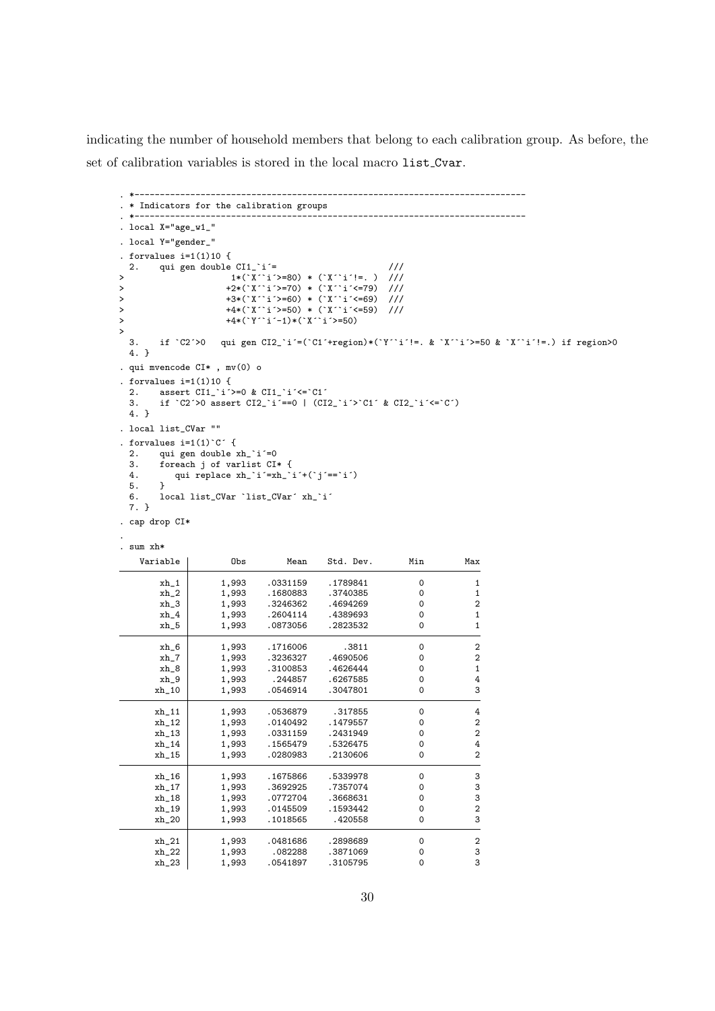indicating the number of household members that belong to each calibration group. As before, the set of calibration variables is stored in the local macro list Cvar.

```
. *-----------------------------------------------------------------------------
. * Indicators for the calibration groups
. *-----------------------------------------------------------------------------
. local X="age_w1_"
. local Y="gender_"
. forvalues i=1(1)10 {
 2. qui gen double CII_i<sup>=</sup> ///
> 1*(`X´`i´>=80) * (`X´`i´!=. ) ///
> +2*(`X´`i´>=70) * (`X´`i´<=79) ///
> +3*(`X´`i´>=60) * (`X´`i´<=69) ///
> +4*(`X´`i´>=50) * (`X´`i´<=59) ///
> +4*(`Y´`i´-1)*(`X´`i´>=50)
>
 3. if `C2´>0 qui gen CI2_`i´=(`C1´+region)*(`Y´`i´!=. & `X´`i´>=50 & `X´`i´!=.) if region>0
 4. }
. qui mvencode CI* , mv(0) o
. forvalues i=1(1)10 {
 2. assert C11_i^i>=0 & C11_i^i<=C1<sup>2</sup><br>3. if C2 > 0 assert C12 i<sup>---0</sup> | (CI
       3. if `C2´>0 assert CI2_`i´==0 | (CI2_`i´>`C1´ & CI2_`i´<=`C´)
 4. }
. local list_CVar ""
. forvalues i=1(1)^C C^T {<br>2 qui gen double i2. qui gen double xh_i i=0<br>3. foreach i of varlist CIforeach j of varlist CI* {
 4. qui replace xh_i<sup>-</sup>i^2=xh_i<sup>-i^2+(i^2i^2)=i^2)</sup>
 5. }
 6. local list_CVar `list_CVar´ xh_`i´
 7. }
. cap drop CI*
.
. sum xh*
   Variable | Obs Mean Std. Dev. Min Max
        \begin{array}{c|cccccc}\n\texttt{xh\_1} & & 1,993 & .0331159 & .1789841 & & 0 & 1 \\
\texttt{xh\_2} & & 1,993 & .1680883 & .3740385 & & 0 & 1\n\end{array}xh_2 1,993 .1680883 .3740385 0 1<br>xh_3 1,993 .3246362 .4694269 0 2
                   1,993 .3246362 .4694269 0 2<br>1.993 .2604114 .4389693 0 1
        xh_4 1,993 .2604114 .4389693 0 1
        xh_5 1,993 .0873056 .2823532 0 1
       \begin{array}{ccccccccc}\nxh_6 & & 1,993 & .1716006 & & .3811 & & 0 & & 2\n\end{array}<br>
\begin{array}{ccccccccc}\nxh & 7 & & 1,993 & .3236327 & .4690506 & & 0 & & 2\n\end{array}xh_7 1,993 .3236327 .4690506 0 2<br>xh_8 1,993 .3100853 .4626444 0 1
       \begin{array}{c|cccccc}\nxh_2 & 1,993 & .3100853 & .4626444 & 0 & 1\\
xh_3 & 1,993 & .244857 & .6267585 & 0 & 4\n\end{array}xh_9 1,993 .244857 .6267585 0 4
      xh_10 | 1,993 .0546914 .3047801 0 3
      xh_11 1,993 .0536879 .317855 0 4
       xh_12 1,993 .0140492 .1479557 0 2
       xh_13 1,993 .0331159 .2431949 0 2
      xh_14 1,993 .1565479 .5326475 0 4<br>xh_15 1,993 .0280983 .2130606 0 2
                                         .2130606xh_16 1,993 .1675866 .5339978 0 3
      xh_17 1,993 .3692925 .7357074 0 3
      xh_18 1,993 .0772704 .3668631 0 3
      \begin{array}{c|cccccc}\nxh_19 & & 1,993 & .0145509 & .1593442 & & 0 & 2 \\
xh_20 & & 1,993 & .1018565 & .420558 & & 0 & 3\n\end{array}xh_20 1,993 .1018565 .420558 0 3
      xh_21 1,993 .0481686 .2898689 0 2<br>xh_22 1,993 .082288 .3871069 0 3
      xh_22 1,993 .082288 .3871069 0 3<br>xh_23 1,993 .0541897 .3105795 0 3
                                         .3105795
```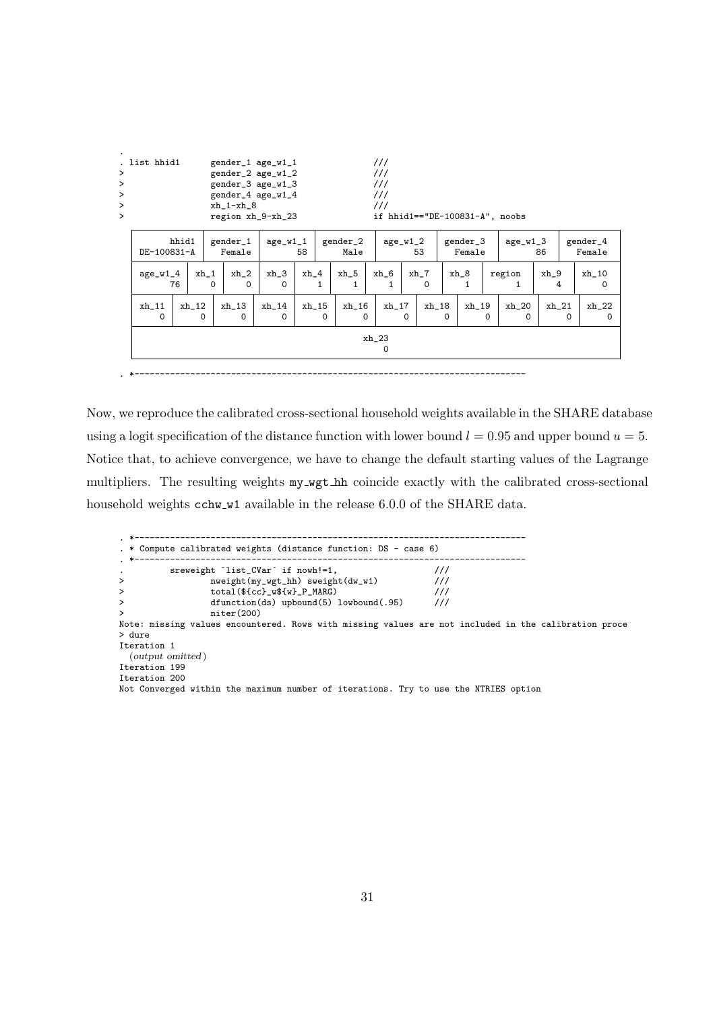| ><br>><br>><br>><br>$\mathbf{L}$ | . list hhid1                                                 |    |                    | $xh_1-xh_8$                                                                  | gender_1 age_w1_1<br>gender_2 age_w1_2<br>gender_3 age_w1_3<br>gender_4 age_w1_4<br>region xh_9-xh_23 |        |          |                   | 111<br>111<br>111<br>111<br>111 |                    |           |          |                      |          | if $hhid1 == "DE-100831-A", noobs$ |             |   |                     |
|----------------------------------|--------------------------------------------------------------|----|--------------------|------------------------------------------------------------------------------|-------------------------------------------------------------------------------------------------------|--------|----------|-------------------|---------------------------------|--------------------|-----------|----------|----------------------|----------|------------------------------------|-------------|---|---------------------|
|                                  | hhid1<br>gender_1<br>age_w1_1<br>DE-100831-A<br>Female<br>58 |    |                    | gender_2<br>gender_3<br>$age_w1_2$<br>age_w1_3<br>Female<br>Male<br>86<br>53 |                                                                                                       |        |          |                   |                                 | gender_4<br>Female |           |          |                      |          |                                    |             |   |                     |
|                                  | $age_w1_4$                                                   | 76 | $xh_1$<br>$\Omega$ | $xh_2$<br>$\Omega$                                                           | $xh_3$<br>$\Omega$                                                                                    | $xh_4$ | 1        | $xh_5$<br>1       | $xh_6$                          |                    | xh_7<br>0 |          | xh_8<br>$\mathbf{1}$ |          | region<br>1.                       | $xh_9$<br>4 |   | $xh_10$<br>$\Omega$ |
|                                  | $xh_11$<br>$\Omega$                                          |    | xh_12<br>$\Omega$  | xh_13<br>$\Omega$                                                            | xh_14<br>$\Omega$                                                                                     | xh_15  | $\Omega$ | xh_16<br>$\Omega$ | $xh_17$                         | 0                  | xh_18     | $\Omega$ | xh_19                | $\Omega$ | $xh_2$<br>$\Omega$                 | $xh_21$     | 0 | $xh_22$<br>$\Omega$ |
|                                  |                                                              |    |                    |                                                                              |                                                                                                       |        |          |                   | $xh_23$<br>$\Omega$             |                    |           |          |                      |          |                                    |             |   |                     |

Now, we reproduce the calibrated cross-sectional household weights available in the SHARE database using a logit specification of the distance function with lower bound  $l = 0.95$  and upper bound  $u = 5$ . Notice that, to achieve convergence, we have to change the default starting values of the Lagrange multipliers. The resulting weights  $my$ -wgt hh coincide exactly with the calibrated cross-sectional household weights cchw w1 available in the release 6.0.0 of the SHARE data.

. \*-----------------------------------------------------------------------------

. \*----------------------------------------------------------------------------- . \* Compute calibrated weights (distance function: DS - case 6) . \*---------------------------------------------------------------------------- sreweight 'list\_CVar' if nowh!=1,  $\frac{1}{1}$ > nweight(my\_wgt\_hh) sweight(dw\_w1) /// > total(\${cc}\_w\${w}\_P\_MARG) ///  $dfunction(ds)$  upbound(5) lowbound(.95)  $niter(200)$ Note: missing values encountered. Rows with missing values are not included in the calibration proce > dure Iteration 1 (output omitted ) Iteration 199 Iteration 200 Not Converged within the maximum number of iterations. Try to use the NTRIES option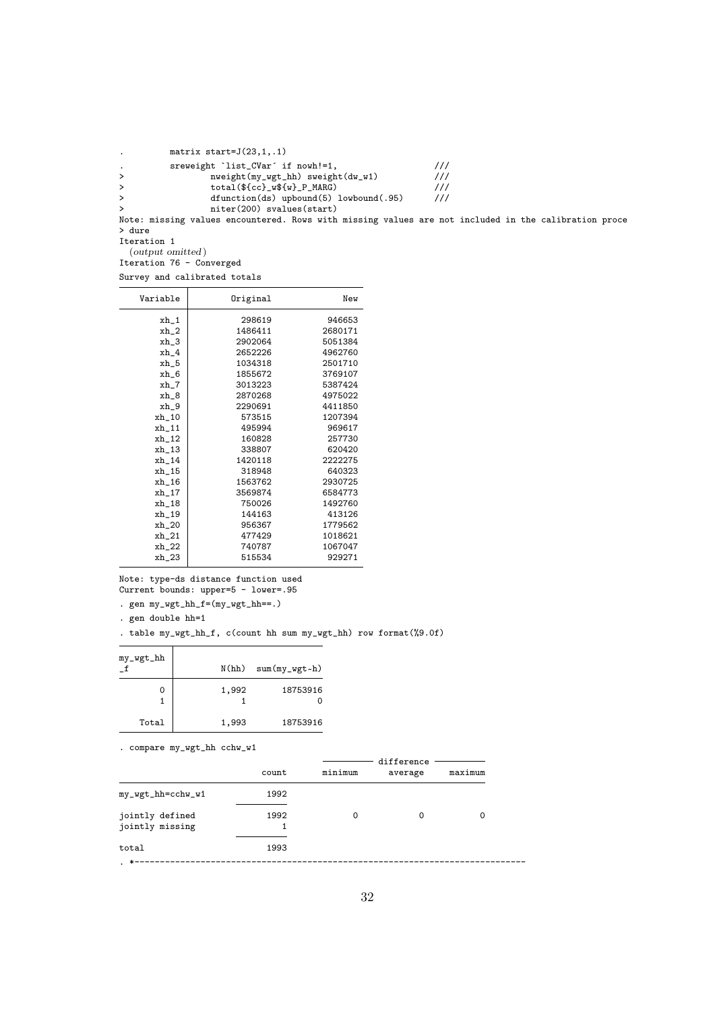| $\ddot{\phantom{a}}$ | matrix start= $J(23,1, .1)$                                                                          |               |  |  |
|----------------------|------------------------------------------------------------------------------------------------------|---------------|--|--|
| $\bullet$            | sreweight 'list_CVar' if nowh!=1,                                                                    |               |  |  |
| $\geq$               | $nweight(my_wgt_hh)$ sweight $(dw_w1)$                                                               | ///           |  |  |
| $\geq$               | $total(${cc}$ $w$(w]$ $P$ $MARG)$                                                                    | $\frac{1}{2}$ |  |  |
| $\geq$               | $dfunction(ds)$ upbound(5) lowbound(.95)                                                             | $\frac{1}{2}$ |  |  |
| $\geq$               | niter(200) svalues(start)                                                                            |               |  |  |
|                      | Note: missing values encountered. Rows with missing values are not included in the calibration proce |               |  |  |
| > dure               |                                                                                                      |               |  |  |
| Iteration 1          |                                                                                                      |               |  |  |
|                      | ( <i>output omitted</i> )                                                                            |               |  |  |
|                      | Iteration 76 - Converged                                                                             |               |  |  |

|  | Survey and calibrated totals |  |
|--|------------------------------|--|
|  |                              |  |

| Variable | Original | New     |
|----------|----------|---------|
| $xh_1$   | 298619   | 946653  |
| xh_2     | 1486411  | 2680171 |
| $xh_3$   | 2902064  | 5051384 |
| xh_4     | 2652226  | 4962760 |
| $xh_5$   | 1034318  | 2501710 |
| xh_6     | 1855672  | 3769107 |
| xh_7     | 3013223  | 5387424 |
| xh_8     | 2870268  | 4975022 |
| xh 9     | 2290691  | 4411850 |
| xh 10    | 573515   | 1207394 |
| xh 11    | 495994   | 969617  |
| xh_12    | 160828   | 257730  |
| $xh_13$  | 338807   | 620420  |
| xh 14    | 1420118  | 2222275 |
| xh 15    | 318948   | 640323  |
| xh 16    | 1563762  | 2930725 |
| xh 17    | 3569874  | 6584773 |
| xh 18    | 750026   | 1492760 |
| xh_19    | 144163   | 413126  |
| $xh_2$   | 956367   | 1779562 |
| $xh_21$  | 477429   | 1018621 |
| xh_22    | 740787   | 1067047 |
| xh 23    | 515534   | 929271  |

Note: type-ds distance function used Current bounds: upper=5 - lower=.95

. gen $my\_wgt\_hh_f=(my\_wgt\_hh==.)$ 

. gen double hh=1

. table my\_wgt\_hh\_f, c(count hh sum my\_wgt\_hh) row format(%9.0f)

| my_wgt_hh |       | $N(hh)$ sum $(my_wgt$ -h) |
|-----------|-------|---------------------------|
|           | 1,992 | 18753916                  |
| Total     | 1,993 | 18753916                  |

. compare my\_wgt\_hh cchw\_w1

|                                    |       |         | difference |         |
|------------------------------------|-------|---------|------------|---------|
|                                    | count | minimum | average    | maximum |
| my_wgt_hh=cchw_w1                  | 1992  |         |            |         |
| jointly defined<br>jointly missing | 1992  | 0       | 0          | 0       |
| total                              | 1993  |         |            |         |
| $\star-$                           |       |         |            |         |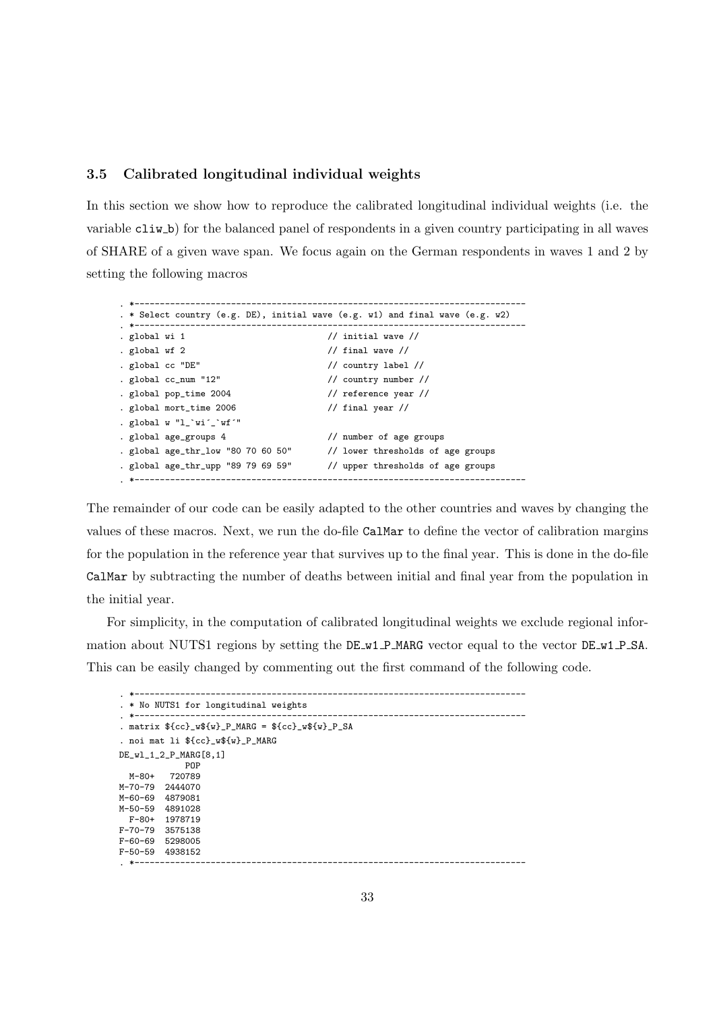#### 3.5 Calibrated longitudinal individual weights

In this section we show how to reproduce the calibrated longitudinal individual weights (i.e. the variable cliw b) for the balanced panel of respondents in a given country participating in all waves of SHARE of a given wave span. We focus again on the German respondents in waves 1 and 2 by setting the following macros

```
. *-----------------------------------------------------------------------------
. * Select country (e.g. DE), initial wave (e.g. w1) and final wave (e.g. w2)
. *-----------------------------------------------------------------------------
                                          \frac{1}{2} initial wave \frac{1}{2}. global wf 2 \frac{1}{\sqrt{2}} // final wave \frac{1}{\sqrt{2}}. global cc "DE" // country label //
. global cc_num "12" // country number //
. global pop_time 2004 // reference year //
. global mort_time 2006 // final year //
. global \mathtt{w} "l_`wi´_`wf´"
. global age_groups 4 // number of age groups
. global age_thr_low "80 70 60 50" // lower thresholds of age groups<br>. global age thr unn "89 79 69 59" // unner thresholds of age groups
. global age_thr_upp "89 79 69 59" // upper thresholds of age groups
. *-----------------------------------------------------------------------------
```
The remainder of our code can be easily adapted to the other countries and waves by changing the values of these macros. Next, we run the do-file CalMar to define the vector of calibration margins for the population in the reference year that survives up to the final year. This is done in the do-file CalMar by subtracting the number of deaths between initial and final year from the population in the initial year.

For simplicity, in the computation of calibrated longitudinal weights we exclude regional information about NUTS1 regions by setting the DE\_w1\_P\_MARG vector equal to the vector DE\_w1\_P\_SA. This can be easily changed by commenting out the first command of the following code.

```
. *-----------------------------------------------------------------------------
. * No NUTS1 for longitudinal weights
. *-----------------------------------------------------------------------------
. matrix ${cc}_w${w}_P_MARG = ${cc}_w${w}_P_SA
. noi mat li ${cc}_w${w}_P_MARG
DE_wl_1_2_P_MARG[8,1]
            POP
  M-80+ 720789
M-70-79 2444070
M-60-69 4879081
M-50-59 4891028
 F-80+ 1978719
F-70-79 3575138
F-60-69 5298005
F-50-59 4938152
. *-----------------------------------------------------------------------------
```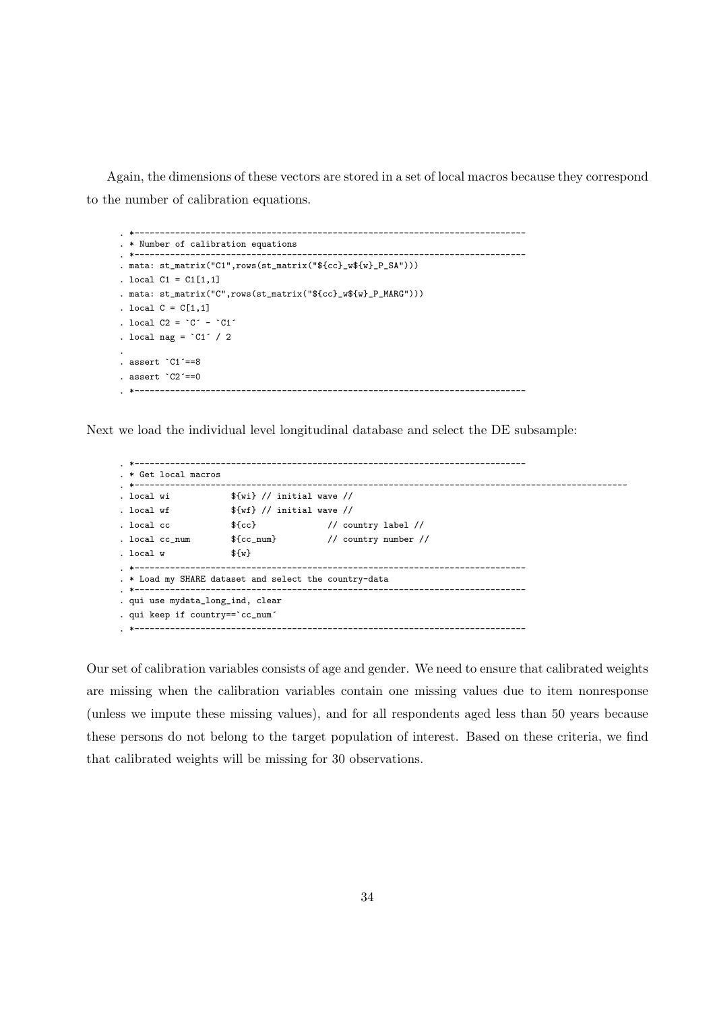Again, the dimensions of these vectors are stored in a set of local macros because they correspond to the number of calibration equations.

```
. *-----------------------------------------------------------------------------
. * Number of calibration equations
. *-----------------------------------------------------------------------------
. mata: st_matrix("C1",rows(st_matrix("${cc}_w${w}_P_SA")))
. local C1 = C1[1,1]. mata: st_matrix("C",rows(st_matrix("${cc}_w${w}_P_MARG")))
. local C = C[1,1]. local C2 = C^{\prime} - C1^{\prime}. local nag = °C1' / 2
.
. assert `C1´==8
. assert `C2´==0
  . *-----------------------------------------------------------------------------
```
Next we load the individual level longitudinal database and select the DE subsample:

```
. *-----------------------------------------------------------------------------
. * Get local macros
. *-------------------------------------------------------------------------------------------------
. local wi \{w_i\} // initial wave //
. local wf f(wf) // initial wave //
. local cc \{c\} // country label //
. local cc_num f{cc\_num} // country number //
. local w = \frac{1}{2} w. *-----------------------------------------------------------------------------
. * Load my SHARE dataset and select the country-data
. *-----------------------------------------------------------------------------
. qui use mydata_long_ind, clear
. qui keep if country==`cc_num´
                              . *-----------------------------------------------------------------------------
```
Our set of calibration variables consists of age and gender. We need to ensure that calibrated weights are missing when the calibration variables contain one missing values due to item nonresponse (unless we impute these missing values), and for all respondents aged less than 50 years because these persons do not belong to the target population of interest. Based on these criteria, we find that calibrated weights will be missing for 30 observations.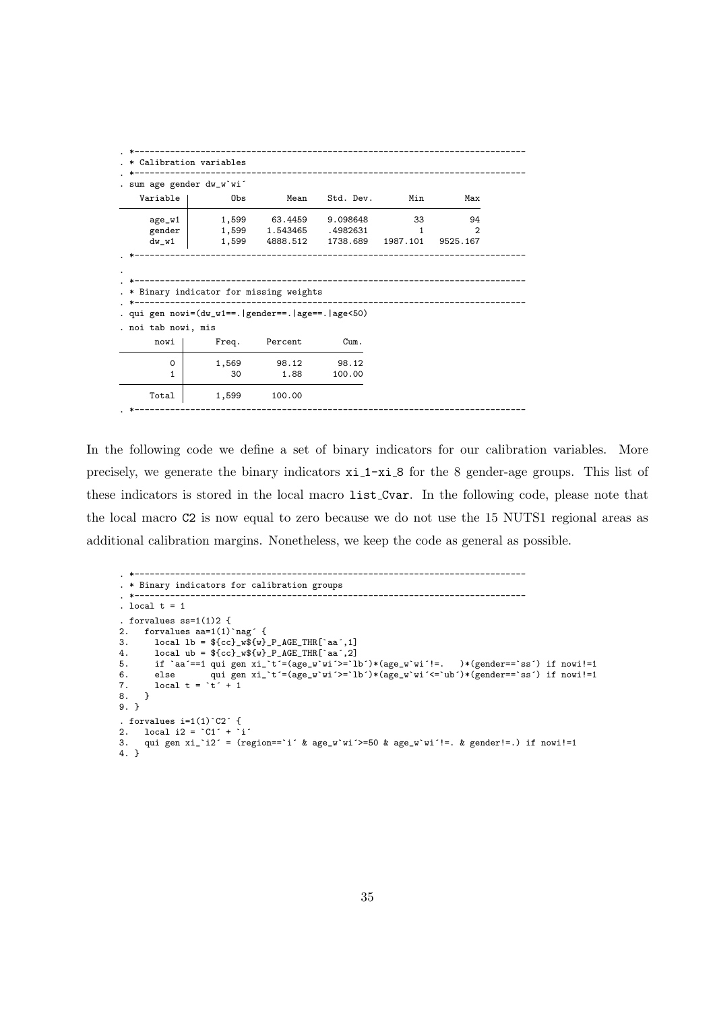|                             | . sum age gender dw_w`wi'                               |                           |           |          |          |
|-----------------------------|---------------------------------------------------------|---------------------------|-----------|----------|----------|
|                             |                                                         |                           |           |          |          |
| Variable                    | Obs                                                     | Mean                      | Std. Dev. | Min      | Max      |
| age_w1                      | 1,599                                                   | 63.4459                   | 9.098648  | 33       | 94       |
| gender                      |                                                         | 1,599 1.543465            | .4982631  | 1        | 2        |
| $dw_w1$                     |                                                         | 1,599 4888.512            | 1738.689  | 1987.101 | 9525.167 |
|                             | * Binary indicator for missing weights                  | ------------------------- |           |          |          |
|                             | . qui gen nowi=(dw_w1==.   gender==.   age==.   age<50) |                           |           |          |          |
|                             |                                                         |                           |           |          |          |
| . noi tab nowi, mis<br>nowi | Freq.                                                   | Percent                   | Cum.      |          |          |
| $\Omega$                    | 1,569                                                   | 98.12                     | 98.12     |          |          |
| 1                           | 30                                                      | 1.88                      | 100.00    |          |          |

In the following code we define a set of binary indicators for our calibration variables. More precisely, we generate the binary indicators  $x_i_1 - x_i_8$  for the 8 gender-age groups. This list of these indicators is stored in the local macro list Cvar. In the following code, please note that the local macro C2 is now equal to zero because we do not use the 15 NUTS1 regional areas as additional calibration margins. Nonetheless, we keep the code as general as possible.

```
. *-----------------------------------------------------------------------------
. * Binary indicators for calibration groups
                                                      . *-----------------------------------------------------------------------------
. local t = 1. forvalues ss=1(1)2 {<br>2. forvalues aa=1(1)2. forvalues aa=1(1)`nag´ {
3. local lb = fcc]_wf(w)_P_AGE_THR['aa',1]<br>4. local ub = fcc]_wf(w)_P_AGE_THR['aa',2]
4. local ub = fcc}_wf(w)_P_AGE_THR[`aa´,2]<br>5. if `aa´==1 qui gen xi_`t´=(age_w`wi´>=`lb´)*(age_w`wi´!=. )*(gender==`ss´) if nowi!=1
5. if `aa´==1 qui gen xi_`t´=(age_w`wi´>=`lb´)*(age_w`wi´!=. )*(gender==`ss´) if nowi!=1
6. else qui gen xi_`t´=(age_w`wi´>=`lb´)*(age_w`wi´<=`ub´)*(gender==`ss´) if nowi!=1
7. local t = \dot{t} + 18. }
9. }
. forvalues i=1(1) C2<sup>2</sup> {<br>2. local i2 = C1<sup>2</sup> + i<sup>2</sup>
2. local i2 = °C1' + i'3. qui gen xi_`i2´ = (region==`i´ & age_w`wi´>=50 & age_w`wi´!=. & gender!=.) if nowi!=1
4. }
```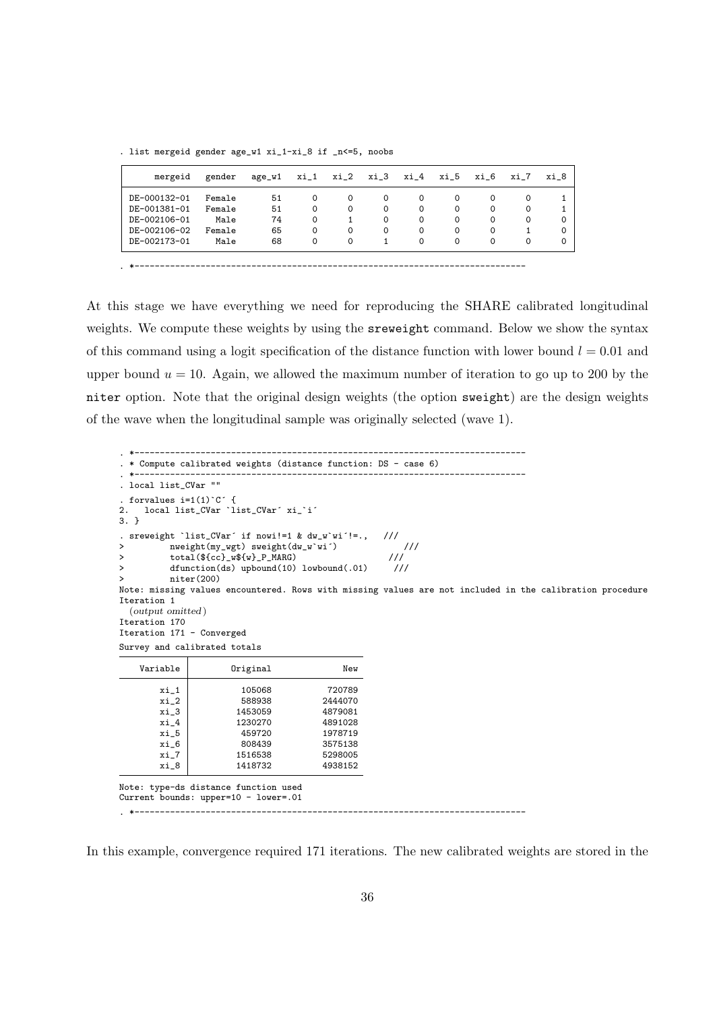. list mergeid gender age\_w1 xi\_1-xi\_8 if \_n<=5, noobs

| mergeid      | gender | age_w1 | xi_1     | xi_2     | xi_3     | xi_4     | xi_5     | xi 6     | xi 7 | xi 8     |
|--------------|--------|--------|----------|----------|----------|----------|----------|----------|------|----------|
| DE-000132-01 | Female | 51     | $\Omega$ | $\Omega$ | $\Omega$ | $\Omega$ | $\Omega$ | 0        | 0    |          |
| DE-001381-01 | Female | 51     | 0        | $\Omega$ | $\Omega$ | $\Omega$ | $\Omega$ | $\Omega$ | 0    |          |
| DE-002106-01 | Male   | 74     | 0        |          | $\Omega$ | $\Omega$ | $\Omega$ | 0        | 0    | $\Omega$ |
| DE-002106-02 | Female | 65     | 0        | $\Omega$ | $\Omega$ | $\Omega$ | $\Omega$ | 0        |      | $\Omega$ |
| DE-002173-01 | Male   | 68     | 0        | $\Omega$ |          | $\Omega$ | $\Omega$ | $\Omega$ | 0    | $\Omega$ |

At this stage we have everything we need for reproducing the SHARE calibrated longitudinal weights. We compute these weights by using the sreweight command. Below we show the syntax of this command using a logit specification of the distance function with lower bound  $l = 0.01$  and upper bound  $u = 10$ . Again, we allowed the maximum number of iteration to go up to 200 by the niter option. Note that the original design weights (the option sweight) are the design weights of the wave when the longitudinal sample was originally selected (wave 1).

. \*----------------------------------------------------------------------------- . \* Compute calibrated weights (distance function: DS - case 6) . \*----------------------------------------------------------------------------- . local list\_CVar "" . forvalues  $i=1(1)^c$ <br>2. local list CVar rvalues i=1(1)`C´ {<br>local list\_CVar `list\_CVar´ xi\_`i´ 3. } . sreweight `list\_CVar´ if nowi!=1 & dw\_w`wi'!=., ///<br>> nweight(my wgt) sweight(dw\_w`wi') > nweight(my\_wgt) sweight(dw\_w`wi´) ///<br>> total(\$fcc} w\$fw} P MARG) /// ///  $\text{total}(\frac{\${cc}}{\$cc}^{\text{w}}\text{w}\text{w}^{\text{w}})$ > dfunction(ds) upbound(10) lowbound(.01) /// > niter(200) Note: missing values encountered. Rows with missing values are not included in the calibration procedure Iteration 1 (output omitted ) Iteration 170 Iteration 171 - Converged Survey and calibrated totals Variable Driginal New  $\begin{array}{c|c} \texttt{xi\_1} & \texttt{105068} & \texttt{720789} \\ \texttt{xi\_2} & \texttt{588938} & \texttt{2444070} \end{array}$  $\begin{array}{c|c}\nxi_2 \\
xi_3\n\end{array}$  588938 1453059 4879081 xi\_4 1230270 4891028  $x$ i\_5  $459720$  1978719<br> $x$ i\_6 808439 3575138 xi\_6 808439 3575138<br>xi\_7 1516538 5298005  $\begin{array}{c|c}\n \text{xi} \\
 \text{xi} \\
 \text{xi} \\
 \text{xi} \\
 \text{eta}\n \end{array}$ 1516538<br>
1418732 4938152 1418732 Note: type-ds distance function used

Current bounds: upper=10 - lower=.01

. \*-----------------------------------------------------------------------------

In this example, convergence required 171 iterations. The new calibrated weights are stored in the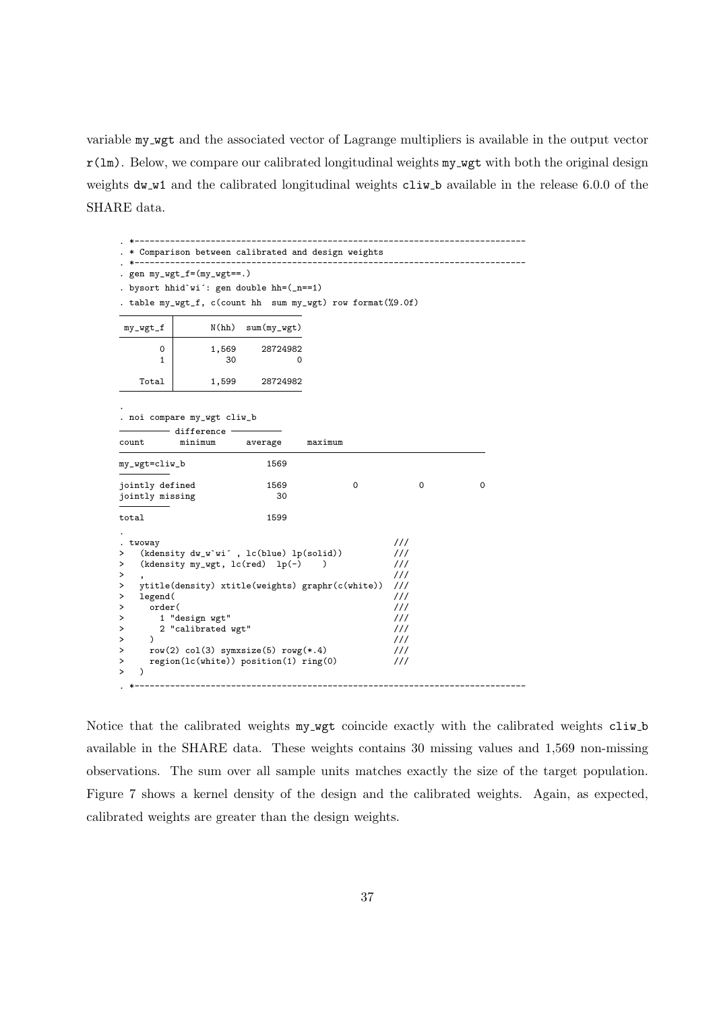variable my wgt and the associated vector of Lagrange multipliers is available in the output vector  $r(lm)$ . Below, we compare our calibrated longitudinal weights my wgt with both the original design weights dw w1 and the calibrated longitudinal weights cliw b available in the release 6.0.0 of the SHARE data.

|                                                                                                      | Comparison between calibrated and design weights                                                                                                                                                                                                                      |                                                                                                                                                                            |         |  |   |   |
|------------------------------------------------------------------------------------------------------|-----------------------------------------------------------------------------------------------------------------------------------------------------------------------------------------------------------------------------------------------------------------------|----------------------------------------------------------------------------------------------------------------------------------------------------------------------------|---------|--|---|---|
|                                                                                                      | gen $my_wgt_f=(my_wgt==.)$<br>bysort hhid'wi': gen double hh=(_n==1)<br>table my_wgt_f, c(count hh sum my_wgt) row format(%9.0f)                                                                                                                                      |                                                                                                                                                                            |         |  |   |   |
| my_wgt_f                                                                                             | N(hh)                                                                                                                                                                                                                                                                 | $sum(my_wgt)$                                                                                                                                                              |         |  |   |   |
| 0<br>$\mathbf{1}$                                                                                    | 1,569<br>30                                                                                                                                                                                                                                                           | 28724982<br>0                                                                                                                                                              |         |  |   |   |
| Total                                                                                                | 1,599                                                                                                                                                                                                                                                                 | 28724982                                                                                                                                                                   |         |  |   |   |
| count                                                                                                | . noi compare my_wgt cliw_b<br>difference -<br>minimum                                                                                                                                                                                                                | average                                                                                                                                                                    | maximum |  |   |   |
| my_wgt=cliw_b                                                                                        |                                                                                                                                                                                                                                                                       | 1569                                                                                                                                                                       |         |  |   |   |
| jointly defined<br>jointly missing                                                                   |                                                                                                                                                                                                                                                                       | 1569<br>30                                                                                                                                                                 | 0       |  | 0 | 0 |
| total                                                                                                |                                                                                                                                                                                                                                                                       | 1599                                                                                                                                                                       |         |  |   |   |
| twoway<br>><br>><br>><br>><br>legend(<br>><br>order(<br>><br>><br>><br>$\lambda$<br>><br>><br>><br>` | (kdensity dw_w'wi', lc(blue) lp(solid))<br>(kdensity my_wgt, $lc(\text{red})$ lp(-)<br>ytitle(density) xtitle(weights) graphr(c(white))<br>1 "design wgt"<br>2 "calibrated wgt"<br>$row(2) col(3) symrsize(5) rowg(*.4)$<br>$region(lc(white))$ position(1) $ring(0)$ | 111<br>$\frac{1}{2}$<br>$\frac{1}{2}$<br>$\frac{1}{2}$<br>$\frac{1}{2}$<br>111<br>///<br>$\frac{1}{2}$<br>$\frac{1}{2}$<br>$\frac{1}{2}$<br>$\frac{1}{2}$<br>$\frac{1}{1}$ |         |  |   |   |
|                                                                                                      |                                                                                                                                                                                                                                                                       |                                                                                                                                                                            |         |  |   |   |

Notice that the calibrated weights my wgt coincide exactly with the calibrated weights cliw b available in the SHARE data. These weights contains 30 missing values and 1,569 non-missing observations. The sum over all sample units matches exactly the size of the target population. Figure 7 shows a kernel density of the design and the calibrated weights. Again, as expected, calibrated weights are greater than the design weights.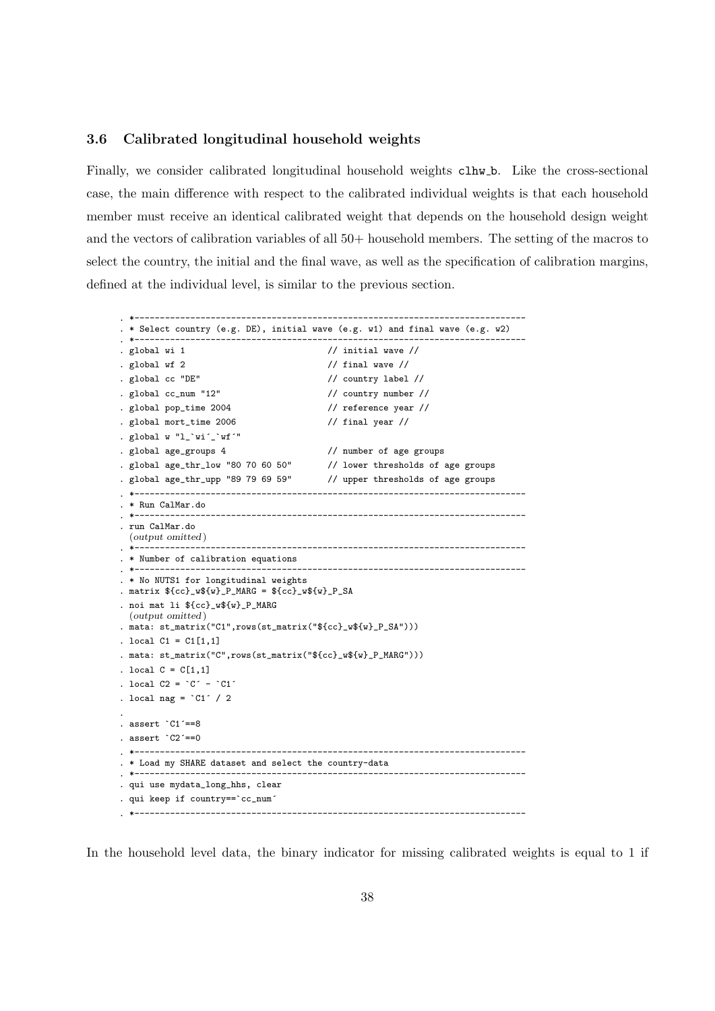#### 3.6 Calibrated longitudinal household weights

Finally, we consider calibrated longitudinal household weights clhw b. Like the cross-sectional case, the main difference with respect to the calibrated individual weights is that each household member must receive an identical calibrated weight that depends on the household design weight and the vectors of calibration variables of all 50+ household members. The setting of the macros to select the country, the initial and the final wave, as well as the specification of calibration margins, defined at the individual level, is similar to the previous section.

```
. *-----------------------------------------------------------------------------
. * Select country (e.g. DE), initial wave (e.g. w1) and final wave (e.g. w2)
. *-----------------------------------------------------------------------------
. global wi 1 \frac{1}{\sqrt{2}} // initial wave \frac{1}{\sqrt{2}}. global wf 2 \frac{1}{2} // final wave //
. global cc "DE" // country label //
. global cc_num "12" // country number //
. global pop_time 2004 // reference year //
. global mort_time 2006 // final year //
. global w "l_`wi´_`wf´"
. global age_groups 4 // number of age groups
. global age_thr_low "80 70 60 50" // lower thresholds of age groups
. global age_thr_upp "89 79 69 59" // upper thresholds of age groups
. *-----------------------------------------------------------------------------
. * Run CalMar.do
. *-----------------------------------------------------------------------------
. run CalMar.do
 (output omitted )
. *-----------------------------------------------------------------------------
. * Number of calibration equations
. *-----------------------------------------------------------------------------
. * No NUTS1 for longitudinal weights
. matrix ${cc}_w${w}_P_MARG = ${cc}_w${w}_P_SA
. noi mat li ${cc}_w${w}_P_MARG
 (output omitted )
. mata: st_matrix("C1",rows(st_matrix("${cc}_w${w}_P_SA")))
. local C1 = C1[1,1]. mata: st_matrix("C",rows(st_matrix("${cc}_w${w}_P_MARG")))
. local C = C[1,1]. local C2 = C^{\prime} - C1^{\prime}. local nag = °C1' / 2
.
. assert `C1´==8
. assert `C2´==0
. *-----------------------------------------------------------------------------
. * Load my SHARE dataset and select the country-data
. *-----------------------------------------------------------------------------
. qui use mydata_long_hhs, clear
. qui keep if country==`cc_num´
. *-----------------------------------------------------------------------------
```
In the household level data, the binary indicator for missing calibrated weights is equal to 1 if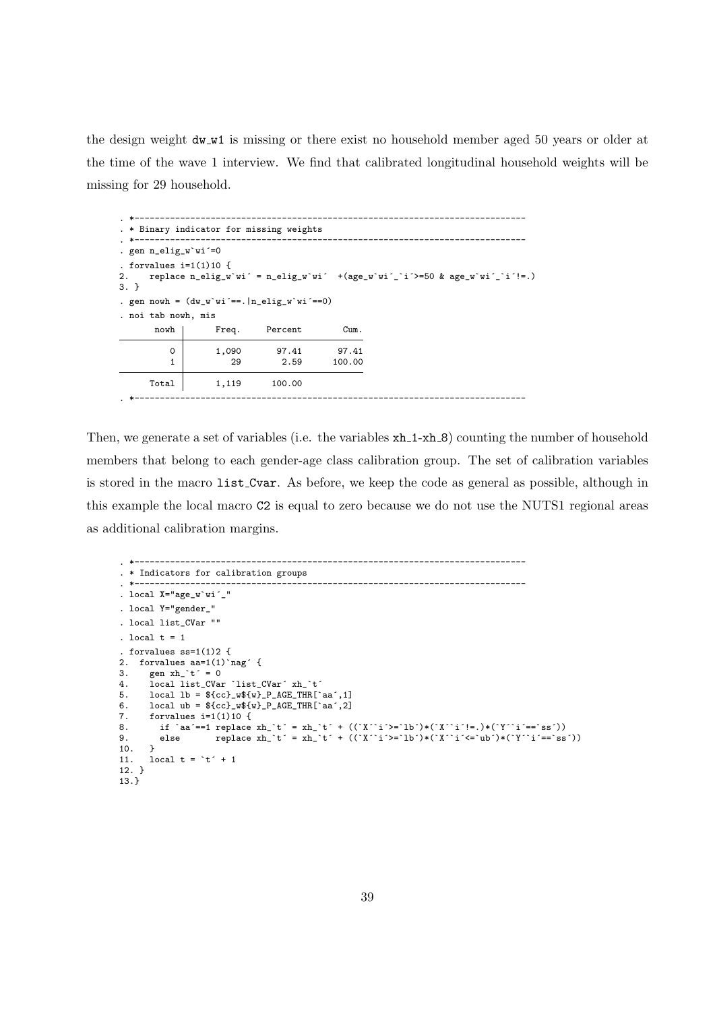the design weight  $dw_w1$  is missing or there exist no household member aged 50 years or older at the time of the wave 1 interview. We find that calibrated longitudinal household weights will be missing for 29 household.

```
. *-----------------------------------------------------------------------------
. * Binary indicator for missing weights
. *-----------------------------------------------------------------------------
. gen n_elig_w`wi´=0
. forvalues i=1(1)10 {
2. replace n-elig_w`wi´ = n-elig_w`wi´ +(age_w`wi´_`i´>=50 & age_w`wi´_`i´!=.)
3. }
. gen nowh = (dw_w'wi' == .|n_elig_w'wi' == 0). noi tab nowh, mis
      nowh | Freq. Percent Cum.
         0 1,090 97.41 97.41
         1 29 2.59 100.00
     Total 1,119 100.00
. *-----------------------------------------------------------------------------
```
Then, we generate a set of variables (i.e. the variables  $xh_1-xh_2$ ) counting the number of household members that belong to each gender-age class calibration group. The set of calibration variables is stored in the macro list Cvar. As before, we keep the code as general as possible, although in this example the local macro C2 is equal to zero because we do not use the NUTS1 regional areas as additional calibration margins.

```
. *-----------------------------------------------------------------------------
. * Indicators for calibration groups
. *-----------------------------------------------------------------------------
. local X="age_w`wi´_"
. local Y="gender_"
. local list_CVar ""
. local t = 1. forvalues ss=1(1)2 {
2. forvalues aa=1(1)`nag´ {<br>3. gen xh `t´ = 0
3. gen xh^t = 0<br>4. local list CVan
4. local list_CVar `list_CVar´ xh_`t´<br>5. local lb = Cc}_w${w}_P_AGE_THR[`
      local lb = ${cc} w{{}_{w}} P AGE THR [aa',1]6. \text{local ub} = \frac{1}{2} \cdot \text{log}(w) - \text{P}_AGE_THR[\text{aa}^{\text{-}},2]7. forvalues i=1(1)10 {<br>8. if \lambda aa'==1 replace
8. if `aa´==1 replace xh_`t´ = xh_`t´ + ((`X´`i´>=`lb´)*(`X´`i´!=.)*(`Y´`i´==`ss´))
9. else replace xh_`t´ = xh_`t´ + ((`X´`i´>=`lb´)*(`X´`i´<=`ub´)*(`Y´`i´==`ss´))
10. }
11. local t = `t´ + 1
12. }
13.}
```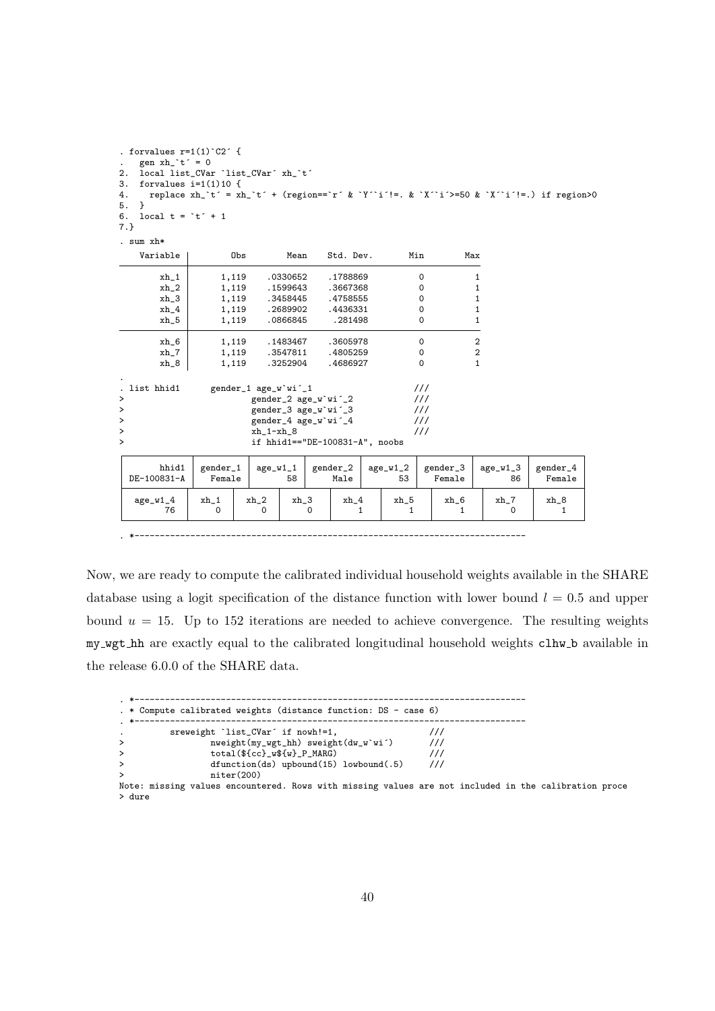| . forvalues $r=1(1)$ $C2$ {<br>gen $xh^t = 0$<br>local list_CVar 'list_CVar' xh_'t'<br>2.<br>forvalues $i=1(1)10$ {<br>3.<br>replace $xh^t = xh^t + (region == r^k Y^i := k^N Y^i - s) = 50 k^Y i^t = 0$ if region>0<br>4.<br><sup>1</sup><br>5.<br>local $t = \dot{t} + 1$<br>6.<br>$7.}$ |                                                                                                                                                                                              |                    |                    |                        |  |                  |          |                        |                    |                    |
|--------------------------------------------------------------------------------------------------------------------------------------------------------------------------------------------------------------------------------------------------------------------------------------------|----------------------------------------------------------------------------------------------------------------------------------------------------------------------------------------------|--------------------|--------------------|------------------------|--|------------------|----------|------------------------|--------------------|--------------------|
| . sum $x h*$                                                                                                                                                                                                                                                                               |                                                                                                                                                                                              |                    |                    |                        |  |                  |          |                        |                    |                    |
| Variable                                                                                                                                                                                                                                                                                   | Obs                                                                                                                                                                                          |                    | Mean               | Std. Dev.              |  |                  | Min      | Max                    |                    |                    |
| $xh_1$                                                                                                                                                                                                                                                                                     | 1,119                                                                                                                                                                                        |                    | .0330652           | .1788869               |  |                  | 0        |                        | 1                  |                    |
| $xh_2$                                                                                                                                                                                                                                                                                     | 1,119                                                                                                                                                                                        |                    | .1599643           | .3667368               |  |                  | 0        |                        | 1                  |                    |
| $xh_3$                                                                                                                                                                                                                                                                                     | 1,119                                                                                                                                                                                        |                    | .3458445           | .4758555               |  |                  | 0        |                        | 1                  |                    |
| $xh_4$                                                                                                                                                                                                                                                                                     | 1,119                                                                                                                                                                                        |                    | .2689902           | .4436331               |  |                  | 0        |                        | 1                  |                    |
| $xh_5$                                                                                                                                                                                                                                                                                     | 1,119                                                                                                                                                                                        |                    | .0866845           | .281498                |  |                  | $\Omega$ |                        | 1                  |                    |
| $xh_6$                                                                                                                                                                                                                                                                                     | 1,119                                                                                                                                                                                        |                    | .1483467           | .3605978               |  |                  | $\Omega$ |                        | $\overline{2}$     |                    |
| $xh_7$                                                                                                                                                                                                                                                                                     | 1,119                                                                                                                                                                                        |                    | .3547811           | .4805259               |  |                  | $\circ$  |                        | $\overline{2}$     |                    |
| $xh_8$                                                                                                                                                                                                                                                                                     | 1,119                                                                                                                                                                                        |                    | .3252904           | .4686927               |  |                  | $\Omega$ |                        | $\mathbf{1}$       |                    |
| . list hhid1<br>$\,>\,$<br>><br>><br>><br>$\mathbf{L}$                                                                                                                                                                                                                                     | 111<br>gender_1 age_w'wi'_1<br>$\frac{1}{1}$<br>gender_2 age_w'wi'_2<br>gender_3 age_w'wi'_3<br>111<br>111<br>gender_4 age_w'wi'_4<br>111<br>$xh_1-xh_8$<br>if hhid1 == "DE-100831-A", noobs |                    |                    |                        |  |                  |          |                        |                    |                    |
| hhid1<br>DE-100831-A                                                                                                                                                                                                                                                                       | gender_1<br>Female                                                                                                                                                                           | $age_w1_1$         | 58                 | gender_2<br>Male       |  | $age_w1_2$<br>53 |          | gender_3<br>Female     | $age_w1_3$<br>86   | gender_4<br>Female |
| $age_w1_4$<br>76                                                                                                                                                                                                                                                                           | $xh_1$<br>$\Omega$                                                                                                                                                                           | $xh_2$<br>$\Omega$ | $xh_3$<br>$\Omega$ | $xh_4$<br>$\mathbf{1}$ |  | xh_5<br>1        |          | $xh_6$<br>$\mathbf{1}$ | $xh_7$<br>$\Omega$ | xh_8<br>1          |
|                                                                                                                                                                                                                                                                                            |                                                                                                                                                                                              |                    |                    |                        |  |                  |          |                        |                    |                    |

Now, we are ready to compute the calibrated individual household weights available in the SHARE database using a logit specification of the distance function with lower bound  $l = 0.5$  and upper bound  $u = 15$ . Up to 152 iterations are needed to achieve convergence. The resulting weights my wgt hh are exactly equal to the calibrated longitudinal household weights clhw b available in the release 6.0.0 of the SHARE data.

|           | . * Compute calibrated weights (distance function: DS - case 6)                                      |               |  |  |
|-----------|------------------------------------------------------------------------------------------------------|---------------|--|--|
| . *-      |                                                                                                      |               |  |  |
| $\bullet$ | sreweight 'list_CVar' if nowh!=1,                                                                    |               |  |  |
| $\geq$    | $nweight(my_wgt_hh)$ sweight $(dw_w'u')$                                                             | $\frac{1}{1}$ |  |  |
| $\geq$    | $total($cc]_{w${w}_{p}$ _P_MARG)                                                                     | $\frac{1}{2}$ |  |  |
|           | $dfunction(ds)$ upbound(15) lowbound(.5)                                                             | $\frac{1}{2}$ |  |  |
|           | niter(200)                                                                                           |               |  |  |
|           | Note: missing values encountered. Rows with missing values are not included in the calibration proce |               |  |  |
| > dure    |                                                                                                      |               |  |  |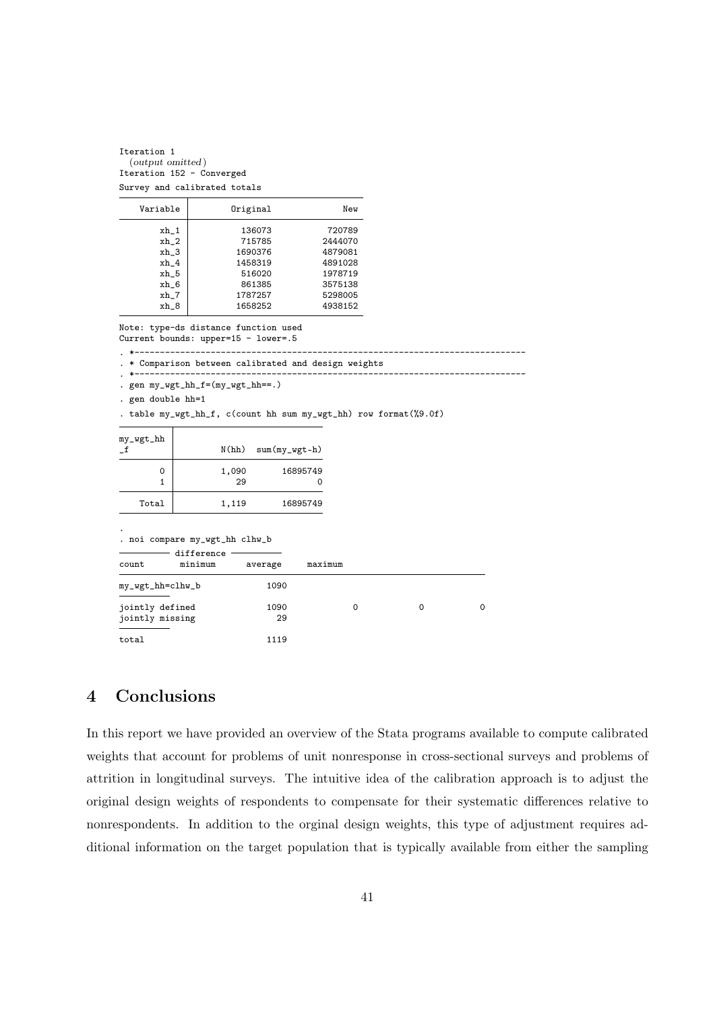Iteration 1 (output omitted ) Iteration 152 - Converged Survey and calibrated totals

| Variable | Original | New     |
|----------|----------|---------|
| xh_1     | 136073   | 720789  |
| xh_2     | 715785   | 2444070 |
| xh 3     | 1690376  | 4879081 |
| $xh_4$   | 1458319  | 4891028 |
| xh_5     | 516020   | 1978719 |
| xh 6     | 861385   | 3575138 |
| xh_7     | 1787257  | 5298005 |
| xh 8     | 1658252  | 4938152 |

Note: type-ds distance function used

Current bounds: upper=15 - lower=.5

- . \*-----------------------------------------------------------------------------
- . \* Comparison between calibrated and design weights . \*-----------------------------------------------------------------------------
- . gen my\_wgt\_hh\_f=(my\_wgt\_hh==.)

. gen double hh=1

. table my\_wgt\_hh\_f, c(count hh sum my\_wgt\_hh) row format(%9.0f)

| my_wgt_hh |             | $N(hh)$ sum $(my_wgt$ |
|-----------|-------------|-----------------------|
| 0         | 1,090<br>29 | 16895749              |
| Total     | 1,119       | 16895749              |

| $\bullet$                          | . noi compare my_wgt_hh clhw_b |            |         |   |          |   |
|------------------------------------|--------------------------------|------------|---------|---|----------|---|
| count                              | difference<br>minimum          | average    | maximum |   |          |   |
| my_wgt_hh=clhw_b                   |                                | 1090       |         |   |          |   |
| jointly defined<br>jointly missing |                                | 1090<br>29 |         | 0 | $\Omega$ | 0 |
| total                              |                                | 1119       |         |   |          |   |

## 4 Conclusions

In this report we have provided an overview of the Stata programs available to compute calibrated weights that account for problems of unit nonresponse in cross-sectional surveys and problems of attrition in longitudinal surveys. The intuitive idea of the calibration approach is to adjust the original design weights of respondents to compensate for their systematic differences relative to nonrespondents. In addition to the orginal design weights, this type of adjustment requires additional information on the target population that is typically available from either the sampling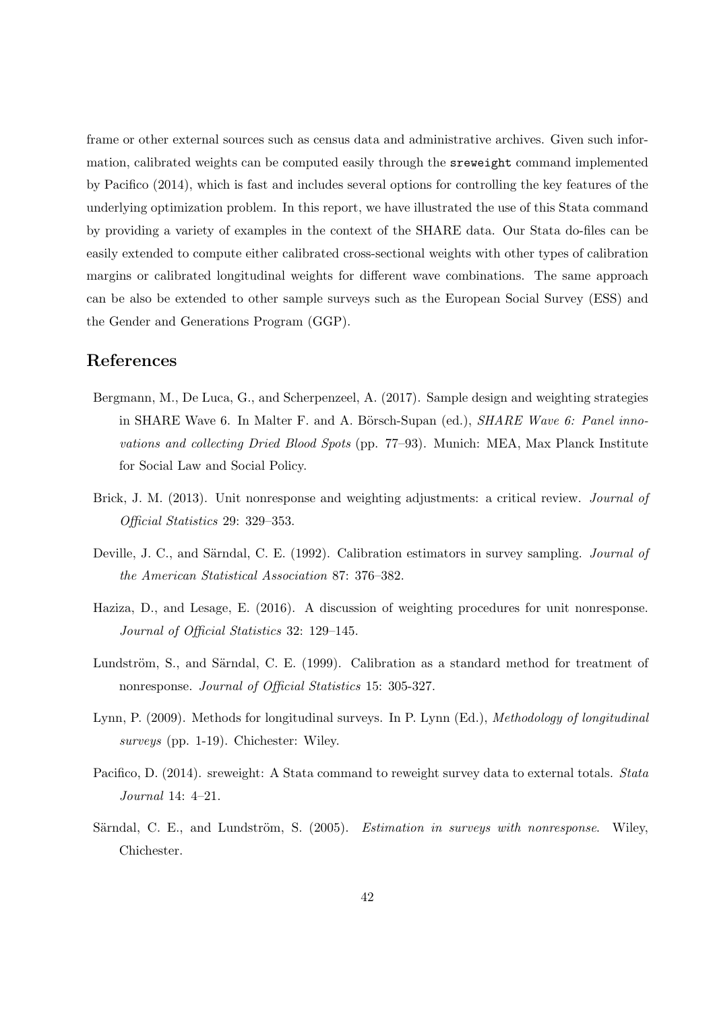frame or other external sources such as census data and administrative archives. Given such information, calibrated weights can be computed easily through the sreweight command implemented by Pacifico (2014), which is fast and includes several options for controlling the key features of the underlying optimization problem. In this report, we have illustrated the use of this Stata command by providing a variety of examples in the context of the SHARE data. Our Stata do-files can be easily extended to compute either calibrated cross-sectional weights with other types of calibration margins or calibrated longitudinal weights for different wave combinations. The same approach can be also be extended to other sample surveys such as the European Social Survey (ESS) and the Gender and Generations Program (GGP).

## References

- Bergmann, M., De Luca, G., and Scherpenzeel, A. (2017). Sample design and weighting strategies in SHARE Wave 6. In Malter F. and A. Börsch-Supan (ed.),  $SHARE$  Wave 6: Panel innovations and collecting Dried Blood Spots (pp. 77–93). Munich: MEA, Max Planck Institute for Social Law and Social Policy.
- Brick, J. M. (2013). Unit nonresponse and weighting adjustments: a critical review. *Journal of* Official Statistics 29: 329–353.
- Deville, J. C., and Särndal, C. E. (1992). Calibration estimators in survey sampling. *Journal of* the American Statistical Association 87: 376–382.
- Haziza, D., and Lesage, E. (2016). A discussion of weighting procedures for unit nonresponse. Journal of Official Statistics 32: 129–145.
- Lundström, S., and Särndal, C. E. (1999). Calibration as a standard method for treatment of nonresponse. Journal of Official Statistics 15: 305-327.
- Lynn, P. (2009). Methods for longitudinal surveys. In P. Lynn (Ed.), Methodology of longitudinal surveys (pp. 1-19). Chichester: Wiley.
- Pacifico, D. (2014). sreweight: A Stata command to reweight survey data to external totals. Stata Journal 14: 4–21.
- Särndal, C. E., and Lundström, S. (2005). *Estimation in surveys with nonresponse*. Wiley, Chichester.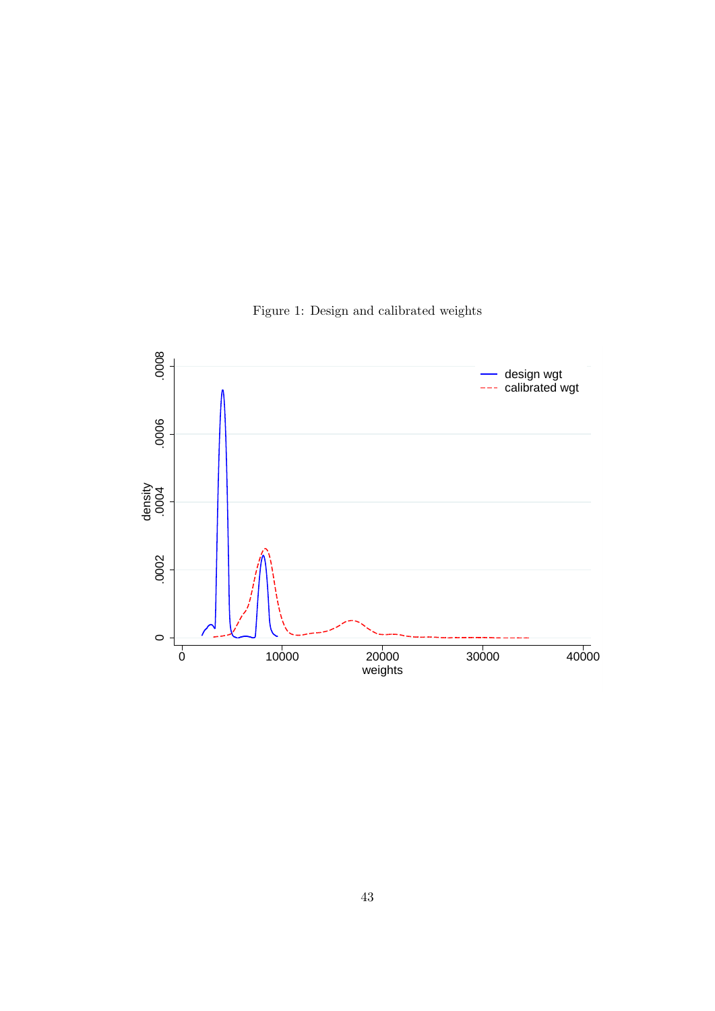

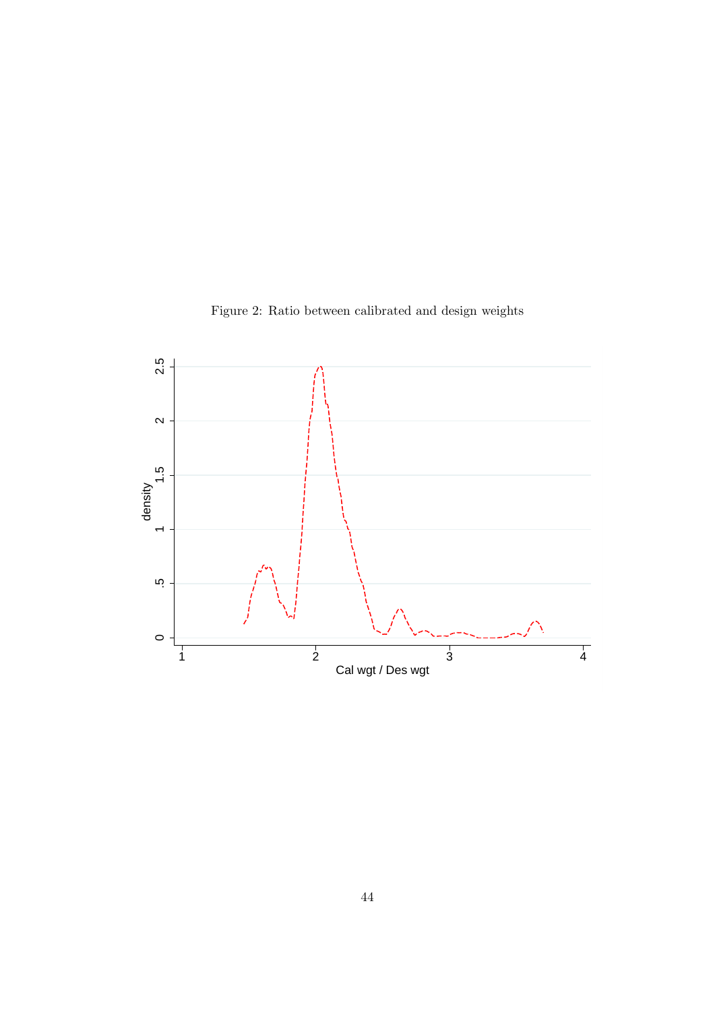

Figure 2: Ratio between calibrated and design weights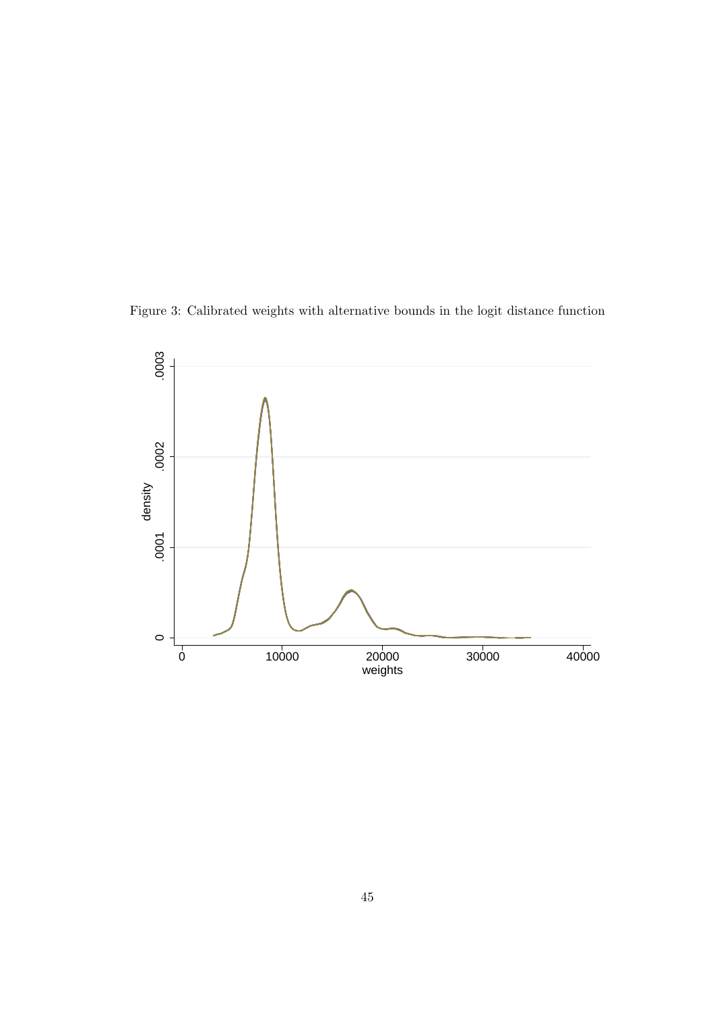Figure 3: Calibrated weights with alternative bounds in the logit distance function

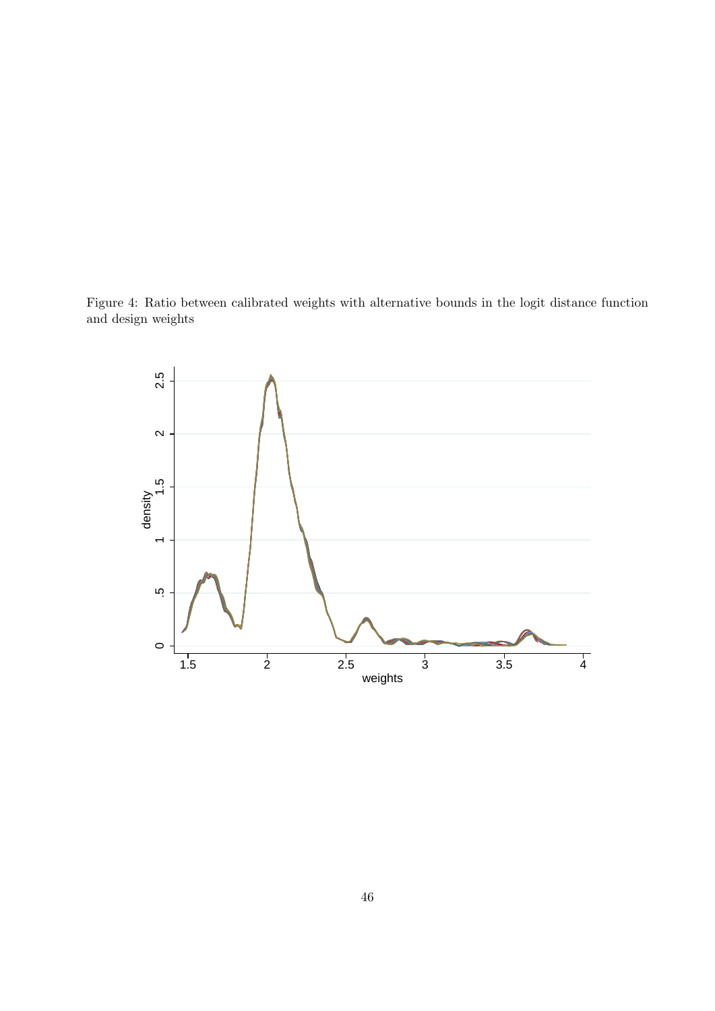Figure 4: Ratio between calibrated weights with alternative bounds in the logit distance function and design weights

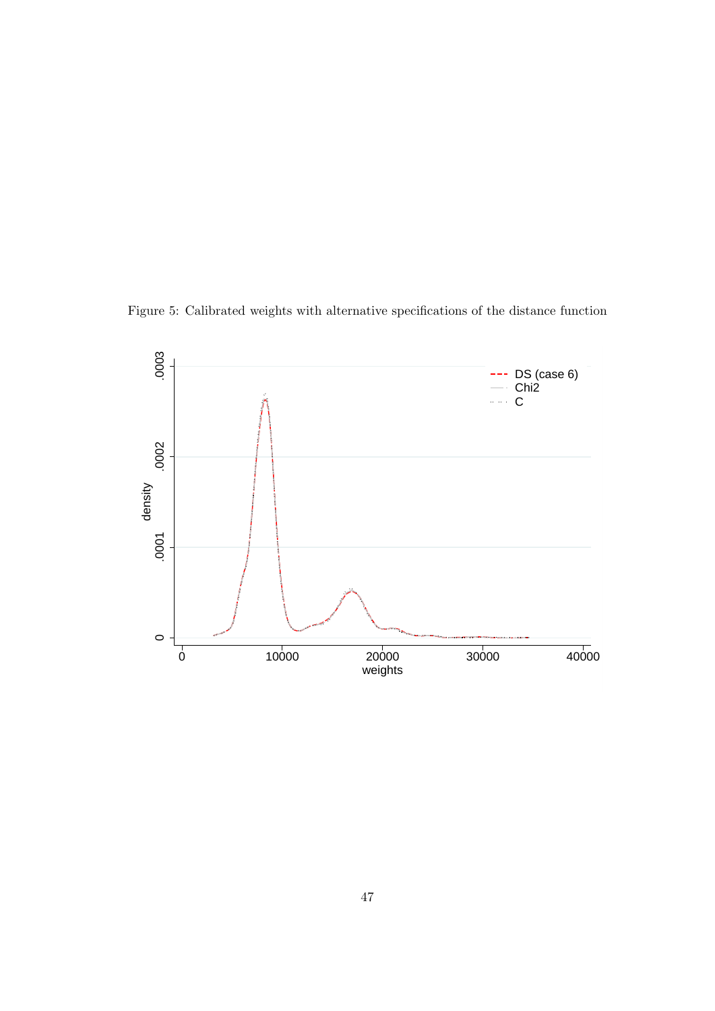Figure 5: Calibrated weights with alternative specifications of the distance function

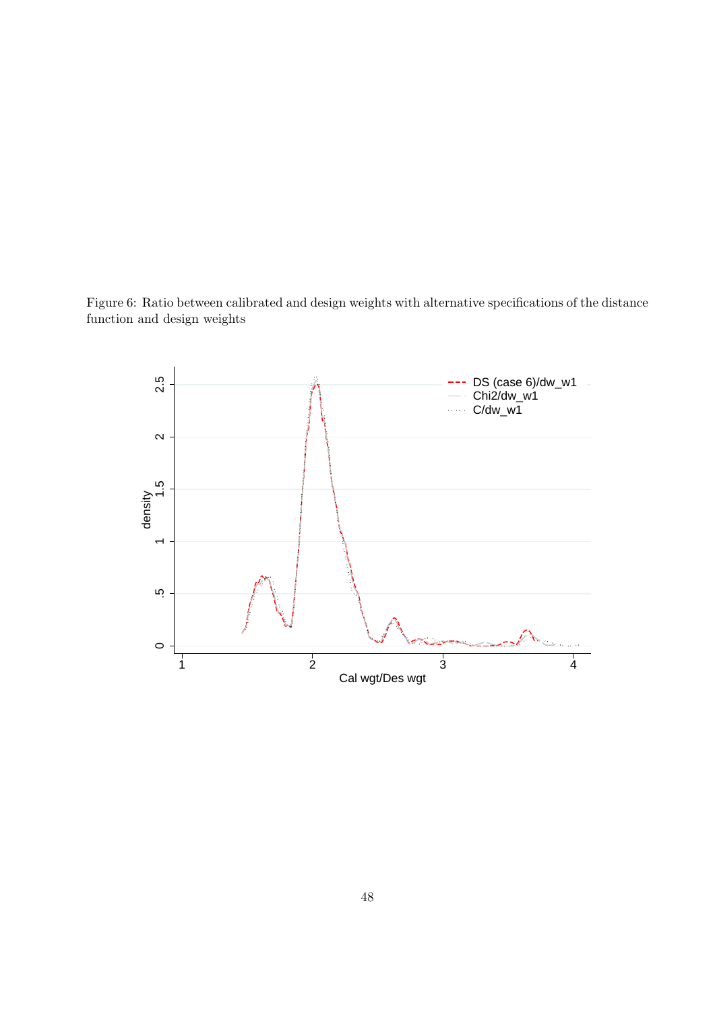Figure 6: Ratio between calibrated and design weights with alternative specifications of the distance function and design weights